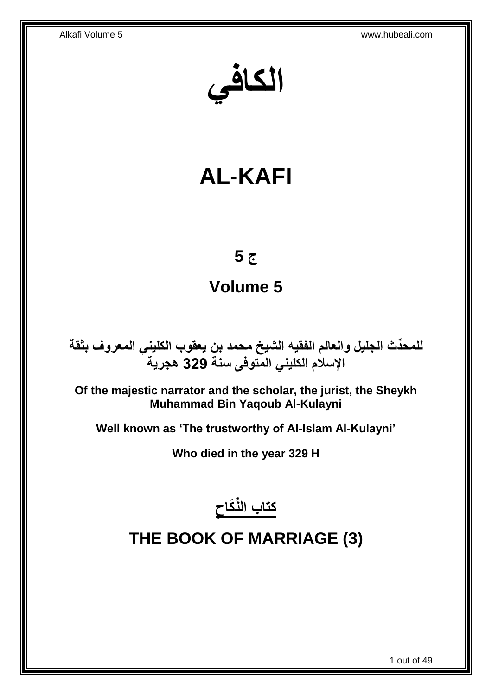**الكافي**

# **AL-KAFI**

## **ج 5**

# **Volume 5**

**دث الجليل والعالم الفقيه الشيخ محمد بن يعقوب الكليني المعروف بثقة للمح ِّ اإلسالم الكليني المتوفى سنة 329 هجرية**

**Of the majestic narrator and the scholar, the jurist, the Sheykh Muhammad Bin Yaqoub Al-Kulayni**

**Well known as 'The trustworthy of Al-Islam Al-Kulayni'**

**Who died in the year 329 H**



# <span id="page-0-0"></span>**THE BOOK OF MARRIAGE (3)**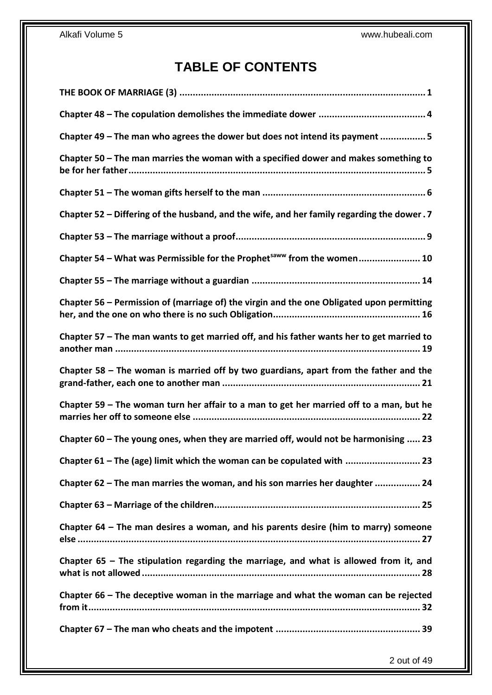## **TABLE OF CONTENTS**

| Chapter 49 - The man who agrees the dower but does not intend its payment 5                |
|--------------------------------------------------------------------------------------------|
| Chapter 50 – The man marries the woman with a specified dower and makes something to       |
|                                                                                            |
| Chapter 52 - Differing of the husband, and the wife, and her family regarding the dower. 7 |
|                                                                                            |
| Chapter 54 – What was Permissible for the Prophet <sup>saww</sup> from the women 10        |
|                                                                                            |
| Chapter 56 – Permission of (marriage of) the virgin and the one Obligated upon permitting  |
| Chapter 57 - The man wants to get married off, and his father wants her to get married to  |
| Chapter 58 – The woman is married off by two guardians, apart from the father and the      |
| Chapter 59 - The woman turn her affair to a man to get her married off to a man, but he    |
| Chapter 60 - The young ones, when they are married off, would not be harmonising  23       |
| Chapter 61 - The (age) limit which the woman can be copulated with  23                     |
| Chapter 62 - The man marries the woman, and his son marries her daughter  24               |
|                                                                                            |
| Chapter 64 – The man desires a woman, and his parents desire (him to marry) someone        |
| Chapter $65$ – The stipulation regarding the marriage, and what is allowed from it, and    |
| Chapter 66 – The deceptive woman in the marriage and what the woman can be rejected        |
|                                                                                            |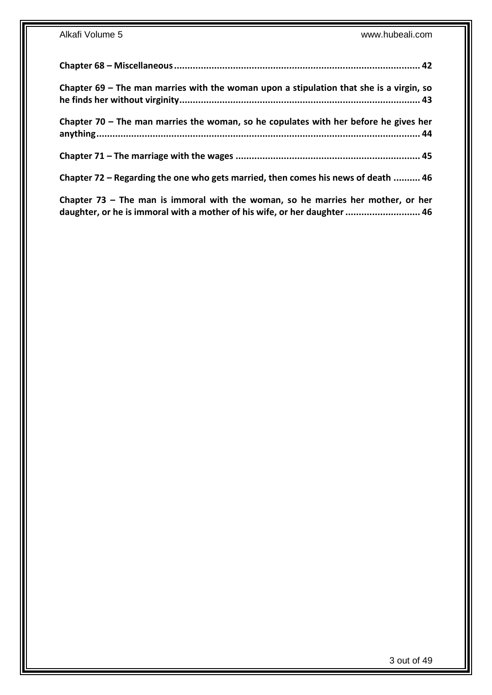| Chapter 69 – The man marries with the woman upon a stipulation that she is a virgin, so |  |
|-----------------------------------------------------------------------------------------|--|
| Chapter 70 – The man marries the woman, so he copulates with her before he gives her    |  |
|                                                                                         |  |
| Chapter 72 – Regarding the one who gets married, then comes his news of death  46       |  |

**Chapter 73 – [The man is immoral with the woman, so he marries her mother, or her](#page-45-1)  [daughter, or he is immoral with a mother of his wife, or her daughter............................](#page-45-1) 46**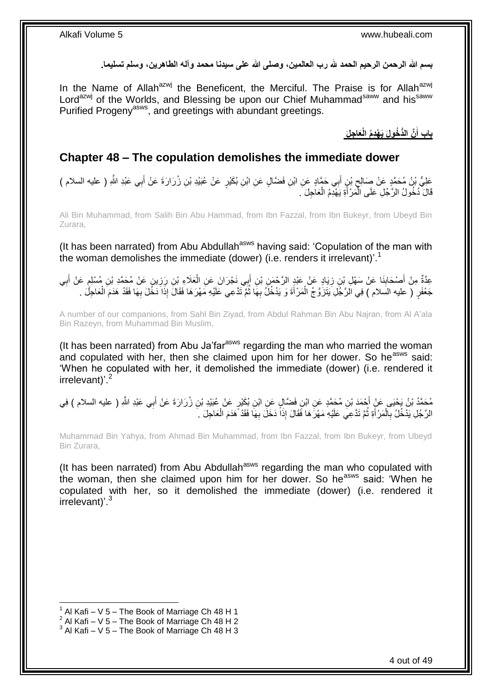بسم الله الرحمن الرحيم الحمد لله رب العالمين، وصلى الله على سيدنا محمد وآله الطاهرين، وسلم تسليما.

In the Name of Allah<sup>azwj</sup> the Beneficent, the Merciful. The Praise is for Allah<sup>azwj</sup> Lord<sup>azwj</sup> of the Worlds, and Blessing be upon our Chief Muhammad<sup>saww</sup> and his<sup>saww</sup> Purified Progeny<sup>asws</sup>, and greetings with abundant greetings.

> **َّن الُّد ُخولَ َي ْه دُم جلَ باب أ َعا الْ َ**

## <span id="page-3-0"></span>**Chapter 48 – The copulation demolishes the immediate dower**

عَلِيُّ بْنُ مُحَمَّدٍ عَنْ صَالِحٍ بْنٍ أَبِي حَمَّادٍ عَنِ ابْنِ فَضَّالٍ عَنِ ابْنِ بُكَيْرٍ عَنْ عُبَيْدِ بْنِ زُرَارَةَ عَنْ أَبِي عَبْدِ اللَّهِ ( عليه السلام )<br>-َ ِ َ قَالَ دُخُولُ الرَّجُلِ عَلَى الْمَرْ أَةِ يَهْدِمُ الْعَاجِلَ َ. ْ َ ا<br>ا

Ali Bin Muhammad, from Salih Bin Abu Hammad, from Ibn Fazzal, from Ibn Bukeyr, from Ubeyd Bin Zurara,

(It has been narrated) from Abu Abdullah<sup>asws</sup> having said: 'Copulation of the man with the woman demolishes the immediate (dower) (i.e. renders it irrelevant)'.<sup>1</sup>

عِدَّةٌ مِنْ أَصْحَابِنَا عَنْ سَهْلِ بْنِ زِيَادٍ عَنْ عَبْدٍ الرَّحْمَنِ بْنِ أَبِي نَجْرَانَ عَنِ الْعَلَاءِ بْنِ رَزِينٍ عَنْ مُكَّدِ بْنِ مُسْلِمٍ عَنْ أَبِي ِ ْ َ ِ ِ ِ َ م ِ جَعْفَرٍ ( عليه السلام ) فِي الْرَّجُلِ يَتَزَوَّجُ الْمَرْأَةَ وَ يَدْخُلُ بِهَا ثُمَّ تَدَّعِي عَلَيْهِ مَهْرَهَا فَقَالَ إِذَا دَخُلَ بِهَا فَقَدْ هَدَمَ الْعَاجِلَ . ا⊶<br>ا ِ َ ْ ْ ِ

A number of our companions, from Sahl Bin Ziyad, from Abdul Rahman Bin Abu Najran, from Al A'ala Bin Razeyn, from Muhammad Bin Muslim,

(It has been narrated) from Abu Ja'far<sup>asws</sup> regarding the man who married the woman and copulated with her, then she claimed upon him for her dower. So he<sup>asws</sup> said: 'When he copulated with her, it demolished the immediate (dower) (i.e. rendered it irrelevant)<sup>'.2</sup>

مُحَمَّدُ بْنُ يَجْيَى عَنْ أَجْمَدَ بْنِ مُحَمَّدٍ عَنِ ابْنِ فَضَّالٍ عَنِ ابْنِ بُكَيْرٍ عَنْ عُبَيْدِ بْنِ زُرَارَةَ عَنْ أَبِي عَبْدِ اللَّهِ ( عليه السلام ) فِي<br>مَعَدَّدُ بِنُ يَجْيَى عَنْ أَجْمَدَ بْنِ مُحَمَّدٍ عَ َ الرَّجُلِ يَدْخُلُ بِالْمَرْ أَةِ ثُمَّ تَدَّعِيَ عَلَيْهِ مَهْرَهَا فَقَالَ إِذَاً دَخَلَ بِهَا فَقَدْ هَدَمَ الْعَاجِلَ . ْ ِ ُ َ ْ **∶** 

Muhammad Bin Yahya, from Ahmad Bin Muhammad, from Ibn Fazzal, from Ibn Bukeyr, from Ubeyd Bin Zurara,

(It has been narrated) from Abu Abdullah<sup>asws</sup> regarding the man who copulated with the woman, then she claimed upon him for her dower. So he<sup>asws</sup> said: 'When he copulated with her, so it demolished the immediate (dower) (i.e. rendered it irrelevant)<sup>'3</sup>

 $1$  Al Kafi – V 5 – The Book of Marriage Ch 48 H 1

 $2$  Al Kafi – V 5 – The Book of Marriage Ch 48 H 2

 $3$  Al Kafi – V 5 – The Book of Marriage Ch 48 H 3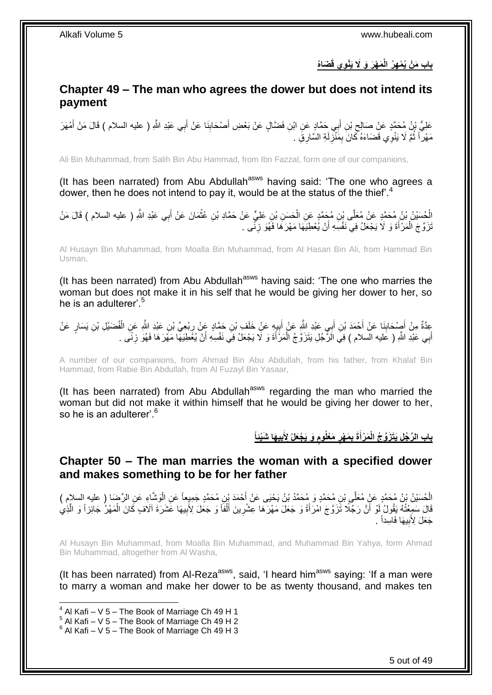## **ه ُر باب َم ْن ُي ْم َضا ُه وي قَ َم ْه َر َو ََل َيْن الْ**

## <span id="page-4-0"></span>**Chapter 49 – The man who agrees the dower but does not intend its payment**

عَلِيُّ بِنُ مُحَمَّدٍ عَنْ صَالِحِ بْنِ أَبِي حَمَّادٍ عَنِ ابْنِ فَضَّالٍ عَنْ بَعْضِ أَصْحَابِنَا عَنْ أَبِي عَبْدِ اللَّهِ ( عليه السلام ) قَالَ مَنْ أَمْهَرَ َ َ َ ِ َ مَهْراً ثُمَّ لَا يَنْوِي قَضَاءَهُ كَانَ بِمَنْزِلَةِ السَّارِقِ . لَ ِ ِ ُ

Ali Bin Muhammad, from Salih Bin Abu Hammad, from Ibn Fazzal, form one of our companions,

(It has been narrated) from Abu Abdullah<sup>asws</sup> having said: 'The one who agrees a dower, then he does not intend to pay it, would be at the status of the thief'.<sup>4</sup>

الْحُسَيْنُ بْنُ مُحَمَّدٍ عَنْ مُعَلَّى بْنِ مُحَمَّدٍ عَنِ الْحَسَنِ بْنِ عَلِيٍّ عَنْ حَمَّادِ بْنِ عُثْمَانَ عَنْ أَبِي عَبْدِ اللَّهِ ( عليه السلام ) قَالَ مَنْ َ ْ ْ ْ نَزَوَّجَ الْمَرْأَةَ وَ لَا يَجْعَلُ فِي نَفْسِهِ أَنْ يُعْطِيَهَا مَهْرَهَا فَهُوَ زِنَّمِي . ِ اُ َ ْ

Al Husayn Bin Muhammad, from Moalla Bin Muhammad, from Al Hasan Bin Ali, from Hammad Bin Usman,

(It has been narrated) from Abu Abdullah<sup>asws</sup> having said: 'The one who marries the woman but does not make it in his self that he would be giving her dower to her, so he is an adulterer'. $5$ 

عِدَّةٌ مِنْ أَصِدْحَابِنَا عَنْ أَحْمَدَ بْنِ أَبِي عَبْدِ اللَّهِ عَنْ إَبِيهٍ عَنْ خَلَفٍ بْنِ حَمَّادٍ عَنْ ِ ِ َ َ َ **ِ** ْ أَبِي عَبْدِ اللَّهِ ( عَليه السلام ) فِيَ الَرِّجُلِ يَتَزَرَّ جُ الْمَرْأَةَ وَ لَا يَجْعَلُ فِيَ نَفْسِهِ أَنْ يُغَطِيَهَا مَهْرَهَا فَهُوَ زِنَّى . َ َ ْ َ ِ

A number of our companions, from Ahmad Bin Abu Abdullah, from his father, from Khalaf Bin Hammad, from Rabie Bin Abdullah, from Al Fuzayl Bin Yasaar,

(It has been narrated) from Abu Abdullah<sup>asws</sup> regarding the man who married the woman but did not make it within himself that he would be giving her dower to her, so he is an adulterer'.<sup>6</sup>

> باب الرَّجُل يَتَزَوَّجُ الْمَرْأَةَ بِمَهْرٍ مَعْلُومٍ وَ يَجْعَلُ لِأَبِيهَا شَيْناً  **ٍ ٍ َ**

### <span id="page-4-1"></span>**Chapter 50 – The man marries the woman with a specified dower and makes something to be for her father**

الْحُسَيْنُ بْنُ مُحَمَّدٍ عَنْ مُعَلَّى بْنِ مُحَمَّدٍ وَ مُحَمَّدُ بْنُ يَحْيَى عَنْ أَحْمَدَ بِنِ مُحَمَّدٍ جَمِيعاً عَنِ الْوَشَّاءِ عَنِ الرِّضَا ( عليه السلام )<br>يَذْ يَسْمُدُ مُنْ يَمْسَعَ الْمَسْمَعِينَ عَلَيْهِ مِ ْ َ قَالَ سَمِعْتُهُ يَقُولُ لَوْ أَنَّ رَجّلًا تَّزَوّجَ اَمْرَأَةً وَ جَعَلَ مَهْرَهَا عِشْرِينَ أَلْفًا وَ جَعَلَ لِأَبِيهَا غَشَرَةَ آلَافٍ كَانَ الْمَهْرُ جَائِزاً وَ الَّذِي ِ ْ َ **∶** َ اً َّ ْ جَعَلَ لِأَبِيهَا فَاسِداً \_ **∣** 

Al Husayn Bin Muhammad, from Moalla Bin Muhammad, and Muhammad Bin Yahya, form Ahmad Bin Muhammad, altogether from Al Washa,

(It has been narrated) from Al-Reza<sup>asws</sup>, said, 'I heard him<sup>asws</sup> saying: 'If a man were to marry a woman and make her dower to be as twenty thousand, and makes ten

 $4$  Al Kafi – V 5 – The Book of Marriage Ch 49 H 1

 $5$  Al Kafi – V 5 – The Book of Marriage Ch 49 H 2

 $6$  Al Kafi – V 5 – The Book of Marriage Ch 49 H 3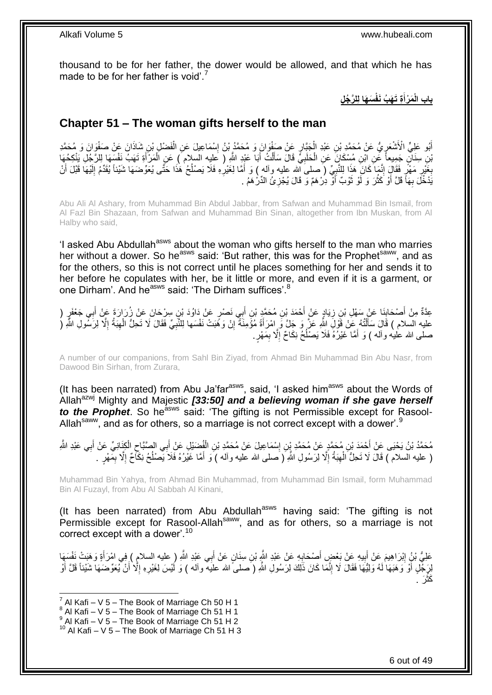thousand to be for her father, the dower would be allowed, and that which he has made to be for her father is void'.<sup>7</sup>

> **ة َم ْرأ باب ال َس َها ل ل َّر ُج ل ْ َت َه ُب َنفْ َ**

### <span id="page-5-0"></span>**Chapter 51 – The woman gifts herself to the man**

أَبُو عَلِيٍّ الْأَشْعَرِيُّ عَنْ مُحَمَّدِ بْنِ عَبْدِ الْجَبَّارِ عَنْ صَفْوَانَ وَ مُحَمَّدُ بْنُ إِسْمَاعِيلَ عَنِ الْفَضْلِ بْنِ شَاذَانَ عَنْ صَفْوَانَ وَ مُحَمَّدِ ْ ِ ِ ْ ِ بْنِ سِنَانٍ جَمِيعاً غَنِ ابْنِ مُسْكَانَ عَنِ الْحَلَبِيِّ قَالَ سَأَلْتُ أَبَا عَبْدِ اللَّهِ ( عَلِيه السلام ) عَنِ الْمَرْأَةِ تَهَبُ نَفْسَهَا لِلرَّجُلِ يَنْكِحُهَا َ ْ َ ْ َ **∶** ْ بَغَيْرِ مَهْرٍ فَقَالٍ إِنَّمَا كَانَ هَذَا لِلنَّبِيِّ (صلى الله عليه وآله ) وَ أَمَّا لِغَيْرِهِ فَلَا يَصْلُحُ هَٰذَا حَتَّى يُعَوِّضَهَا شَيْئاً يُقَدِّمُ إِلَيْهَا قَبْلَ أَنْ َ ¦ ֺ֧֖֧ׅ֧ׅ֧֧ׅ֧ׅ֧ׅ֧֧ׅ֧֧֧֧֧ׅ֧֦֧֧֧֧֧֧֚֚֚֚֚֚֚֚֚֚֚֚֚֚֚֚֚֚֚֚֚֝֝֓֡֡֡֟֓֡֟֓֡֟֓֡֟֡֟֡֡֟֡֡֟֓֡֓֞֓֝֬֝֝֬֝֬֝֬֝֬ ِ ِ َ لَ ِ ُ **∶** يَّدْخُلَ بِهَأَ قَلَّ أَوْ كَثُرَ وَ لَوْ نُوْبٌ أَوْ دِرْهَمٌ وَ قَالَ يُجْزِئُ الدِّرْهَمُ . ِ ٔ, روبو<br>1 َ ِ

Abu Ali Al Ashary, from Muhammad Bin Abdul Jabbar, from Safwan and Muhammad Bin Ismail, from Al Fazl Bin Shazaan, from Safwan and Muhammad Bin Sinan, altogether from Ibn Muskan, from Al Halby who said,

'I asked Abu Abdullah<sup>asws</sup> about the woman who gifts herself to the man who marries her without a dower. So he<sup>asws</sup> said: 'But rather, this was for the Prophet<sup>saww</sup>, and as for the others, so this is not correct until he places something for her and sends it to her before he copulates with her, be it little or more, and even if it is a garment, or one Dirham'. And he<sup>asws</sup> said: 'The Dirham suffices'.<sup>8</sup>

عِدَّةٌ مِنْ أَصْحَابِنَا عَنْ سَهْلِ بْنِ زِيَادٍ عَنْ أَحْمَدَ بْنِ مُحَمَّدٍ بْنِ أَبِي نَصْرٍ عَنْ دَاوُدَ بْنِ سِرْحَانَ عَنْ زُرَارَةَ عَنْ أَبِي جَعْفَرٍ ( َ **∶** ِ َ َ عليه السلام ) قَالَ سَأَلْتُهُ عَنْ قَوْلَ اِللَّهِ عَنَّ وَ جَلَّ وَ إِمْرَأَةً مُؤْمِنَةً إِنْ وَهَبَتْ نَفْسَها لِلنَّبِيِّ فَقَالَ لَا تَحِلُّ الْهِبَةُ إِلَّا لِرَسُّولِ اللَّهِ ( ֺ֦֦֦֦֧֦֧֦֦֧֦֧֦֧֦֧֦֧֦֧֦֧֦֧֦֧֦֧֝֟֟֓֕֓֕֓֕֓֕֓֓֡֓֓֡֟֓֡֟֓֡֟֓֡֟֓֡֟֓֡֟֩֓֓֞֓֞֓֞֓֞֟֓֡֟֩֓֓֟֓֡֟֩֓֟֓֟֩֓<br>֧ׅ֧֧֪ׅ֧֖֧֦֧֦֧֜֘֩֞֟֘֩֞֩֞ َ ِ ُ ْ ِ ِ ً َ ان<br>ا صلى الله عليه وأله ) وَ أَمَّا غَيْرُهُ فَلَا يَصْلُحُ نِكَاحٌ إِلَّا بِمَهْرٍ. َ ِ ِ

A number of our companions, from Sahl Bin Ziyad, from Ahmad Bin Muhammad Bin Abu Nasr, from Dawood Bin Sirhan, from Zurara,

(It has been narrated) from Abu Ja'far $a_{\text{sws}}$ , said, 'I asked him $a_{\text{sws}}$  about the Words of Allah<sup>azwj</sup> Mighty and Majestic **[33:50] and a believing woman if she gave herself** *to the Prophet*. So he<sup>asws</sup> said: 'The gifting is not Permissible except for Rasool-Allah<sup>saww</sup>, and as for others, so a marriage is not correct except with a dower'.<sup>9</sup>

ْ مُحَمَّدُ بْنُ يَحْيَى عَنْ أَحْمَدَ بْنِ مُحَمَّدٍ عَنْ مُحَمَّدِ بْنِ إِسْمَاعِيلَ عَنْ مُحَمَّدِ بْنِ الْفُضَيْلِ عَنْ أَبِي الصَّبَّاحِ الْكِنَانِيِّ عَنْ أَبِي عَبْدِ الثَّهِ ِ َ َ ْ ِ َ ( عليه السلام ) قَالَ لَا تَحِلُّ الْهِبَةُ إِلَّا لِرَسُولِ اللَّهِ ( َصلى الله عليه وأله ) وَ أَمَّا غَيْرُهُ فَلاَ يَصْلُحُ نِكَأْحٌ إِلَّا بِمَّهْرٍ . ُ َ ِ ِ ْ ِ ِ

Muhammad Bin Yahya, from Ahmad Bin Muhammad, from Muhammad Bin Ismail, form Muhammad Bin Al Fuzayl, from Abu Al Sabbah Al Kinani,

(It has been narrated) from Abu Abdullah<sup>asws</sup> having said: 'The gifting is not Permissible except for Rasool-Allah<sup>saww</sup>, and as for others, so a marriage is not correct except with a dower'.<sup>10</sup>

عَلِيُّ بْنُِ إِبْرَاهِيمَ عَنْ أَبِيهِ عَنْ بَعْضٍ أَصْحَابِهِ عَنْ عَبْدِ اللَّهِ بْنِ سِنَانٍ عَنْ أَبِي عَبْدِ اللَّهِ ( عليه السلام ) فِي امْرَأَةٍ وَهَبَتْ نَفْسَهَا **∶** َ **!** َ ِ َ لِرَجْلٍ أَوْ وَهَبَهَا لَمُه وَلِيُّهَا فَقَالَ لَا إِنَّمَا كَانَ ذَلِكَ لِرَسُولِ اللَّهِ (َصلـىً الله عليه وألـه ) وَ لَيْسَ لِغَيْرِهِ إِلَّا أَنْ يُعَوِّضَهَا شَيْئاً قَلَّ أَوْ َ َ ِ ِ ِ َ َر . َكث :<br>أ

 7 Al Kafi – V 5 – The Book of Marriage Ch 50 H 1

 $8$  Al Kafi – V 5 – The Book of Marriage Ch 51 H 1

 $^9$  Al Kafi – V 5 – The Book of Marriage Ch 51 H 2

 $10$  Al Kafi – V 5 – The Book of Marriage Ch 51 H 3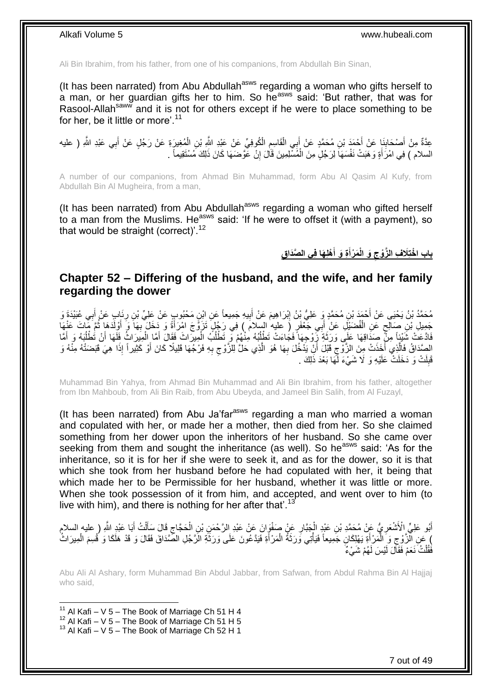Ali Bin Ibrahim, from his father, from one of his companions, from Abdullah Bin Sinan,

(It has been narrated) from Abu Abdullah<sup>asws</sup> regarding a woman who gifts herself to a man, or her guardian gifts her to him. So he<sup>asws</sup> said: 'But rather, that was for Rasool-Allah<sup>saww</sup> and it is not for others except if he were to place something to be for her, be it little or more'.<sup>11</sup>

عِدَّةٌ مِنْ أَصْحَابِنَاٍ عَنْ أَحْمَدَ بْنِ مُحَمَّدٍ عَنْ أَبِي الْقَاسِمِ الْكُوفِيِّ عَنْ عَبْدِ النَّهِ ب<br>جَدَّةٌ مِنْ أَصْحَابِنَاٍ عَنْ أَحْمَدَ بْنِ مُحَمَّدٍ عَنْ أَبِي الْقَاسِمِ الْكُوفِيِّ عَنْ عَبْدِ اسْمِهِ ْ ِ ْ َ َ **∣** َ َ السلام ) فِي امْرَأَةٍ وَهَبَتْ نَفْسَهَا لِرَجُلٍ مِنَ الْمُسْلِمِينَ قَالَ إِنْ عَوَّضَهَا كَانَ ذَلِكَ مُسْتَقِيماً . ِ ْ َ

A number of our companions, from Ahmad Bin Muhammad, form Abu Al Qasim Al Kufy, from Abdullah Bin Al Mugheira, from a man,

(It has been narrated) from Abu Abdullah $a<sup>asws</sup>$  regarding a woman who gifted herself to a man from the Muslims. He<sup>asws</sup> said: 'If he were to offset it (with a payment), so that would be straight (correct)'. $12$ 

> **ق ْهل َها ف ي ال َّصَدا ة َو أ َم ْرأ َو الْ َال ف ال َّزْوج باب ا ْخت َ َ**

### <span id="page-6-0"></span>**Chapter 52 – Differing of the husband, and the wife, and her family regarding the dower**

مُحَمَّدُ بْنُ يَحْيَى عَنْ أَحْمَدَ بْنِ مُحَمَّدٍ وَ عَلِيُّ بْنُ إِبْرَاهِيمَ عَنْ أَبِيهِ جَمِيعاً عَنِ ابْنِ مَحْبُوبٍ عَنْ عَلِيٍّ بْنِ رِئَابٍ عَنْ أَبِي عُبَيْدَةَ وَ ِ َ ِ **∶** َ ِ جَمِيلِ بْنِ صَالِحٍ عَنِ الْفُصَيْلَِ عَنْ أَبِي جَعْفَرٍ (َ عليهِ السلامَ ) فِي رَجُلٍ تَزَوَّجَ امْرَأَةً وَ دَخَلَ بِهَا وَ أَوْلَدَهَا ثُمَّ مَاتَ عَنْهَا ْ ٍ ُ َ ِ َ فَادَّعَتْ شَيْئٍاً مِنْ صِدَّاقِهَا عَلَى وَرَّثَةِ زَّرْوجِهَا فَجَاءَتْ تَطْلُبُهُ مِنْهُمْ فَرِ تَطْلُبُهُ الْمِيرَاثَ فَقَالَ أَمَّا اِلْمِيرَاثُ فَلَهَا أَنْ تُطْلُبُهُ وَ أَمَّا َ ْ ُ ا<br>ا َ َ ُ َ ْ الصَّدَاقُ فَالَّذِي أَخَذَتْ مِنَ الزَّوْجِ قَبْلَ أَنْ يَذْخُلَ بِهَا هُوَ الَّذِي حَلَّ لِلزَّوْجِ بِهِ فَرْجُهَا قَلِيلًا كَانَ أَوْ كَثِيراً إِذَا هِيَ قَبَضَتْهُ مِنْهُ وَ ِ ِ َّ **∶** اً ِ َ َ قَبِلَتْ وَ دَخَلَتْ عَلَيْهِ وَ لَا شَيْءَ لَّمَهَا بَعْدَ ذَلِكَ . ِ

Muhammad Bin Yahya, from Ahmad Bin Muhammad and Ali Bin Ibrahim, from his father, altogether from Ibn Mahboub, from Ali Bin Raib, from Abu Ubeyda, and Jameel Bin Salih, from Al Fuzayl,

(It has been narrated) from Abu Ja'far $a<sup>asws</sup>$  regarding a man who married a woman and copulated with her, or made her a mother, then died from her. So she claimed something from her dower upon the inheritors of her husband. So she came over seeking from them and sought the inheritance (as well). So he<sup>asws</sup> said: 'As for the inheritance, so it is for her if she were to seek it, and as for the dower, so it is that which she took from her husband before he had copulated with her, it being that which made her to be Permissible for her husband, whether it was little or more. When she took possession of it from him, and accepted, and went over to him (to live with him), and there is nothing for her after that  $13$ 

أَبُو عَلِيٍّ الْأَشْعَرِيُّ عَنْ مُحَمَّدِ بْنِ عَبْدٍ الْجَبَّارِ عَنْ صَفْوَانَ عَنْ عَبْدِ الرَّحْمَنِ بْنِ الْحَجَّاجِ قَالَ سَأَلْتُ أَبَا عَبْدِ اللَّهِ ( عليه السلام  $\zeta$ ْ ِ ْ ِ َ َ ْ ِ وَلَا الْزَوْجِ وَ الْمَرْأَةِ يَهْلِكَانِ جَمِيعاً فَيَأْتِي وَرَثَةُ الْمَرْأَةِ فَيَدَّعُونَ عَلَى وَرَثَة الْرَجُلِ الصَّدَاقَ فَقَالَ وَ قَدْ هَلَكَا وَ قُسِمَ الْمِيرَاثُ َ َ ْ َ ْ َ ْ ِ ْ فَقُلْتُ نَعَمْ فَقَالَ لَيْسَ لَهُمْ شَيْءٌ ْ

Abu Ali Al Ashary, form Muhammad Bin Abdul Jabbar, from Safwan, from Abdul Rahma Bin Al Hajjaj who said,

<sup>&</sup>lt;sup>11</sup> Al Kafi – V 5 – The Book of Marriage Ch 51 H 4

 $12$  Al Kafi – V  $5$  – The Book of Marriage Ch 51 H 5

 $13$  Al Kafi – V 5 – The Book of Marriage Ch 52 H 1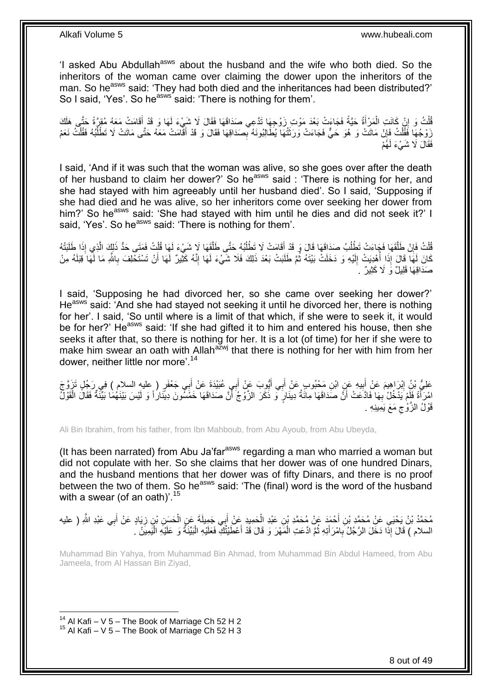'I asked Abu Abdullah<sup>asws</sup> about the husband and the wife who both died. So the inheritors of the woman came over claiming the dower upon the inheritors of the man. So he<sup>asws</sup> said: 'They had both died and the inheritances had been distributed?' So I said. 'Yes'. So he<sup>asws'</sup> said: 'There is nothing for them'.

فُلْتُ وَ إِنْ كَانَتِ الْمَرْأَةُ حَيَّةً فَجَاءَتْ بَعْدَ مَوْتِ زَوْجِهَا نَذَّعِي صَدَاقَهَا فَقَالَ لَا شَيْءَ لَهَا وَ قَدْ أَقَامَتْ مَعَهُ مُؤَرَّةً حَتَّى هَلَكَ<br>-ْ ِ ْ َ زَوْجُهَا فَقُلْتُ فَإِنْ مَاتَتْ وَ هُوَ حَيٌّ فَجَاءَتْ وَرَثَتُهَا يُطَالِبُونَهُ بِمِمَدَاقِهَا فَقَالَ وَ قَدْ أَفَّامَتْ مَعَهُ حَتَّى مَاتَتْ لَا تَطْلُبُهُ فَقُلْتُ نَعَمْ ِ ْ ْ ُ َ ِ َ فَقَالَ لَا شَيْءَ لَهَُمْ

I said, 'And if it was such that the woman was alive, so she goes over after the death of her husband to claim her dower?' So he<sup>asws</sup> said : 'There is nothing for her, and she had stayed with him agreeably until her husband died'. So I said, 'Supposing if she had died and he was alive, so her inheritors come over seeking her dower from him?' So heasws said: 'She had stayed with him until he dies and did not seek it?' I said, 'Yes'. So he<sup>asws</sup> said: 'There is nothing for them'.

َق َها ََل َش ْي ُب ُه َحتَّى َطل ْطل َقا َم ْت ََل َت ُب َصَداَق َها َقا َل َو َقْد أ ْطل َق َها َف َجا َء ْت َت ْن َطل ُت َفإ ل ق ُت ُ ل َها قُ َء ل ُه َ َبتْ َطلَ ا ِذَ ِذي إ لِ َك ال َف َمَتى َحُّد ذَ َّ ُ َ ا<br>ا َّ ِ ْ ْ َّ كَانَ لَهَا قَالَ إِذَا أُهْدِيَتْ إِلَيْهِ وَ دَخَلَتْ بَيْتَهُ ثُمَّ طَلَبَتْ بَعْدَ ذَلِكَ فَلَا شَيْءَ لَهَا إِنَّهُ كَثِيرٌ لَهَا أَنْ تَسْتَحْلِفَ بِاللَّهِ مَا لَّهَا قِبَلَهُ مِنْ ُ لَ  $\frac{1}{2}$ ُ **∶** َ ِ صَدَاقِهَا قَلِيلٌ وَ لَا كَثِيرٌ .

I said, 'Supposing he had divorced her, so she came over seeking her dower?' He<sup>asws</sup> said: 'And she had stayed not seeking it until he divorced her, there is nothing for her'. I said, 'So until where is a limit of that which, if she were to seek it, it would be for her?' He<sup>asws</sup> said: 'If she had gifted it to him and entered his house, then she seeks it after that, so there is nothing for her. It is a lot (of time) for her if she were to make him swear an oath with Allah<sup>azwj</sup> that there is nothing for her with him from her dower, neither little nor more'.<sup>14</sup>

عَلِيُّ بْنُِ إِبْرَاهِيمَ عَنْ أِبِيهِ عَنٍ ابْنِ مَحْبُوبٍ عَنْ أَبِي أَيُّوبَ عَنْ أَبِي عُبَيْدَةَ عَنْ أَبِي جَعْفَرٍ ( عليه السلام ) فِي رَجُلٍ تَزَوَّجَ َ َ َ َ **!** َ َمْ يَدْخُلْ بِهَا فَادَّعَتْ أَنَّ صَدَاقَهَا مِائَةُ دِينَارٍ ۖ وَ ذَكَرَ الزَّوْجُ أَنَّ صَدَاقَهَا خَمْسُونَ دِينَاراً وَ لَيْسَ بَيْنَهُمَا بَيِّنَّةٌ فَقَالَ الْقَوْلُ **∶** َ َ َ ْ قَوْلُ الزَّوْجِ مَعَ يَمِينِهِ . ِ

Ali Bin Ibrahim, from his father, from Ibn Mahboub, from Abu Ayoub, from Abu Ubeyda,

(It has been narrated) from Abu Ja'far<sup>asws</sup> regarding a man who married a woman but did not copulate with her. So she claims that her dower was of one hundred Dinars, and the husband mentions that her dower was of fifty Dinars, and there is no proof between the two of them. So he<sup>asws</sup> said: 'The (final) word is the word of the husband with a swear (of an oath)'.<sup>15</sup>

مُحَمَّدُ بْنُ يَحْيَىِ عَنْ مُحَمَّدِ بْنِ أَحْمَدَ عَنْ مُحَمَّدِ بْنِ عَبْدِ الْحَمِيدِ عَنْ أَبِي عَبْدِ اللَّهِ وَالْحَمِيدِ عَلَيْهِ اللَّهِ ( عليه<br>مُحَمَّدُ بْنُ يَحْيَىِ عَنْ مُحَمَّدِ بْنِ أَحْمَدَ عَنْ مُحَمَّدِ ْ َ ْ َ َ ِ السلام ) قَالَ إِذَا دَخَلَ الرَّجُلُ بِامْرَ أَتِهِ ثُمَّ ادَّعَتِ الْمَهْرَ وَ قَالَ قَدْ أَعْطَيْتُكَ فَعَلَيْهِ الْبَيِّنَةُ وَ عَلَيْهِ الْيَمِيَنُ ۚ. :<br>ا َ ْ ُ َ **∶** ْ

Muhammad Bin Yahya, from Muhammad Bin Ahmad, from Muhammad Bin Abdul Hameed, from Abu Jameela, from Al Hassan Bin Ziyad,

 $14$  Al Kafi – V 5 – The Book of Marriage Ch 52 H 2  $15$  Al Kafi – V 5 – The Book of Marriage Ch 52 H 3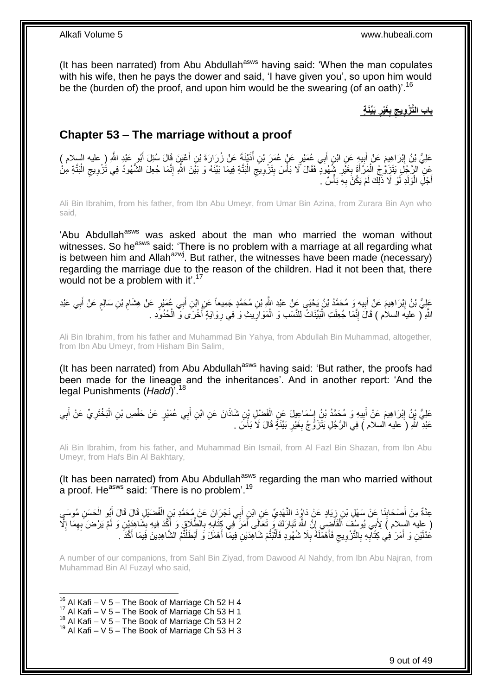(It has been narrated) from Abu Abdullah<sup>asws</sup> having said: 'When the man copulates with his wife, then he pays the dower and said, 'I have given you', so upon him would be the (burden of) the proof, and upon him would be the swearing (of an oath)<sup>'.16</sup>

**َبِّيَن ٍة َغْير ب باب الَّت ْز ويج** 

## <span id="page-8-0"></span>**Chapter 53 – The marriage without a proof**

عَلِيُّ بْنُ إِبْرَاهِيمَ عَنْ أَبِيهٍ عَنِ ابْنِ أَبِي عُمَيْرٍ عَنْ عُمَرَ بْنِ أُذَيْنَةَ عَنْ زُرَارَةَ بْنِ أَعْيَنَ قَالَ سُئِلَ أَبُو عَبْدٍ اللَّهِ ( عليه السلام ) َ **∣** َ ِ َ َ َمِنِّ الرَّجُلِ يَتَزَوُّجُ الْمَرْأَةَ بِغَيْرِ شُهُوَدٍ فَقَالَ لَا بَأْسَ بِتَزْوِيَجِ الْبَتَّةِ فِيمَا بَيْنَهُ وَ بَيْنَ اللَّهِ إِنَّمَا جُعِلَ الشُّهُودُ فِي تُزْوِيجِ الْبَتَّةِ مِنْ ْ ِ **∶ !** ْ **∶ ∶** َ ْ ْ ِ ِ ِ أَجْلِّ الْوَلَدِ لَوْ لَا ذَلِّكَ لَمْ يَكُنَّ بِهِ بَأْسٌ ۚ ا َ ؚ<br>֦֧֦֧֦֧֦֧֦֧֦֧֦֧֦֦֦֧֦֦֧֦֧֦֧֦֧֦֧֦֦֧֦֧֦֧֦֧֦֦֧֦֡֩֟֓֟֓֟֬֟֓֟֘֩֓֬֝֘֝֬֬֬ ِ ْ

Ali Bin Ibrahim, from his father, from Ibn Abu Umeyr, from Umar Bin Azina, from Zurara Bin Ayn who said,

'Abu Abdullah<sup>asws</sup> was asked about the man who married the woman without witnesses. So he<sup>asws</sup> said: 'There is no problem with a marriage at all regarding what is between him and Allah<sup>azwj</sup>. But rather, the witnesses have been made (necessary) regarding the marriage due to the reason of the children. Had it not been that, there would not be a problem with it'.<sup>17</sup>

عَلِيُّ بْنُ إِبْرَاهِيمَ عَنْ أَبِيهِ وَ مُحَمَّدُ بْنُ يَحْيَى عَنْ عَبْدِ اللَّهِ بْنِ مُحَمَّدٍ جَمِيعاً عَنِ ابْنِ أَبِي عُمَيْرٍ عَنْ هِشَامِ بْنِ سَالِمٍ عَنْ أَبِي عَبْدِ َ **!** َ ِ **∶** َ ֧֖֧֦֧֦֧֦֧֦֚֝֝֝֝֝ ِ اللَّهِ لَّ عليه السلام ) قَالَ إِنَّمَا جُعِلَتِ الْبَيِّنَاتُ لِلنَّسَبِ وَ الْمَوَارِيثِ وَ فِي رِوَايَةٍ أُخْرَى وَ الْحُدُوَدِ . :<br>ا ِ ْ ؛<br>أ **ٍ ∶** ْ

Ali Bin Ibrahim, from his father and Muhammad Bin Yahya, from Abdullah Bin Muhammad, altogether, from Ibn Abu Umeyr, from Hisham Bin Salim,

(It has been narrated) from Abu Abdullah<sup>asws</sup> having said: 'But rather, the proofs had been made for the lineage and the inheritances'. And in another report: 'And the legal Punishments (*Hadd*)'.<sup>18</sup>

عَلِيُّ لِمْنَ اِبْرَاهِيمَ عَنْ أَبِيهِ وَ مُحَمَّدُ بْنُ إِسْمَاعِيلَ عَنِ الْفَضْلِ بْنِ شَاذَانَ عَنِ ابْنِ أَبِي عُمَيْرٍ عَنْ حَفْصِ بْنِ الْبَخْتَرِيِّ عَنْ أَبِي ْ ِ **!**  ِ ِ َ ِ ْ َ عَبْدِ اللَّهِ (َ عليه السلام ) فِي الرَّجُلِ يَتَزَوَّجُ بِغَيْرِ بَيِّنَةٍ قَالَ لَا بَأْسَ . ِ **∶** 

Ali Bin Ibrahim, from his father, and Muhammad Bin Ismail, from Al Fazl Bin Shazan, from Ibn Abu Umeyr, from Hafs Bin Al Bakhtary,

(It has been narrated) from Abu Abdullah<sup>asws</sup> regarding the man who married without a proof. He<sup>asws</sup> said: 'There is no problem'.<sup>19</sup>

َ عِدَّةٌ مِنْ أَصْحَابِنَا عِنْ سَهْلِ بْنِ زِيَادٍ عَنْ دَاؤُدَ النَّهْدِيِّ عَنِ ابْنٍ أَبِي نَجْرَانَ عَنْ مُحَمَّدِ بْنِ الْفُضَيْلِ قَالَ قَالَ أَبُو الْحَسَنِ مُوسَيِ ِ **∣** ْ َ ْ ( عِليه السِلام ) لِأَبِي يُوسُفَ اَلْقَاضَبِي إِنَّ اللَّهَ تَبَارَكَ وَ تَعَالَى أَمَرَ فَى كَتَابِهِ بِالْطَلَاقِ وَ أَكَّدَ فِيهِ بِشَاهِدَيْنِ وَ لَمْ يَرْضَ بِهِمَا إِلَّا َ ِ ِ َ יֲ<br>י ْ ِ ِ ِ عُدْلَيْنِ وَ أَمَرَ فِي كِتَابِهِ بِالتَّزْوِيجِ فَأَهْمَلَهُ بِلَا شُهُودٍ فَأَثْبَتُمْ شَاهِدَيْنِ فِيمَا أَهْمَلَ وَ أَبْطَلْتُمُ الشَّاهِدِينَ فِيمَا أَكَّذَ . َ َ ْ اً **∶** َ ِ ِ ِ ِ َ َ ْ

A number of our companions, from Sahl Bin Ziyad, from Dawood Al Nahdy, from Ibn Abu Najran, from Muhammad Bin Al Fuzayl who said,

### 1  $16$  Al Kafi – V 5 – The Book of Marriage Ch 52 H 4

- $17$  Al Kafi V 5 The Book of Marriage Ch 53 H 1
- $18$  Al Kafi V 5 The Book of Marriage Ch 53 H 2

 $19$  Al Kafi – V 5 – The Book of Marriage Ch 53 H 3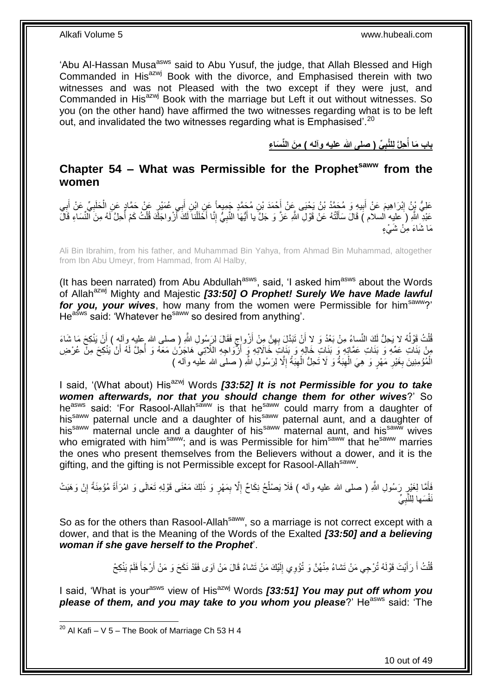'Abu Al-Hassan Musa<sup>asws</sup> said to Abu Yusuf, the judge, that Allah Blessed and High Commanded in His<sup>azwj</sup> Book with the divorce, and Emphasised therein with two witnesses and was not Pleased with the two except if they were just, and Commanded in His<sup>azwj</sup> Book with the marriage but Left it out without witnesses. So you (on the other hand) have affirmed the two witnesses regarding what is to be left out, and invalidated the two witnesses regarding what is Emphasised'.<sup>20</sup>

> **ِّي ) صلى هللا عليه وآله ( م َن الِّن َسا ء حلَّ ل لَّنب باب َما أ ُ**

### <span id="page-9-0"></span>**Chapter 54 – What was Permissible for the Prophetsaww from the women**

عَلِيُّ بِنُ اِبْرَاهِيمَ عَنْ أَبِيهِ وَ مُحَمَّدُ بْنُ يَحْيَى عِنْ أَحْمَدَ بْنِ مُحَمَّدٍ جَمِيعاً عَنِ ابْنِ أَبِي عُمَيْرٍ عَنْ حَمَّادٍ عَنِ الْحَلَبِيِّ عَنْ أَبِي َ َ ِ َ ِ ِ َ **∶** ْ عَبْدِ اللَّهِ ( َعليه السلام ) قَالَ سَأَلْتُهُ عَنْ قَوْلِ اللَّهِ عَزَّ وَ جَلَّ يا أَيُّهَا النَّبِيُّ إِنَّا أَخَلَلْنا لَكَ أَزْواجَكَ قُلْتُ كَمْ أُحِلَّ لَهُ مِنَ النِّسَاءِ قَالَ ْ َ ا<br>ا ْ َ ْ َ ِ ِ َ مَا شَاءَ مِنْ شَهِ ْء

Ali Bin Ibrahim, from his father, and Muhammad Bin Yahya, from Ahmad Bin Muhammad, altogether from Ibn Abu Umeyr, from Hammad, from Al Halby,

(It has been narrated) from Abu Abdullah<sup>asws</sup>, said, 'I asked him<sup>asws</sup> about the Words of Allah<sup>azwj</sup> Mighty and Majestic **[33:50] O Prophet! Surely We have Made lawful** for you, your wives, how many from the women were Permissible for him<sup>saww</sup>?' He<sup>asws</sup> said: 'Whatever he<sup>saww</sup> so desired from anything'.

ُفَلْتُ قَوْلُهُ لا يَحِلُّ لَكَ النِّساءُ مِنْ بَعْدُ وَ لا أَنْ تَبَدَّلَ بِهِنَّ مِنْ أَزْواجٍ فَقَالَ لِرَسُولِ اللَّهِ ( صلى الله عليه وآله ) أَنْ يَنْكِحَ مَا شَاءَ ٍ َ ِ َ ا<br>ا ْ َ مِنْ بَنَاتِ عَمِّهِ وَ بَنَاتِ عَمَّاتٍهِ وَ بَنَاتٍ خَالِهٍ وَ بَنَاتٍ خَالَاتِهِ وَ أَزُّوَاجِهِ اللَّاتِي هَاجَرْنَ مَعَهُ وَ أُحِلَّ لَهُ أَنْ يَنْكِحَ مِنْ عُرْضِ َ َ الْمُؤْمِنِينَ بِغَيْرِ مَهْرٍ وَ هِيَ الْـهِبَةُ وَ لَا تَحِلُّ الْـهِبَةُ إِلَّا لِرَسُولِ اللَّهِ ( صلَّـى الله علَيه وآله ) ِ ِ ْ ِ ْ **∶ ∶** 

I said, '(What about) His<sup>azwj</sup> Words **[33:52] It is not Permissible for you to take** *women afterwards, nor that you should change them for other wives*?' So heasws said: 'For Rasool-Allahsaww is that he<sup>saww</sup> could marry from a daughter of his<sup>saww</sup> paternal uncle and a daughter of his<sup>saww</sup> paternal aunt, and a daughter of his<sup>saww</sup> maternal uncle and a daughter of his<sup>saww</sup> maternal aunt, and his<sup>saww</sup> wives who emigrated with him<sup>saww</sup>; and is was Permissible for him<sup>saww</sup> that he<sup>saww</sup> marries the ones who present themselves from the Believers without a dower, and it is the gifting, and the gifting is not Permissible except for Rasool-Allah<sup>saww</sup>.

فَأَمَّا لِغَيْرٍ رَسُولِ اللَّهِ ( صلى الله عليه وأله ) فَلَا يَصْلُحُ نِكَاحٌ إِلَّا بِمَهْرٍ وَ ذَلِكَ مَعْنَى قَوْلِهِ تَعَالَى وَ امْرَأَةً مُؤْمِنَةً إِنْ وَهَبَتْ ِ ِ ُ ِ ِ َ نَفْسَها لِلنَّبِيِّ ِ

So as for the others than Rasool-Allah<sup>saww</sup>, so a marriage is not correct except with a dower, and that is the Meaning of the Words of the Exalted *[33:50] and a believing woman if she gave herself to the Prophet*'.

> قُلْتُ أَ رَأَيْتَ قَوْلَهُ تُرْجِي مَنْ تَشاءُ مِنْهُنَّ وَ تُؤْوِي إِلَيْكَ مَنْ تَشاءُ قَالَ مَنْ آوَى فَقَدْ نَكَحَ وَ مَنْ أَرْجَأَ فَلَمْ يَنْكِحْ لَ ِ َ َ ْ َ َ

I said, 'What is your<sup>asws</sup> view of His<sup>azwj</sup> Words *[33:51] You may put off whom you* **please of them, and you may take to you whom you please**?' He<sup>asws</sup> said: 'The

1

 $^{20}$  Al Kafi – V 5 – The Book of Marriage Ch 53 H 4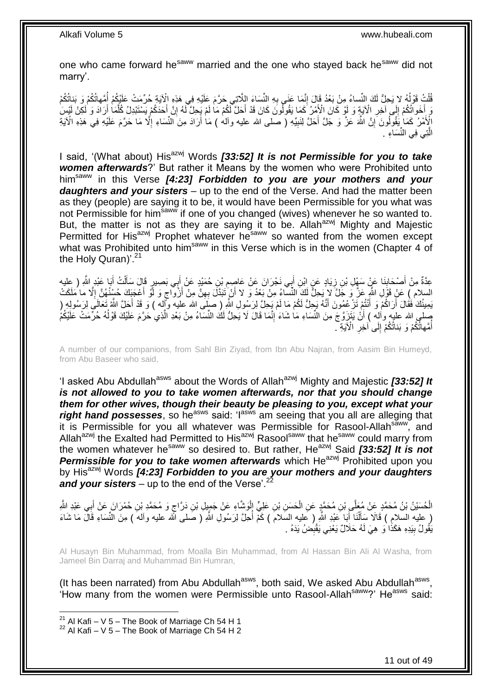one who came forward he<sup>saww</sup> married and the one who stayed back he<sup>saww</sup> did not marry'.

قُلْتُ قَوْلُهُ لا يَحِلُّ لَكَ النِّساءُ مِنْ بَعْدُ قَالَ إِنَّمَا عَنَى بِهِ النِّسَاءَ الِلَّاتِي حَرَّمَ عَلَيْهِ فِي هَذِهِ الْإِيْةِ حُرِّمَتْ عَلَيْكُمْ أُمَّهاتُكُمْ وَ بَناتُكُمْ ِ ِ ٔ<br>ا ْ ُ وَ لَنُكُمْ إِلَى آخِرِ الْآيَةِ وَ لَوْ كَانَ الْأَمْرُ كَمَا يَقُولُونَ كَانَ قَدْ أَحَلَّ لَكُمْ مَا لَمْ يَحِلَّ لَهُ إِنَّ إِحَدَكُمْ يَسْتَبْدِلُ كُلَّمَا أَرَادَ وَ لَكِنْ لَيْسَ َ ِ ِ َ ِ َ َّ الْإِنَّمْرُ كَمَا يَقُولُونَ َإِنَّ اللَّهَ عَزَّ وَ جَلَّ أَحَلَّ لِنَبِيِّهِ ( صلى الله عليه وآلم ) مَا أَرَادَ مِنَ النِّسَاءِ إِلَّا مَا حَرَّمَ عَلَيْهِ فِي هَذِهِ الْآيَةِ َ **!** َ ِ ا<br>ا الَّذِي فِي النِّسَاءِ . َّ

I said, '(What about) His<sup>azwj</sup> Words **[33:52] It is not Permissible for you to take** *women afterwards*?' But rather it Means by the women who were Prohibited unto himsaww in this Verse *[4:23] Forbidden to you are your mothers and your daughters and your sisters* – up to the end of the Verse. And had the matter been as they (people) are saying it to be, it would have been Permissible for you what was not Permissible for him<sup>saww</sup> if one of you changed (wives) whenever he so wanted to. But, the matter is not as they are saying it to be. Allah $a^{2x}$  Mighty and Majestic Permitted for His<sup>azwj</sup> Prophet whatever he<sup>saww</sup> so wanted from the women except what was Prohibited unto him<sup>saww</sup> in this Verse which is in the women (Chapter 4 of the Holy Quran)'.<sup>21</sup>

عِدَّةٌ مِنْ أَصْحَابِنَا عَنْ سَهْلِ بْنِ زِيَادٍ عَنٍ ابْنِ أَبِي نَجْرَانَ عَنْ عَاصِمِ بْنِ حُمَيْدٍ عَنْ أَبِي بَصِيرٍ قَالَ سَأَلْتُ أَبَا عَبْدِ اللَّهِ ( عِليه<br>-ِ َ َ ْ اً<br>أ َ ِ ِ ٍ السلام ) عَنْ قَوْلِ اللَّهِ عَنَّ وَ جَلَّ لا يَجِلُّ لَكَ النَّسَّاءُ مِنْ بَعْدُ وَ لا أَنْ تَبَدَّلَ بِهِنَّ مِنْ أَزْوَاجٍ وَ لَو أَعْجَبَكَ حُسْنُهُنَّ إِلَّا ما مَلَكَتْ َ ِ اُ ِ َ لَ يَمِينُكَ فَقَالَ أَرَاكُمْ وَ أَنْتُمْ تَنْ عُمُونَ أَنَّهُ يَجِلُّ لَكُمْ مَا لَمْ يَجِلَّ لِرَسُولِ اللَّهِ ( صَلَى الله عليه وَكِّله ) وَ قَدْ أَجَلَّ اللَّهُ تَعَالَى لِرَسُولِهِ ( َ َ َ َ بِسلمٍ الله عليه واْلِه ) أَنْ يَتَزَوَّجَ مِنَ النِّسَاءِ مَا شَاءَ إِنَّمَا قَالَ لَا يَحِلُّ لَكَ النِّسَاءُ مِنْ بَعْدِ الَّذِي حَرَّمَ عَلَيْكَ قَوْلُهُ حُرَّمَتْ عَلَيْكُمْ ا<br>ا َّ َّ ِ أُمَّهاتُكُمْ وَ بَناتُكُمْ إِلَى ْآخِرِ الْآيَةِ ۖ **∶**  $\frac{1}{2}$ ُ

A number of our companions, from Sahl Bin Ziyad, from Ibn Abu Najran, from Aasim Bin Humeyd, from Abu Baseer who said,

'I asked Abu Abdullah<sup>asws</sup> about the Words of Allah<sup>azwj</sup> Mighty and Majestic **[33:52] It** *is not allowed to you to take women afterwards, nor that you should change them for other wives, though their beauty be pleasing to you, except what your*  right hand possesses, so he<sup>asws</sup> said: 'I<sup>asws</sup> am seeing that you all are alleging that it is Permissible for you all whatever was Permissible for Rasool-Allah<sup>saww</sup>, and Allah<sup>azwj</sup> the Exalted had Permitted to His<sup>azwj</sup> Rasool<sup>saww</sup> that he<sup>saww</sup> could marry from the women whatever he<sup>saww</sup> so desired to. But rather, He<sup>azwj</sup> Said **[33:52] It is not Permissible for you to take women afterwards** which He<sup>azwj</sup> Prohibited upon you by His<sup>azwj</sup> Words [4:23] Forbidden to you are your mothers and your daughters and your sisters – up to the end of the Verse<sup>'.22</sup>

الْحُسَيْنُ بْنُ مُحَمَّدٍ عَنْ مُعَلَّى بْنِ مُحَمَّدٍ عَنِ الْحَسَنِ بْنِ عَلِيٍّ إِلْوَشَاءِ عَنْ جَمِيلِ بْنِ دَرَّاجٍ وَ مُحَمَّدِ بْنِ حُمْرَانَ عَنْ أَبِي عَبْدِ الثَّهِ ْ ْ ْ َ ٍ ( عليه السلامِ ) قَالَا سَأَلْنَا أَبَا عَبْدِ اللَّهِ ( عليه السَلامَ ) كَمْ أُحِلَّ لِرَسُولِ اللَّهِ ( صَلى الله عليه وألهَ ) مِنَ النِّسَاءِ قَالَ مَا شَاءَ :<br>ا َ ْ َ يَقُولُ بِيَدِهِ هَكَذَا وَ هِيَ لَهُ حَلَالٌ يَعْنِي يَقْبِصْ يَدَهُ . **∣** ِ

Al Husayn Bin Muhammad, from Moalla Bin Muhammad, from Al Hassan Bin Ali Al Washa, from Jameel Bin Darraj and Muhammad Bin Humran,

(It has been narrated) from Abu Abdullah<sup>asws</sup>, both said, We asked Abu Abdullah<sup>asws</sup>, 'How many from the women were Permissible unto Rasool-Allah<sup>saww</sup>?' He<sup>asws</sup> said:

1

 $^{21}$  Al Kafi – V 5 – The Book of Marriage Ch 54 H 1

 $22$  Al Kafi – V 5 – The Book of Marriage Ch 54 H 2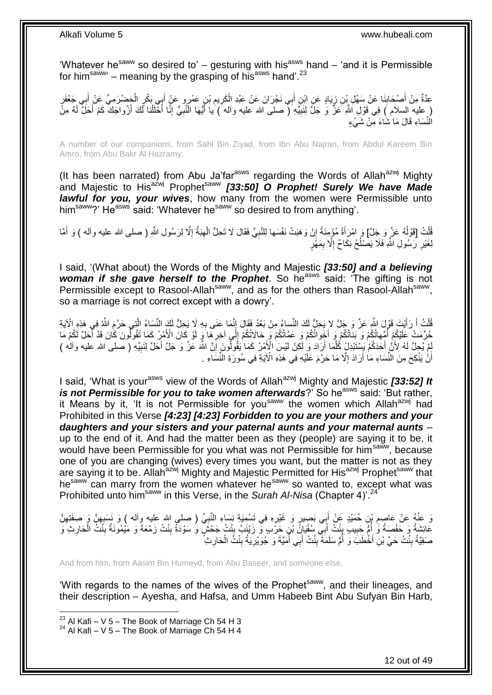'Whatever he<sup>saww</sup> so desired to' – gesturing with his<sup>asws</sup> hand – 'and it is Permissible for him<sup>saww</sup>' – meaning by the grasping of his<sup>asws</sup> hand'.<sup>23</sup>

عِدَّةٌ مِنْ أَصْحَابِنَا عَنْ سَهْلِ بْنِ زِيَادٍ عَنِ ابْنِ أَبِي نَجْرَانَ عَنْ عَبْدِ الْكَرِيمِ بْنِ عَمْرٍو عَنْ أَبِيءَكِّرِ الْجَضْرَمِيِّ عَنْ أَبِي جَعْفَرٍ **∣** َ ِ َ ْ َ ِ ِ ْ َ ∫<br>¤ ( عليه السلام ) فِي قَوْلِ اللَّهِ عَزَّ وَ جَلَّ لِنَبِيِّهِ ( صلى الله عليه وأله ) يا أَيُّهَا النَّنِيُّ إِنَّا أَخْلُلنا لَكَ أَزْواجَكَ كَمْ أَحَلَّ لَهُ مِنً ْ َ ِ ِ َ **!** َ اُ الْنُسَاءِ قَالَ مَا شَاءَ مِنْ شَيْءٍ

A number of our companions, from Sahl Bin Ziyad, from Ibn Abu Najran, from Abdul Kareem Bin Amro, from Abu Bakr Al Hazramy,

(It has been narrated) from Abu Ja'far<sup>asws</sup> regarding the Words of Allah<sup>azwj</sup> Mighty and Majestic to His<sup>azwj</sup> Prophet<sup>saww</sup> [33:50] O Prophet! Surely We have Made *lawful for you, your wives*, how many from the women were Permissible unto him<sup>saww</sup>?' He<sup>asws</sup> said: 'Whatever he<sup>saww</sup> so desired to from anything'.

قُلْتُ [قَوْلُهُ عَزَّ وَجَلَّ] وَ امْرَأَةً مُؤْمِنَةً إِنْ وَهَبَتْ نَفْسَها لِلنَّبِيِّ فَقَالَ لَا تَحِلُّ الْهِبَةُ إِلَّا لِرَسُولِ اللَّهِ ( صلى الله عليه وآله ) وَ أَمَّا ِ ِ ْ ِ ِ َ ا<br>با ْ َ لِغَيْرِ رَسُولِ اللَّهِ فَلَا يَصْلُحُ نِكَاحٌ إِلَّا بِمَهْْرٍ ِ ِ ُ ِ

I said, '(What about) the Words of the Mighty and Majestic *[33:50] and a believing woman if she gave herself to the Prophet*. So he<sup>asws</sup> said: 'The gifting is not Permissible except to Rasool-Allah<sup>saww</sup>, and as for the others than Rasool-Allah<sup>saww</sup>, so a marriage is not correct except with a dowry'.

لْمَلْتُ أَ رَأَيْتَ قَوْلَ اللَّهِ عَزَّ وَ جَلَّ لا يَحِلُّ لَكَ النِّساءُ مِنْ بَعْدُ فَقَالَ إِنَّمَا عَنَى بِهِ لَا يَحِلُّ لَكَ النِّسَاءُ الَّتِي حَرَّمَ اللَّهُ فِي هَذِهِ الْآيَةِ ِ ֦֦֧֦֦֦֦֦֦֦֧ׅ֦֧֦֧֦֧֦֧ׅ֧֦֧֦֧ׅ֧֛ׅ֧ׅ֧ׅ֧֛֛֛֚֚֚֚֚֚֚֚֚֚֚֚֚֚֚֚֚֝֝֘֝֝֝֝֓֝֘֝֘֜֜֜֝֜֜<br>֧֧֧֧֧֧֧֪֛֧֧֛֧֧ׅ֧֧֧֧֪ׅ֧֚֚֚֚֚֚֝֩֜֜֘֩֜֜ َ َ ْ َّ لَ حُرِّمَتْ عَلَيْكُمْ أُمِّهاتُكُمْ وَ بَنَاتُكُمْ وَ أَخَواتُكُمْ وَ عَمَّاتُكُمْ وِّ خالاتُكُمْ إِلَّى آخِرِهَا وَ لَوْ كَانَ الْأَمْرِ كَمَا تَقُولُونَ كَانَ قَدْ أَحَلَّ لَكُمْ مَا ُ **ٍ** ِ َ ُ َ َّبِمْ يُجِلَّ لَهُ لِأَنَّ أَحَدَكُمْ بَبِسْتَبْدِلُ كُلَّمَا أَرَادَ وَ لِكِنْ لَيْسَ الْإَمْرُ كَمَا يَقُولُونَ إِنَّ اللَّهَ عَنَّ وَ جَلَّ أَحَلَّ لِنَبِيِّهِ ( صلى الله عليه وآله ) اُ َّ ِ َ ِ أَنْٰ يَنْكِحَ مِنَ النِّسَاءِ مَاٰ أَرَادَ إِلَّا مَا حَرَّمَ عَلَيْهِ فِي هَذِهِ الْآيَةِ فِي سُورَةِ النِّسَاءِ . ِ اُ اً

I said, 'What is your<sup>asws</sup> view of the Words of Allah<sup>azwj</sup> Mighty and Majestic *[33:52] It is not Permissible for you to take women afterwards*?' So he<sup>asws</sup> said: 'But rather, it Means by it, 'It is not Permissible for you<sup>saww</sup> the women which Allah<sup>azwj</sup> had Prohibited in this Verse *[4:23] [4:23] Forbidden to you are your mothers and your daughters and your sisters and your paternal aunts and your maternal aunts* – up to the end of it. And had the matter been as they (people) are saying it to be, it would have been Permissible for you what was not Permissible for him<sup>saww</sup>, because one of you are changing (wives) every times you want, but the matter is not as they are saying it to be. Allah<sup>azwj</sup> Mighty and Majestic Permitted for His<sup>azwj</sup> Prophet<sup>saww</sup> that hesaww can marry from the women whatever hesaww so wanted to, except what was Prohibited unto him<sup>saww</sup> in this Verse, in the *Surah Al-Nisa* (Chapter 4)<sup>2</sup>

وَ عَنْهُ عَنْ عَاصِمِ بْنِ حُمَيْدٍ عَنْ أَبِي بَصِيرٍ وَ غَيْرِهِ فِي تَسْمِيَةٍ نِسَاءِ النَّبِيِّ ( صلى الله عليه وآله ) وَ نَسَبِيقَ وَ صِفَنِّهِنَّ ِ ِ ِ ِ ِ عَائِشَةُ وَ حَفْصَةُ وَّ إِمُّ حَبِيبٍ بِنْتُ أَبِي سُفْيَانََ بْنِ حَرَّب وَ زَيْنَبُ بِنْتُ جَحْشٍ وَ سَوْدَةُ بِنْتُ زَمْعَةَ وَ مَيْمُونَةُ بِنَّتُ الْحَارِثِ وَ ِ ِ َ ِ **!** ا<br>ا ِ ْ ِ صَفِيَّةُ بِنْتُ حَيِّ بْنِ أَخْطَبَ وَ أُمُّ سَلَمَةَ بِنْتُ أَبِي أُمَيَّةَ وَ جُوَيْرِيَةُ بِنْتُ الْحَارِثِ ا<br>ا َ **ِ** ا<br>ا َ **∣ ∶** ْ ِ ِ

And from him, from Aasim Bin Humeyd, from Abu Baseer, and someone else,

'With regards to the names of the wives of the Prophet<sup>saww</sup>, and their lineages, and their description – Ayesha, and Hafsa, and Umm Habeeb Bint Abu Sufyan Bin Harb,

1

 $^{23}$  Al Kafi – V 5 – The Book of Marriage Ch 54 H 3

 $24$  Al Kafi – V 5 – The Book of Marriage Ch 54 H 4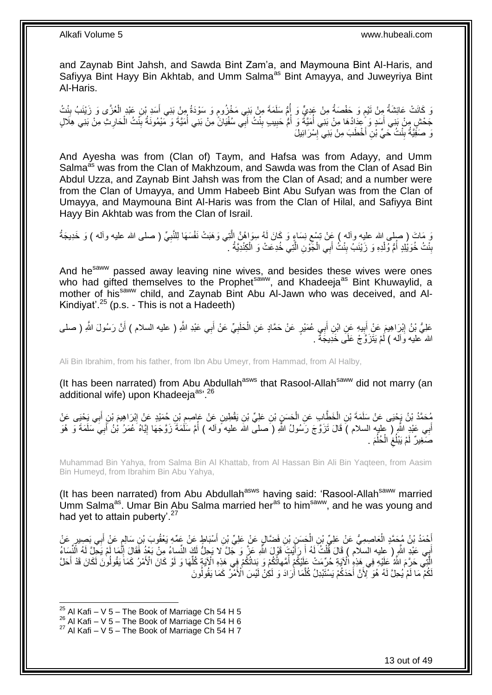and Zaynab Bint Jahsh, and Sawda Bint Zam'a, and Maymouna Bint Al-Haris, and Safiyya Bint Hayy Bin Akhtab, and Umm Salma<sup>as</sup> Bint Amayya, and Juweyriya Bint Al-Haris.

وَ كَانَتْ عَائِشَةُ مِنْ تَيْمٍ وَ حَفْصَةُ مِنْ عَدِيٍّ وَ أُمُّ سَلَمَةَ مِنْ بَنِي مَخْزُومٍ وَ سَوْدَةُ مِنْ بَنِي أَسَدِ بْنِ عَبْدٍ الْعُزَّى وَ زَيْنَبُ بِنْتُ َ ֧֖֖֖֧֖֧֧֧֧֧֧֧֧֧֧֧֚֚֚֚֓֝֝֝֝֟֓֟֓֝֬֝֓֝֬֟֓֟֓֬֝֓֟֓֟֓֝֬֝֓֝֓֟֓֝֬֝֬֝֓֝֬֝֓֝֬ ֧֧֧֧֧֧֧֧֧֓֝֟֓֝֓֝֬֟֓֝֓֝֓֟֓֟֓֓֟֓<del>֛</del> ِ ْ ِ جَحْشٍ مِنْ بَنِي أَسَدٍ وَ عَدَادُهَا مِنْ بَنِي أَمَيَّةٌ وَ أَمُّ حَبِيبٍ بِنْتُ أَبِي سُفْيَانَّ مِنْ بَنِي أَمَيَّةً وَ مَيْمُونَهُ بِنْتُ الْحَارِثِ مِنْ بَنِي هِلَالٍ َ **! !** ُ<br>ُ ا<br>ا َ ِ ْ  $\frac{1}{2}$ ُ نَ صَفَّيَّةُ بِنْتُ حَيِّ بْنِ أَخْطَبَ مِنْ بَنِي ۚ إِسْرَائِيلَ ِ **ِ** 

And Ayesha was from (Clan of) Taym, and Hafsa was from Adayy, and Umm Salma<sup>as</sup> was from the Clan of Makhzoum, and Sawda was from the Clan of Asad Bin Abdul Uzza, and Zaynab Bint Jahsh was from the Clan of Asad; and a number were from the Clan of Umayya, and Umm Habeeb Bint Abu Sufyan was from the Clan of Umayya, and Maymouna Bint Al-Haris was from the Clan of Hilal, and Safiyya Bint Hayy Bin Akhtab was from the Clan of Israil.

وَ مَاتَ ( صلى الله عليه وأله ) عَِنْ تِسْع نِسَاءٍ وَ كَانَ لَهُ سِوَاهُنَّ الَّذِي وَهَبَتْ نَفْسَهَا لِلنَّبِيِّ ( صلى الله عليه وأله ) وَ خَدِيجَةُ ِ َّ ِ بِنْتُ خُوَيْلِدٍ أُمُّ وُلْدِهِ وَ زَيْنَبُ بِنْتُ أَبِي الْجَّوْنِ الَّتِي خُدِعَتْ وَ الْكِنْدِيَّةُ . ْ ا<br>ا **ِ** ْ َّ ْ **∣** 

And he<sup>saww</sup> passed away leaving nine wives, and besides these wives were ones who had gifted themselves to the Prophet<sup>saww</sup>, and Khadeeja<sup>as</sup> Bint Khuwaylid, a mother of his<sup>saww</sup> child, and Zaynab Bint Abu Al-Jawn who was deceived, and Al-Kindiyat'. $^{25}$  (p.s. - This is not a Hadeeth)

عَلِيُّ بْنُ إِبْرَاهِيمَ عَنْ أَبِيهِ عَنِ ابْنِ أَبِي عُمَيْرٍ عَنْ حَمَّادٍ عَنِ الْحَلَبِيِّ عَنْ أَبِي عَبْدِ اللَّهِ ( عليه السلام ) أَنَّ رَسُولَ اللَّهِ ( صلى َ ِ ْ َ **!** َ ِ َ الله عليه وَاله ) لَمْ يَتَزَوَّجْ عَلَى خَدِيجَةً .

Ali Bin Ibrahim, from his father, from Ibn Abu Umeyr, from Hammad, from Al Halby,

(It has been narrated) from Abu Abdullah<sup>asws</sup> that Rasool-Allah<sup>saww</sup> did not marry (an additional wife) upon Khadeejaas, 26

ِّهُ حَمَّدُ بْنُ يَجْيَى عَنْ سَلَمَةَ بْنِ الْخَطَّابِ عَنِ الْجَسَنِ بْنِ عَلِيِّ بْنِ يَقْطِينٍ عَنْ عَاصِمِ بْنِ كُمَيْدٍ عَنْ إِبْرَاهِيمَ بْنِ أَبِي يَحْيَى عَنْ ِ ْ ْ ِ َ ِ أَبِي عَبْدٍ اللَّهِ ( عِليهِ السلام ) قَالَ تَزَوَّجَ رَسُولُ اللَّهِ ( َصلى اللَّه عليه ًواله ) أُمَّ سَلَٰمَةً زَوَّجَهَا إِيَّاهُ عَمَرُ بْنُ أَبِيَ سَلَمَةً وَ ۚ هُوَ َ ِ ُ صَغِيرٌ لَمْ يَبْلُغُ الْحُلُمَ . ُ ْ ِ

Muhammad Bin Yahya, from Salma Bin Al Khattab, from Al Hassan Bin Ali Bin Yaqteen, from Aasim Bin Humeyd, from Ibrahim Bin Abu Yahya,

(It has been narrated) from Abu Abdullah<sup>asws</sup> having said: 'Rasool-Allah<sup>saww</sup> married Umm Salma<sup>as</sup>. Umar Bin Abu Salma married her<sup>as</sup> to him<sup>saww</sup>, and he was young and had yet to attain puberty'.<sup>27</sup>

أَحْمَدُ بْنُ مُحَمَّدٍ الْعَاصِمِيُّ عَنْ عَلِيِّ بْنِ الْحَسَنِ بْنِ فَضَّالٍ عَنْ عَلِيِّ بْنِ أَسْبَاطٍ عَن<br>أَحْمَدُ بْنُ مُحَمَّدٍ الْعَاصِمِيُّ عَنْ عَلِيِّ بْنِ الْحَسَنِ بْنِ فَضَّالٍ عَنْ عَلِيِّ بْنِ أَسْبَاطٍ ع ْ ْ َ ¦<br>} َ أَبِي عَبْدِ اللَّهِ ( عليه السلّام ) قَالَ قُلْتُ لَهُ أَ رَأَيْتَ قَوْلَ اللَّهِ عَزَّ وَ جَلَّ لَا يَجِلُّ لَكَ النِّساءُ مِنْ بَعْدُ فَقَالَ إِنَّمَا لَمْ يَجِلْ لَهُ الَّنْسَاءُ َ َ ْ ِ ِّ الَّتِي حَرَّمَ اللَّهُ عَلَيْهِ فِي هَذِهِ الْآيَةِ حُرِّمَتْ عَلَيْكُمْ أُمَّهاتُكُمْ وَ يَناتُكُمْ فِي هَذِهِ الْآيَةِ كُلِّهَا وَ لَوْ كَانَ الْأَمْرُ كَمَا يَقُولُونَ لَكَانَ قَدْ أَحَلَّ ا<br>ا َ َ لَكُمْ مَا لَمْ يُحِلَّ لَهُ هُوَ لِّأَنَّ أَحَدَكُمْ يَسْتَبْدِلُ كُلَّمَا أَرَادَ وَ لَكِنْ لَيْسَ الْأَمْرُ كَمَا يَقُولُونَ اُ َ َّ

 $25$  Al Kafi – V 5 – The Book of Marriage Ch 54 H 5

 $^{26}$  Al Kafi – V 5 – The Book of Marriage Ch 54 H 6

 $27$  Al Kafi – V 5 – The Book of Marriage Ch 54 H 7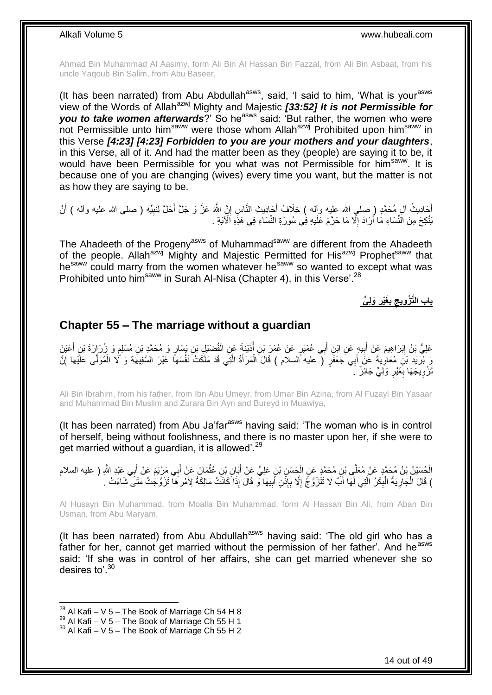Ahmad Bin Muhammad Al Aasimy, form Ali Bin Al Hassan Bin Fazzal, from Ali Bin Asbaat, from his uncle Yaqoub Bin Salim, from Abu Baseer,

(It has been narrated) from Abu Abdullah<sup>asws</sup>, said, 'I said to him, 'What is your<sup>asws</sup> view of the Words of Allahazwj Mighty and Majestic *[33:52] It is not Permissible for*  **you to take women afterwards**?' So he<sup>asws</sup> said: 'But rather, the women who were not Permissible unto him<sup>saww</sup> were those whom Allah<sup>azwj</sup> Prohibited upon him<sup>saww</sup> in this Verse *[4:23] [4:23] Forbidden to you are your mothers and your daughters*, in this Verse, all of it. And had the matter been as they (people) are saying it to be, it would have been Permissible for you what was not Permissible for him<sup>saww</sup>. It is because one of you are changing (wives) every time you want, but the matter is not as how they are saying to be.

أَجَادِيثُ ألِ مُحَمَّدٍ ( صلى الله عليه وأله ) خِلَافُ أَجَادِيثِ النَّاسِ إِنَّ اللَّهَ عَزَّ وَ جَلَّ أَحَلَّ لِنَبيِّهِ ( صلى الله عليه وأله ) أَنْ ِ َ َ ِ َ يَنْكِحَ مِنَ النِّسَاءِ مَا أَرَادَ إِلَّا مَا حَرَّمَ عَلَيْهِ فِي سُورَةِ النِّسَاءِ فِي هَذِهِ الْآيَةِ . ِ

The Ahadeeth of the Progeny<sup>asws</sup> of Muhammad<sup>saww</sup> are different from the Ahadeeth of the people. Allah<sup>azwj</sup> Mighty and Majestic Permitted for His<sup>azwj</sup> Prophetsaww that hesaww could marry from the women whatever hesaww so wanted to except what was Prohibited unto him<sup>saww</sup> in Surah Al-Nisa (Chapter 4), in this Verse<sup>'.28</sup>

> **َول ي َغْير ب باب الَّت ْز ويج**

### <span id="page-13-0"></span>**Chapter 55 – The marriage without a guardian**

عَلِيُّ بْنُ إِبْرَاهِيمَ عَنْ أَبِيهٍ عَنِ ابْنِ أَبِي عُمَيْرٍ عَنْ عُمَرَ بْنِ أَنْيْنَةَ عَنِ الْفُضَيْلِ بْنِ يَسَارٍ وَ مُحَمَّدِ بْنِ مُسْلِمٍ وَ زُرَارَةَ بْنِ أَعْيَنَ ْ ُ َ  $\frac{1}{2}$ َ ِ ֧֩֘׆֧ َ وَ بُرَيْدِ بْنَ مُعَاوِيَةَ عَنَّ أَبِي َجَعْفَرٍ ۖ عليه السلام ) قَالَ الْمَرْأَةُ الَّتِي قَدْ مَلَكَتْ نَفْسَهَا غَيْرَ السَّفِيهَةِ وَ كُلا الْمُوَلَّى عَلَيْهَا إِنَّ َّ َ ْ َ ∫<br>∶ ِ ْ َنْزُوِيجَهَا بِغَيْرِ وَلِّيٍّ جَائِزٌ ۚ ـَ **∶** ِ ِ

Ali Bin Ibrahim, from his father, from Ibn Abu Umeyr, from Umar Bin Azina, from Al Fuzayl Bin Yasaar and Muhammad Bin Muslim and Zurara Bin Ayn and Bureyd in Muawiya,

(It has been narrated) from Abu Ja'far<sup>asws</sup> having said: 'The woman who is in control of herself, being without foolishness, and there is no master upon her, if she were to get married without a guardian, it is allowed<sup>". 29</sup>

الْحُسَيْنُ بْنُ مُحَمَّدٍ عَنْ مُعَلَّى بْنِ مُحَمَّدٍ عَنِ الْجَسَنِ بْنِ عَلِيٍّ عَنْ أَبَانِ بْنِ عُثْمَانَ عَنْ أَبِي مَرْيَمَ عَنْ أَبِي عَبْدِ اللَّهِ ( عليه السلام<br>الْحُسَيْنُ بْنُ مُحَمَّدٍ ، َ **ٔ** َ ْ ْ َ ) قَالَ الْجَارِيَةُ الْبِكْرُ الَّتِي لَمَّا أَبٌّ لَا تَتَّزَوَّجُ إِلَّا بِإِذْنِ أَبِيهَا وَّ قَالَ إِذَا كَانَتْ مَالِكَةً لِأَمْرِهَا تَزَوَّجُتْ مَتَى ۖشَاءَتْ . ِ َ **ٔ** ِ ِ َ َّ ِ ْ ِ ْ ِ

Al Husayn Bin Muhammad, from Moalla Bin Muhammad, form Al Hassan Bin Ali, from Aban Bin Usman, from Abu Maryam,

(It has been narrated) from Abu Abdullah $a$ sws having said: 'The old girl who has a father for her, cannot get married without the permission of her father'. And he<sup>asws</sup> said: 'If she was in control of her affairs, she can get married whenever she so desires to'.<sup>30</sup>

 $^{28}$  Al Kafi – V 5 – The Book of Marriage Ch 54 H 8

 $^{29}$  Al Kafi – V 5 – The Book of Marriage Ch 55 H 1

 $30$  Al Kafi – V 5 – The Book of Marriage Ch 55 H 2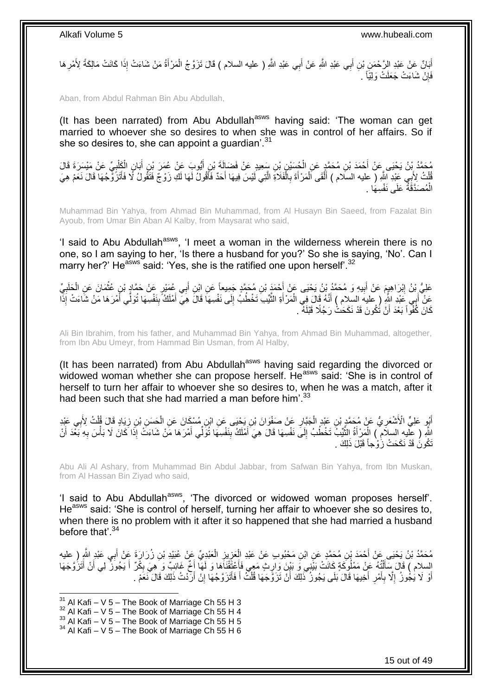َ أَبَانٌ عَنْ عَبْدِ الرَّحْمَنِ بْنِ أَبِي عَبْدِ اللَّهِ عَنْ أَبِي عَبْدِ اللَّهِ ( عليه السلام ) قَالَ تَزَوَّجُ الْمَرْأَةُ مَنْ شَاءَتْ إِذَا كَانَتْ مَالِكَةً لِأَمْرِهَا ْ َ َ ِ فَإِنْ شَاءَتْ جَعَلَتْ وَلِيَّاً . ِ

Aban, from Abdul Rahman Bin Abu Abdullah,

(It has been narrated) from Abu Abdullah<sup>asws</sup> having said: 'The woman can get married to whoever she so desires to when she was in control of her affairs. So if she so desires to, she can appoint a quardian'.<sup>31</sup>

مُحَمَّدُ بِْنُ يَحْيَى عَنْ أَحْمَدَ بْنِ مُحَمَّدٍ عَنِ الْجُسَيْنِ بْنِ سَعِيدٍ عَنْ فَضَالَةَ بْنِ أَيُّوبَ عَنْ عُمَرَ بْنِ أَبَانِ الْكَلْبِيِّ عَنْ مَيْسَرَةَ قَالَ<br>لَهُ مَرَّ يَزْ بَنَ يَبْنُ يَحْيَى عَنْ أَحْمَدَ َ ْ ِ ْ ْ َ فُلْتُ لِأَبِي عَبْدِ اللَّهِ ( عليه السلام ) أَلْقَى اَلْمَرْ أَةَ بِالْفَلَاةِ الَّتِي لَيْسَ فِيهَا أَحَدٌ فَأَقُولُ لَهَا لَكِ زَوْجٌ فَتَقُولُ لَا فَأَتَزَنَّى جُهَا قَالَ نَعَمْ هِيَ َ َ َّ ْ ِ َ ْ ْ َ ْ َ الْمُصَدَّقَّةُ عَلَى نَفْسِهَا . ْ

Muhammad Bin Yahya, from Ahmad Bin Muhammad, from Al Husayn Bin Saeed, from Fazalat Bin Ayoub, from Umar Bin Aban Al Kalby, from Maysarat who said,

'I said to Abu Abdullah<sup>asws</sup>, 'I meet a woman in the wilderness wherein there is no one, so I am saying to her, 'Is there a husband for you?' So she is saying, 'No'. Can I marry her?' He<sup>asws</sup> said: 'Yes, she is the ratified one upon herself'.<sup>32</sup>

عَلِيُّ بِنُ إِبْرَاهِيمَ عَنْ أَبِيهِ وَ مُحَمَّدُ بْنُ يَحْيَى عَنْ أَحْمَدَ بْنِ مُحَمَّدٍ جَمِيعاً عَنِ ابْنِ أَبِي عُمَيْرٍ عَنْ حَمَّادٍ بْنِ عُثْمَانَ عَنِ الْحَلَبِيِّ َ **!** َ ِ ِ ْ **ٔ** َ عَنْ أَبِي عَبْدِ اللَّهِ ( عليه السلام ) أَنَّهُ قَالَ فِي الْمَرْ أَةِ الثَّيِّبِ تَخْطُبُ إِلَى نَفْسِهَا قَالَ هِيِّ أَمْلَكُ بِنَفْسِهَا تُوَلِّي أَمْرَهَا مَنْ شَاءَتْ إِذَّا َ ِ َّ َ ْ َ َ ِ َ ِ كَانَ كُفْواً بَعْدَ أَنْ تَٰكُونَ قَدْ نَكَحَتْْ رَجُلًا قَبْلَهُ ۚ اً

Ali Bin Ibrahim, from his father, and Muhammad Bin Yahya, from Ahmad Bin Muhammad, altogether, from Ibn Abu Umeyr, from Hammad Bin Usman, from Al Halby,

(It has been narrated) from Abu Abdullah<sup>asws</sup> having said regarding the divorced or widowed woman whether she can propose herself. He<sup>asws</sup> said: 'She is in control of herself to turn her affair to whoever she so desires to, when he was a match, after it had been such that she had married a man before him'.<sup>33</sup>

ْ أَيُو عَلِيٍّ الْأَشْعَرِ يُّ عَنْ مُحَمَّدٍ بْنِ عَبْدٍ الْجَبَّارِ عَنْ صَفْوَانَ بْنِ يَحْيَى عَنِ ابْنِ مُسْكَانَ عَنِ الْحَسَنِ بْنِ زِيَادٍ قَالَ قُلْتُ لِأَبِي عَبْدِ **∶** ْ ِ **∶** ْ ِ اللَّهِ ( عِلْيهِ السلاَمِ ) الْمَرْأَةُ الثَّيِّبُّ تَخْطُبُ إِلَى نَفْسِهَا قَالَ هِيَ أَمْلَكُ بِنَفْسِهَا تُوَلِّي أَمْرَهَا مَنْ شَاءَتٌ إِذَا كَانَ لَا بَأْسَ بِهِ بَعْدَ أَنْ ِ َّ َ ْ َ ِ ْ َ َ َنْكُونَُ قَدْ نَكَحَتْ زَوْجاً قَبْلَ ذَلِكَ .

Abu Ali Al Ashary, from Muhammad Bin Abdul Jabbar, from Safwan Bin Yahya, from Ibn Muskan, from Al Hassan Bin Ziyad who said,

'I said to Abu Abdullah<sup>asws</sup>, 'The divorced or widowed woman proposes herself'. He<sup>asws</sup> said: 'She is control of herself, turning her affair to whoever she so desires to, when there is no problem with it after it so happened that she had married a husband before that'.<sup>34</sup>

مُحَمَّدُ بْنُ يَحْيَى عَنْ أَحْمَدَ بْنِ مُحَمَّدٍ عَنِ ابْنِ مَحْبُوبٍ عَنْ عَبْدِ الْعَزِيزِ الْعَبْدِيِّ عَنْ عُبَيْدِ بْنِ زُرَارَةَ عَنْ أَبِي عَبْدٍ اللَّهِ رِ عليه ْ ِ ِ ْ َ السلام ) قَالَ سَأَلْتُهُ عَنْ مَمْلُوكَةٍ كَانَتْ بَيْنِي وَ بَيْنَ وَارِثٍ مَعِي فَأَعْتَقْنَاهَا وَ لَمَهَ أَخٌ غَائِبٌ وَ هِيَ بِكْرٌ أَ يَجُوزٌ لِي أَنْ أَتَزُوَّجَهَا َ ِ َ ِ ْ َ َ َ أَوْ لَا يُجُوزُ إِلَّا بِأَمْرِ أَخِيهَا قَالَ بَلَى يَجُوزُ ۚ ذَٰلِكَ أَنْ تَزَوَّجَهَا قُلْتُ أَ فَأَتَزَوَّجُهَا إِنْ أَرَّدْتُ ذَلِكَ قَالَ نَعَمْ . َ ْ اُ َ ِ اُ ِ ِ َ اً ِ َ

<sup>1</sup>  $31$  Al Kafi – V 5 – The Book of Marriage Ch 55 H 3

 $32$  Al Kafi – V 5 – The Book of Marriage Ch 55 H 4

 $33$  Al Kafi – V 5 – The Book of Marriage Ch 55 H 5

 $34$  Al Kafi – V 5 – The Book of Marriage Ch 55 H 6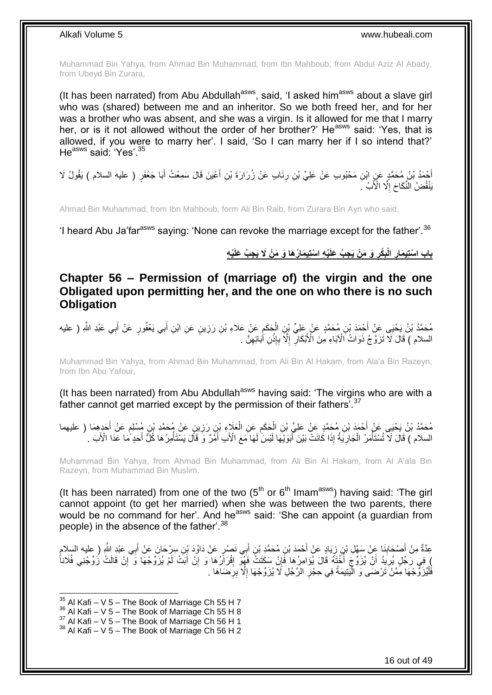Muhammad Bin Yahya, from Ahmad Bin Muhammad, from Ibn Mahboub, from Abdul Aziz Al Abady, from Ubeyd Bin Zurara,

(It has been narrated) from Abu Abdullah<sup>asws</sup>, said, 'I asked him<sup>asws</sup> about a slave girl who was (shared) between me and an inheritor. So we both freed her, and for her was a brother who was absent, and she was a virgin. Is it allowed for me that I marry her, or is it not allowed without the order of her brother?' He<sup>asws</sup> said: 'Yes, that is allowed, if you were to marry her'. I said, 'So I can marry her if I so intend that?' He<sup>asws</sup> said: 'Yes' 35

أَحْمَدُ بْنُ مُحَمَّدٍ عَنٍ ابْنِ مَحْبُوبٍ عَنْ عَلِيٍّ بْنِ رِنَابٍ عَنْ زُرَارَةَ بْنِ أَعْيَنَ قَالَ سَمِعْتُ أَبَا جَعْفَرٍ ( عليه السلام ) يَقُولُ لَا َ َ **∶** يَنْقُضُ الَّنِّكَاحَ إِلَّا الْأَبُ ۚ ِ

Ahmad Bin Muhammad, from Ibn Mahboub, form Ali Bin Raib, from Zurara Bin Ayn who said,

'I heard Abu Ja'far<sup>asws</sup> saying: 'None can revoke the marriage except for the father'.<sup>36</sup>

### باب اسْتِيمَارِ الْبِكْرِ وَ مَنْ يَجِبُ عَلَيْهِ اسْتِيمَارُهَا وَ مَنْ لَا يَجِبُ عَلَيْهِ

<span id="page-15-0"></span>**Chapter 56 – Permission of (marriage of) the virgin and the one Obligated upon permitting her, and the one on who there is no such Obligation**

مُحَمَّدُ بْنُ يَحْيَى عَنْ أَحْمَدَ بْنِ مُحَمَّدٍ عَنْ عَلِيِّ بْنِ الْحَكَمِ عَنْ عَلَاءِ بْنِ رَزِينٍ عَنِ ابْنِ أَبِي يَعْفُورٍ عَنْ أَبِي عَبْدِ اللَّهِ ( عليه َ َ ِ ِ ْ السلام ) قَالَ لَا تَزَوَّجُ ذَوَاتُ الْآبَاءِ مِنَ الْأَبْكَالِّ إِلَّا بِإِنْنِ آٰبَائِهِنَّ . ِ **ٔ ∶** ِ ِ

Muhammad Bin Yahya, from Ahmad Bin Muhammad, from Ali Bin Al Hakam, from Ala'a Bin Razeyn, from Ibn Abu Yafour,

(It has been narrated) from Abu Abdullah<sup>asws</sup> having said: 'The virgins who are with a father cannot get married except by the permission of their fathers'.<sup>37</sup>

مُحَمَّدُ بْنُ يَحْيَى عَنْ أَحْمَدَ بْنِ مُحَمَّدٍ عَنْ عَلِيٍّ بْنِ الْحَكَمِ عَنِ الْعَلَاءِ بْنِ رَزِينٍ عَنْ مُحَمَّدِ بْنِ مُسْلِمٍ عَنْ أَحَدٍهِمَا ( عليهما<br>. َ ֧֖֖֖֦֧֦֧֦֧֧֦֧֚֚֚֩֘֝֬֝֝֓֝֓֜*֬* **∶** ْ ِ ْ َ السلام ) قَالَ لَا تُسْتَأْمَرُ الْجَارِيَةُ إِذَا كَانَتْ بَيْنَ أَبَوَيْهَا لَيْسَ لَهَا مَعَ الْأَب أَمْرٌ وَ قَالَ يَسْتَأْمِرُهَا كُلَّ أَحَدٍ مَا عَدَا الْأَبَ . َ َ **∶** ْ :<br>ا َ **ٔ** 

Muhammad Bin Yahya, from Ahmad Bin Muhammad, from Ali Bin Al Hakam, from Al A'ala Bin Razeyn, from Muhammad Bin Muslim,

(It has been narrated) from one of the two  $(5<sup>th</sup>$  or  $6<sup>th</sup>$  Imam<sup>asws</sup>) having said: 'The girl cannot appoint (to get her married) when she was between the two parents, there would be no command for her'. And he<sup>asws</sup> said: 'She can appoint (a quardian from people) in the absence of the father<sup>38</sup>

عِدَّةٌ مِنْ أَصْحَابِنَا عَنْ سَهْلِ بْنِ زِيَادٍ عَنْ أَحْمَدَ بْنِ مُحَمَّدِ بْنِ أَبِي نَصْرٍ عَنْ دَاوُدَ بْنِ سِرْحَانَ عَنْ أَبِي عَبْدِ اللَّهِ ( عليه السلام ِ **∣** َ َ َ إِ فِي رَجُلٍ يُرِيَدُ أَنْ يُزَوِّجَ أَخْثَهُ قَالَ يُؤَامِرُهَا فَإِنْ سَكَتَتْ فَهُوَ إِقْرَاَرُهَا وَ إِنْ أَبَتْ لَمْ يُزَوِّجْهَا وَ إِنْ قَالَتْ زَوِّجْنِي فُلَاناً َ ِ ِ ِ ិ៍ اً ِ فْلْيُرَوِّجْهَا مِّمَّنْ َتَرْضَى وَ الْمُبَيْمَةُ فِي حِجْرِ الرَّجُلِ لَا يُزَوِّجْهَا إِلَّا بِرِّضَاهَا . ِ ا<br>ا **∶** ֧֦֦֦֖֡֡֝֟֟֩֕֓֡֟֟֩֕֓֟֓֟֓֡֟֓֟֡֟֓֡֟֟֡֟֓֟֓֡֟֓֞֟֩֕֞֟֓֞֞֞֞֞֟֩֞ :<br>ا

 $35$  Al Kafi – V 5 – The Book of Marriage Ch 55 H 7

- $36$  Al Kafi V 5 The Book of Marriage Ch 55 H 8
- $37$  Al Kafi V 5 The Book of Marriage Ch 56 H 1

 $38$  Al Kafi – V 5 – The Book of Marriage Ch 56 H 2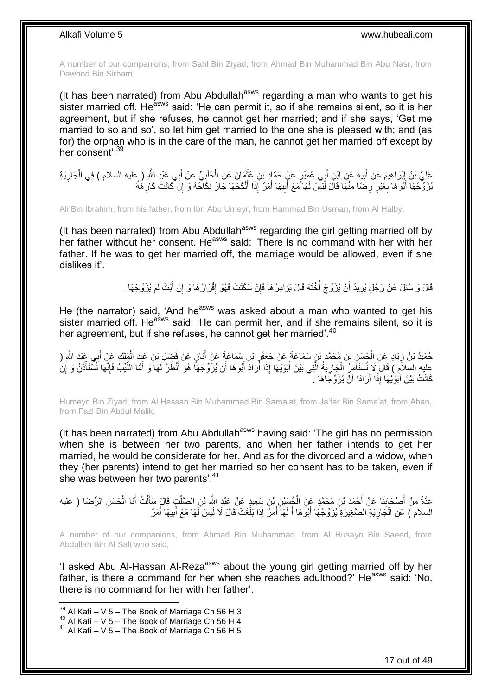A number of our companions, from Sahl Bin Ziyad, from Ahmad Bin Muhammad Bin Abu Nasr, from Dawood Bin Sirham,

(It has been narrated) from Abu Abdullah<sup>asws</sup> regarding a man who wants to get his sister married off. He<sup>asws</sup> said: 'He can permit it, so if she remains silent, so it is her agreement, but if she refuses, he cannot get her married; and if she says, 'Get me married to so and so', so let him get married to the one she is pleased with; and (as for) the orphan who is in the care of the man, he cannot get her married off except by her consent' 39

عَلِيُّ بْنُ إِبْرَاهِيمَ عَنْ أَبِيهِ عَنِ ابْنِ أَبِي عُمَيْرٍ عَنٍْ حَمَّادٍ بْنِ عُثْمَانَ عَنِ الْخَلَبِيِّ عَنْ أَبِي عَبْدِ اللَّهِ ( عليه السلام ) فِي الْجَارِيَةِ َ ِ ْ **ٔ !** َ ֦֧֦֦֦֦֧֦֦֚֚֬֝֝֝֝֝ ِ ْ يُزَوِّجُهَا أَبُوهَا بِغُيْرِ رِضَا مِنْهَا قَالَ لَيْسَ لَهَا مَعَ أَبِيهَا أَمْرٌ إِذَا أَنْكَحَهَا جَازَ نِكَاحُهُ وَ إِنَّ كَانَتْ كَارِهُةً َ **!** َ ِ ِ َ ِ ِ َ

Ali Bin Ibrahim, from his father, from Ibn Abu Umeyr, from Hammad Bin Usman, from Al Halby,

(It has been narrated) from Abu Abdullah<sup>asws</sup> regarding the girl getting married off by her father without her consent. He<sup>asws</sup> said: 'There is no command with her with her father. If he was to get her married off, the marriage would be allowed, even if she dislikes it'.

> قَالَ وَ سُئِلَ عَنْ رَجُلٍ يُرِيدُ أَنْ يُزَوِّجَ أَخْنَهُ قَالَ يُؤَامِرُ هَا فَإِنْ سَكَنَتْ فَهُوَ إِقْرَارُهَا وَ إِنْ أَبَتْ لَمْ يُزَوِّجْهَا . َ ِ ِ ِ ا<br>ا اً ِ

He (the narrator) said, 'And he<sup>asws</sup> was asked about a man who wanted to get his sister married off. He<sup>asws</sup> said: 'He can permit her, and if she remains silent, so it is her agreement, but if she refuses, he cannot get her married<sup>'.40</sup>

حُمَيْدُ بْنُ زِيَادٍ عَنِ الْحَسَنِ بْنِ مُحَمَّدٍ بْنٍ سَمَاعَةً عَنْ جَعْفَرٍ بْنِ سَمَاعَةً عَنْ أَبَانٍ عَنْ فَضْلِ بْنِ عَبْدِ الْمِلْكِ عَنْ أَبِي عَبْدِ الشَّرِ ( َ ِ ْ **∶** ; َ َ عليه السلاَمِ ) قَالَ َلا تُسْتَأْمَرُ الْجَارِيَةُ الَّتِي بَيْنَ أَبَوَيْهَا إِذَا أَرَادَ أَبُوهَا أَنْ يُزَوِّجَهَا هُوَ أَنْظَرُ لَهَا وَ أَمَّا الثَّيْبُ فَإِنَّهَا تُسْتَأْذَنُ وَ إِنْ اُ َ َ َ َّ ِ ْ ا<br>ا ِ ْ ا∣<br>ِ∘ِ َّ َ كَانَتْ بَيْنَ أَبَوَيْهَا إِذَا أَرَادَا أَنْ يُزَوِّجَاهَا . اُ َ

Humeyd Bin Ziyad, from Al Hassan Bin Muhammad Bin Sama'at, from Ja'far Bin Sama'at, from Aban, from Fazl Bin Abdul Malik,

(It has been narrated) from Abu Abdullah<sup>asws</sup> having said: 'The girl has no permission when she is between her two parents, and when her father intends to get her married, he would be considerate for her. And as for the divorced and a widow, when they (her parents) intend to get her married so her consent has to be taken, even if she was between her two parents'.<sup>41</sup>

عِدَّةٌ مِنْ أَصْحَابِنَا عَنْ أَحْمَدَ بْنِ مُحَمَّدٍ عَنِ الْجُسَيْنِ بْنٍ سَعِيدٍ عَنْ عَبْدِ اللَّهِ بْنِ الصَّلْتِ قَالَ سَأَلْتُ أَبَا الْحَسَنِ الرِّضَا ( عليه ْ ْ َ **∣** َ ْ َ ْ ĺ ِ السلام ) عَنِ الْجَارِيَةِ الصَّغِيرَةِ يُزَوِّجُهَا أَبُوَهَا أَ لَهَا أَمْرٌ إِذَا بَلَغَتْ قَالَ لَا لَيْسَ لَهَا مَعَ أَبِيهَا أَمْرٌ ْ َ ِ َ َ لَ َ َ

A number of our companions, from Ahmad Bin Muhammad, from Al Husayn Bin Saeed, from Abdullah Bin Al Salt who said,

'I asked Abu Al-Hassan Al-Reza<sup>asws</sup> about the young girl getting married off by her father, is there a command for her when she reaches adulthood?' He<sup>asws</sup> said: 'No, there is no command for her with her father'.

 $^{39}$  Al Kafi – V 5 – The Book of Marriage Ch 56 H 3

 $40$  Al Kafi – V  $5$  – The Book of Marriage Ch 56 H 4

<sup>41</sup> Al Kafi – V 5 – The Book of Marriage Ch 56 H 5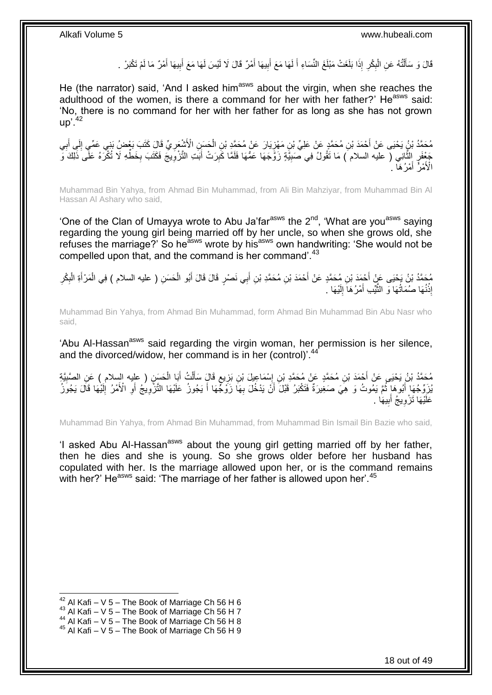قَالَ وَ سَأَلْتُهُ عَنِ الْبِكْرِ إِذَا بَلَغَتْ مَبْلَغَ النِّسَاءِ أَ لَهَا مَعَ أَبِيهَا أَمْرٌ قَالَ لَا لَيْسَ لَهَا مَعَ أَبِيهَا أَمْرٌ مَا لَمْ تَكْبَرْ . **∶** ِ ْ ֺ֧֦֧֦֧֦֦֦֦֖֦֪֦֪֦֧֦֪֦֪֦֪֪֦֪֪֦֪֪֦֪֦֪֪֦֝֟֟֟֟֟֟֟֟֟֟֟֟֟֟֟֟֟֟֟֟֟֟֓֕֟֓֟֓֟֓֟֓֟֓֟֓֟֓֟֓֟֓֟֓֟֟֟֝֟֟֟֟֟֟֟֝֟ َ َ ِ َ َ **!** لَ َ

He (the narrator) said, 'And I asked him<sup>asws</sup> about the virgin, when she reaches the adulthood of the women, is there a command for her with her father?' He<sup>asws</sup> said: 'No, there is no command for her with her father for as long as she has not grown  $up'$ .<sup>42</sup>

مُحَمَّدُ بْنُ يَحْيَى عَنْ أَحْمَدَ بْنِ مُحَمَّدٍ عَنْ عَلِيِّ بْنِ مَهْزِيَارَ عَنْ مُحَمَّدٍ بْنِ الْحَسَنِ الْأَشْعَرِيِّ قَالَ كَتَبَ بَعْضُ بَنِي عَمِّي إِلَى أَبِي<br>مَحَمَّدُ بْنُ يَحْيَى عَمِّي إِلَى أَبِي ِ ْ ِ ِ َ ِ جَعْفَرٍ الثَّانِي ( عليه السلام ) مَا تَقُولُ فِي صَبِيَّةٍ زَوَّجَهَا عَمُّهَا فَلَمَّا كَبِرَتْ أَبَتِ التَّزْوِيجَ فَكَتَبَ بِخَطِّهِ لَا تُكْرَهُ عَلَّى ذَلِكَ وَّ ِ َ ِ ِ َّ ِ الْأَمْرُ أَمْرُهَا ۚ } َ

Muhammad Bin Yahya, from Ahmad Bin Muhammad, from Ali Bin Mahziyar, from Muhammad Bin Al Hassan Al Ashary who said,

'One of the Clan of Umayya wrote to Abu Ja'far $a_{\text{sws}}$  the  $2^{\text{nd}}$ , 'What are you $a_{\text{sws}}$  saying regarding the young girl being married off by her uncle, so when she grows old, she refuses the marriage?' So he<sup>asws</sup> wrote by his<sup>asws</sup> own handwriting: 'She would not be compelled upon that, and the command is her command'.<sup>43</sup>

مُحَمَّدُ بْنُ يَحْيَى عَنْ أَحْمَدَ بْنِ مُحَمَّدٍ عَنْ أَحْمَدَ بْنِ مُحَمَّدِ بْنِ أَبِي نَصْرٍ قَالَ قَالَ أَبُو الْحَسَنِ ( عليه السلام ) فِي الْمَرْ أَةِ الْبِكْرِ ْ َ َ َ َ ِ ِ ْ َ ْ إِذْنُهَا صُمَاتُهَا وَ النَّيِّبِ أَمْرُهَا إِلَيْهَا <sub>.</sub> لَ ِ َ َّ **ٔ** 

Muhammad Bin Yahya, from Ahmad Bin Muhammad, form Ahmad Bin Muhammad Bin Abu Nasr who said,

'Abu Al-Hassan<sup>asws</sup> said regarding the virgin woman, her permission is her silence, and the divorced/widow, her command is in her (control)<sup>'.44</sup>

مُحَمَّدُ بْنُ يَحْيَى عَنْ أَحْمَدَ بْنِ مُحَمَّدٍ عَنْ مُحَمَّدِ بْنِ إِسْمَاعِيلَ بْنِ بَزِيعٍ قَالٍَ سَأَلْتُ أَبَا الْحَسَنِ ( عليه السلام ) عَنِ الصَّبِيَّةِ<br>رَحَمَّدُ بْنُ يَحْيَى عَنْ أَحْمَدَ بْنِ مُحَمَّدٍ عَنْ م ْ َ ْ َ ٍ ِ ∣l<br>∶ ِ يُزَوِّجُهَا أَبُوهَا ثُمَّ يَمُوتُ وَ هِيَ صَغِيرَةٌ فَتَكْبَرُ قَبْلَ أَنْ يَدْخُلَ بِهَا زَوْجُهَا أَ يَجُوزُ عَلَيْهَا التَّزَّوِيجُ أَوِ الْأَمْرُ إِلَيْهَا قَالَ يَجُوزُ َ ِ َ **∶** َ ا ماہ<br>سال َ لَ ِ ِ عَلَيْهَا تَزْوِيجُ أَبِيهَا **!** ِ

Muhammad Bin Yahya, from Ahmad Bin Muhammad, from Muhammad Bin Ismail Bin Bazie who said,

'I asked Abu Al-Hassan<sup>asws</sup> about the young girl getting married off by her father, then he dies and she is young. So she grows older before her husband has copulated with her. Is the marriage allowed upon her, or is the command remains with her?' He<sup>asws</sup> said: 'The marriage of her father is allowed upon her'.<sup>45</sup>

 $42$  Al Kafi – V 5 – The Book of Marriage Ch 56 H 6

 $43$  Al Kafi – V 5 – The Book of Marriage Ch 56 H 7

 $^{44}$  Al Kafi – V 5 – The Book of Marriage Ch 56 H 8

<sup>45</sup> Al Kafi – V 5 – The Book of Marriage Ch 56 H 9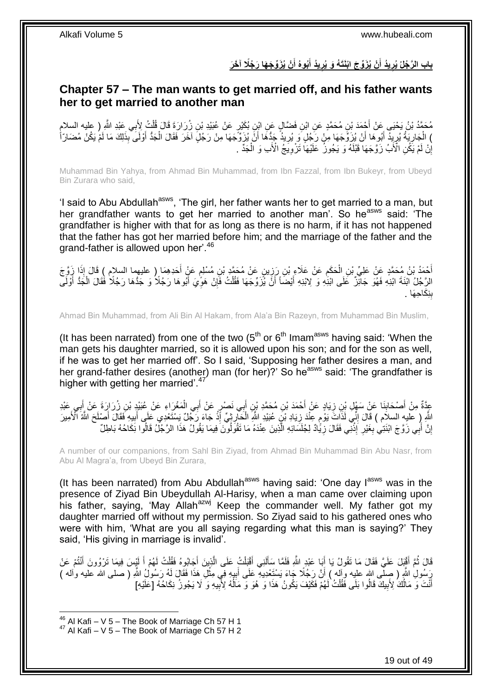### باب الرَّجُلُ يُرِيدُ أَنْ يُزَوِّجَ ابْنَتَهُ وَ يُرِيدُ أَبُوهُ أَنْ يُزَوِّجَهَا رَجُلًا آخَرَ **َ َ**

### <span id="page-18-0"></span>**Chapter 57 – The man wants to get married off, and his father wants her to get married to another man**

مُحَمَّدُ بْنُ يَحْيَى عَنْ أَجْمَدَ بْنِ مُحَمَّدٍ عَنِ ابْنِ فَضَّالٍ عَنِ ابْنِ بُكَيْرٍ عَنْ عُبَيْدِ بْنِ زُرَارَةِ قَالَ قُلْتُ لِأَبِي عَبْدِ اللَّهِ ( عليه السلامِ ْ ) الْجَارِيَةُ يُرِيدُ أَبُوهَا أَنْ يُزَوَّجَهَا مِنْ رَجُلٍ وَ يُرِيدُ جَدُّهَا أَنَّ يُزَوِّجَهَا مِنْ رَجُلٍ آخَرَ فَقَالَ الْجَدُّ أَوْلَى بِذَلِكَ مَا لَمْ يَكُنْ مُضَارِّأٌ ْ اُ ِ َ َ ِ ِ َ ِ َ إِنْ لَمْ يَكُنِ الْأَبُ زَوَّجَهَا قَبْلَهُ وَ يَجُوزُ ۖ عَلَيْهَا تَزْوِيَّجُ الْأَبِ وَ الْجَدِّ ۖ. ِ ا ْ

Muhammad Bin Yahya, from Ahmad Bin Muhammad, from Ibn Fazzal, from Ibn Bukeyr, from Ubeyd Bin Zurara who said,

'I said to Abu Abdullah<sup>asws</sup>, 'The girl, her father wants her to get married to a man, but her grandfather wants to get her married to another man'. So he<sup>asws</sup> said: 'The grandfather is higher with that for as long as there is no harm, if it has not happened that the father has got her married before him; and the marriage of the father and the grand-father is allowed upon her'.<sup>46</sup>

أَحْمَدُ بْنُ مُحَمَّدٍ عَنْ عَلِيِّ بْنِ الْحَكَمِ عَنْ عَلَاءٍ بْنِ رَزِينٍ عَنْ مُحَمَّدٍ بْنِ مُسْلِمٍ عَنْ أَحَدِهِمَا ( عليهما السلام ) قَالَ إِذَا زَوَّجَ<br>يَمَيْنُ مَحَمَّدٍ عَنْ عَلِيِّ بْنِ الْحَكَمِ عَنْ عَلَاءٍ َ ٍ ֦֧֦֦֦֦֦֦֦֦֦֦֝֝֝֝֜ ِ ْ الرَّجُلُ ابْنَةَ ابْنِهِ فَهُوَ جَائِزٌ ۖ عَلَى ابْنِهِ وَ لِابْنِهِ أَيْضَاً أَنَّ يُزَوِّجَهَا فَقُلْتُ فَإِنْ هَوِّيَ أَبُوهَا رَجُلًا وَ جَدُّهَا رَجُلًا فَقَالَ الْجَدُّ أَوْلَى اُ َ َ ْ َ **∶** ِ ْ بِنِكَاحِهَا . ِ

Ahmad Bin Muhammad, from Ali Bin Al Hakam, from Ala'a Bin Razeyn, from Muhammad Bin Muslim,

(It has been narrated) from one of the two  $(5<sup>th</sup>$  or  $6<sup>th</sup>$  Imam<sup>asws</sup> having said: 'When the man gets his daughter married, so it is allowed upon his son; and for the son as well, if he was to get her married off'. So I said, 'Supposing her father desires a man, and her grand-father desires (another) man (for her)?' So he<sup>asws</sup> said: 'The grandfather is higher with getting her married'.<sup>47</sup>

عِدَّةٌ مِنْ أَصْحَابِنَا عَنْ سَهْلٍ بْنِ زِيَادٍ عَنْ أَحْمَدَ بْنِ مُحَمَّدِ بْنٍ أَبِي نَصْرٍ عَنْ أَبِي الْمَغْرَاءِ عَنْ عُبَيْدٍ بْنِ زِرْرَارَةَ عَنْ أَبِي عَبْدِ ْ َ َ َ ِ **∣** ِ َ اللَّهِ إِ عَلَيهِ السلاَم ) قَالَ إِنِّي لَذَاتَ يَوْمٍ عِنْدَ زِيَادِ بْنِّ عُبَيْدِ اللَّهِ الْحَارِزِيِّ إِّذْ جَآءَ رَجُلٌ يَسْتَعْدِي عَلَى أَبِيهِ فَقَالَ أَصْلَحَ اللَّهُ الْأَمِيرَ ِ ֧֖֧֧֧֧֧֧֧֧֧֧֧֚֚֚֚֚֚֚֚֚֚֚֚֚֚֚֚֚֚֚֚֚֝֝֝֝֝֓֝֓֝֓֝֓֝֓֝֓֡֟֓֡֡֝֬֝֓ ِ َ ِ َ **ٔ ∶** ْ إِنَّ أَبِي زَوَّ جَ ابْنَتِي بِغَيْرِ إِذْنِي فَقَالَ زِيًّادٌ لِجُلَسَائِهِ الَّذِينَ عِنْدَهُ مَا نَقُولُونَ فِيمَا يَقُولُ هَذَا الرَّجُلُ قَالُوا نِكَاحُهُ بَاطِلٌ َّ ِ .<br>-<br>-**∶ ∶** َ اٍ ُ

A number of our companions, from Sahl Bin Ziyad, from Ahmad Bin Muhammad Bin Abu Nasr, from Abu Al Magra'a, from Ubeyd Bin Zurara,

(It has been narrated) from Abu Abdullah<sup>asws</sup> having said: 'One day  $I^{assws}$  was in the presence of Ziyad Bin Ubeydullah Al-Harisy, when a man came over claiming upon his father, saying, 'May Allah<sup>azwj</sup> Keep the commander well. My father got my daughter married off without my permission. So Ziyad said to his gathered ones who were with him, 'What are you all saying regarding what this man is saying?' They said, 'His giving in marriage is invalid'.

قَالَ ثُمَّ أَقْنِلَ عَلَيَّ فَقَالَ مَا تَقُولُ يَا أَبَا عَبْدٍ اللَّهِ فَلَمَّا سَأَلَنِي أَقْبَلْتُ عَلَى الَّذِينَ أَجَابُوهُ فَقُلْتُ لَهُمْ أَ لَيْسَ فِيمَا تَرْوُونَ أَنْتُمْ عَنْ َ َّ ْ َ لَ َ َ َ ُ َ لَ َ ْ رَسُولِ اللَّهِ ( صِلَّى الله عليه وآله ) أَنَّ رَجُلًا جَاءَ يَسْتَعْدِيهِ عَلَى أَبِيهِ فِي مِثْلِ هَذَا فَقَالَ لَهُ رَسُولُ اللَّهِ ( صلى الله عليه واله ) ْ ِ َ َ أَنْتَ وَ مَالُكَ لِأَبِيكَ قَالُوا بَلَى فَقُلْتُ لَهُمْ فَكَيْفَ يَكُونُ هَذَا وَ هُوَ وَ مَالُهُ لِأَبِيهِ وَ لَا يَجُونُ نِكَاحُهُ [عَلَيْهِ] ْ **!** اً َ ِ ا<br>ا

 $^{46}$  Al Kafi – V 5 – The Book of Marriage Ch 57 H 1

 $47$  Al Kafi – V 5 – The Book of Marriage Ch 57 H 2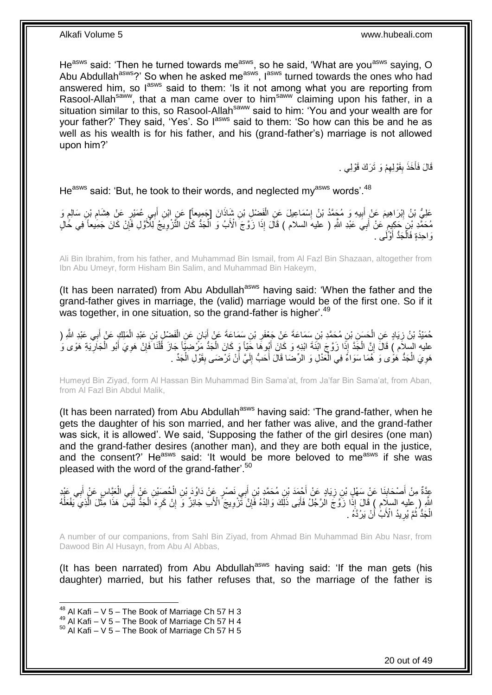He<sup>asws</sup> said: 'Then he turned towards me<sup>asws</sup>, so he said, 'What are you<sup>asws</sup> saying, O Abu Abdullah<sup>asws</sup>?' So when he asked me<sup>asws</sup>, l<sup>asws</sup> turned towards the ones who had answered him, so l<sup>asws</sup> said to them: 'Is it not among what you are reporting from Rasool-Allah<sup>saww</sup>, that a man came over to him<sup>saww</sup> claiming upon his father, in a situation similar to this, so Rasool-Allah<sup>saww</sup> said to him: 'You and your wealth are for your father?' They said, 'Yes'. So l<sup>asws</sup> said to them: 'So how can this be and he as well as his wealth is for his father, and his (grand-father's) marriage is not allowed upon him?'

> قَالَ فَأَخَذَ بِقَوْلِهِمْ وَ تَرَكَ قَوْلِي . ِ **ِ** َ

He<sup>asws</sup> said: 'But, he took to their words, and neglected my<sup>asws</sup> words'.<sup>48</sup>

ِ عَلِيُّ بْنُ إِبْرَاهِيمَ عَنْ أَبِيهِ وَ مُجَمَّدُ بْنُ إِسْمَاعِيلَ عَنِ الْفَضْلِ بْنِ شَاذَانَ [جَمِيعاً] عَنِ ابْنِ أَبِي عُمَيْرٍ عَنْ هِشَام بْنِ سَالِمٍ وَ َ ْ ∣l<br>∶ **!** َ ِ ֦֦֦֦֦֦֚֬֝֝֝֝֝֝֝ ِ مُحَمَّدِ بْنِ ۚ حَكِيمٍ عَنْ أَبِيَ عَبْدِ اللَّهِ ( عليه السلام ) قَالَ إِذَا زَوَّجَ الْأَبُ وَ الْجَدُّ كَانَ الْثَّرْوِيَجُ لِلْأَوَّلِ فَإِنْ كَانَ جَمِيعاً فِي حُالٍ َ م ।<br>़ ِ ْ وَاحِدَةٍ فَالْجَدُّ أَوَّلَى . َ ْ

Ali Bin Ibrahim, from his father, and Muhammad Bin Ismail, from Al Fazl Bin Shazaan, altogether from Ibn Abu Umeyr, form Hisham Bin Salim, and Muhammad Bin Hakeym,

(It has been narrated) from Abu Abdullah<sup>asws</sup> having said: 'When the father and the grand-father gives in marriage, the (valid) marriage would be of the first one. So if it was together, in one situation, so the grand-father is higher'.<sup>49</sup>

حُمَيْدُ بْنُ زِيَادٍ عَنِ الْحَسَنِ بْنِ مُحَمَّدِ بْنِ سَمَاعَةَ عَنْ جَعْفَرِ بْنِ سَمَاعَةَ عَنْ أَبَانٍ عَنِ الْفَضْلِ بْنِ عَبْدِ الْمَلِكِ عَنْ النَّهِ ( َ ِ ْ ِ َ ْ ْ عليه السلام ) قَالَ إِنَّ الْجَدَّ إِذَا زَوَّجَ ابْنَةَ ابْنِهِ وَ كَانَ أَبُوهَا جَيَّاً وَ كَانَ الْجَدُّ مَرْضِيَّاً جَازَ قُلْنَا فَإِنْ هَوِيَ أَبُو الْجَارِيَةِ هَوًى وَ ْ َ ْ **l** ْ َ **∶** ∣ٍ<br>∶ ْ هَوِيَ الْجَدُّ هَوًى وَ هُمَا سَوَاءٌ فِي الْعَدْلِ وَ الرِّضَا قَالَ أَحَبُّ إِلَيَّ أَنْ تَرْضَى بِقَوْلِ الْجَدِّ . ْ ِ ْ لَ ِ َ .<br>ا

Humeyd Bin Ziyad, form Al Hassan Bin Muhammad Bin Sama'at, from Ja'far Bin Sama'at, from Aban, from Al Fazl Bin Abdul Malik,

(It has been narrated) from Abu Abdullah<sup>asws</sup> having said: 'The grand-father, when he gets the daughter of his son married, and her father was alive, and the grand-father was sick, it is allowed'. We said, 'Supposing the father of the girl desires (one man) and the grand-father desires (another man), and they are both equal in the justice, and the consent?' He<sup>asws</sup> said: 'It would be more beloved to me<sup>asws</sup> if she was pleased with the word of the grand-father'.<sup>50</sup>

عِدَّةٌ مِنْ أَصْحَابِنَا عَنْ سَهْلِ بْنِ زِيَادٍ عَنْ أَحْمَدَ بْنِ مُحَمَّدٍ بْنِ أَبِي نَصْرٍ عَنْ دَاوُدَ بْنِ الْحُصَيْنِ عَنْ أَبِي الْعَنَّاسِ عَنْ أَبِي عَبْدٍ ْ َ ِ **∣** َ **∶** َ ْ َ **∶** اللَّهِ ( عِليه السلام ) قَالَ إِذًا زَوَّجَ الرَّجُلُ فَأَبَى ذَلِّكَ وَالِدُهُ فَإِنَّ تَّزْوِيجَ ۗ الْأَب جَانِزٌ وَ إِنْ كَرِهَ الْجَذُّ لَيْسَ هَذَا مِثْلَ الَّذِي يَفْعَلُهُ ∣ļ َ ُ َّ ْ ْ ِ ِ الْجَدُّ ثُمَّ يُرِيدُ الْأَبُٰ أَنْ يَرُدَّهُ . َ ِ ُ ْ

A number of our companions, from Sahl Bin Ziyad, from Ahmad Bin Muhammad Bin Abu Nasr, from Dawood Bin Al Husayn, from Abu Al Abbas,

(It has been narrated) from Abu Abdullah<sup>asws</sup> having said: 'If the man gets (his daughter) married, but his father refuses that, so the marriage of the father is

 $48$  Al Kafi – V 5 – The Book of Marriage Ch 57 H 3

<sup>49</sup> Al Kafi – V 5 – The Book of Marriage Ch 57 H 4

 $50$  Al Kafi – V 5 – The Book of Marriage Ch 57 H 5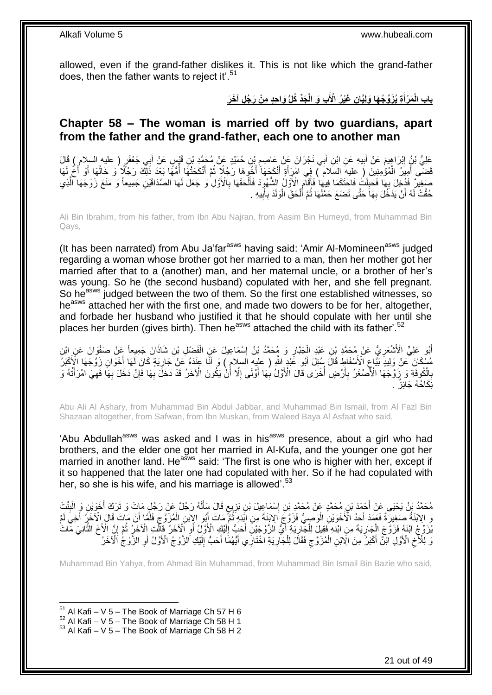allowed, even if the grand-father dislikes it. This is not like which the grand-father does, then the father wants to reject it'.<sup>51</sup>

> باب الْمَرْأَةِ يُزَوِّجُهَا وَلِيَّانٍ غَيْرُ الْأَبِ وَ الْجَدِّ كُلُّ وَاهِدٍ مِنْ رَجُلٍ آخَرَ **َ**

### <span id="page-20-0"></span>**Chapter 58 – The woman is married off by two guardians, apart from the father and the grand-father, each one to another man**

عَلِيُّ بْنُ إِبْرَاهِيمَ عَنْ أَبِيهِ عَنِ ابْنِ أَبِي نَجْرَانَ عَنْ عَاصِمِ بْنِ حُمَيْدٍ عَنْ مُحَمَّدٍ بْنِ قَيْسٍ عَنْ أَبِي جَعْفَرٍ ( عليه السلام ) قَالَ **!** َ َ ِ َ قَضَى أَمِيَرُ ۖ الْمُؤْمِنِينَ (َ عليهَ السّلامَ ۖ ) فِي امْرٍ أَةٍ أَنْكَحَهَا أَخُوِّهَا رَجُلًاٍ ثُمَّ أَنْكَحَتْهَا إِمُّهًا بَعْدَ ذَلِكَ رَجُلًا وَ خَالُهَا أَوْ أَخٌ لَهَا ا<br>ا َ ا<br>المقام َ َ َ ْ َ َ ُ صَغِيرٌ فَذُخِلَ بِهَا فَحَلِكُ فَاحْتَكَمَا فِيهَا فَأَقَامَ الْأَوَّلُ الشُّهُوِدَ فَأَلْحَقَهَا بِالْأَوَّل<br>يَسْفِيرُ فَذُخِلَ بِهَا فَحَلِكُ فَاحْتَكَمَا فِيهَا فَأَقَامَ الْأَوَّلُ الشُّهُوِدَ فَأَلْحَقَهَا بِالْأَوَ **∶** ْ َ َ ِ ِ َّ حُقَّتْ لَهُ أَنْ يَدْخُلَ بِهَا حَتَّى تَضَعَ حَمْلَهَا ثُمَّ أَلْحَقَ الْوَلَدَ بِأَبِيهِ . ِ ِ َ ِ ْ ْ َ ُ

Ali Bin Ibrahim, from his father, from Ibn Abu Najran, from Aasim Bin Humeyd, from Muhammad Bin Qays,

(It has been narrated) from Abu Ja'far<sup>asws</sup> having said: 'Amir Al-Momineen<sup>asws</sup> judged regarding a woman whose brother got her married to a man, then her mother got her married after that to a (another) man, and her maternal uncle, or a brother of her's was young. So he (the second husband) copulated with her, and she fell pregnant. So he<sup>asws</sup> judged between the two of them. So the first one established witnesses, so he<sup>asws</sup> attached her with the first one, and made two dowers to be for her, altogether, and forbade her husband who justified it that he should copulate with her until she places her burden (gives birth). Then he<sup>asws</sup> attached the child with its father<sup>'.52</sup>

اْبُو عَلِيٍّ الْأَشْعَرِ يُّ عَنْ مُحَمَّدِ بْنِ عَبْدِ الْجَبَّارِ وَ مُحَمَّدُ بْنُ إِسْمَاعِيلَ عَنِ الْفَضْلِ بْنِ شَاذَانَ جَمِيعاً عَنْ صَفْوَانَ عَنِ ابْنِ ْ ِ ِ ْ ِ َ مُسْكَانَ كُنْ وَلِيدٍ بَيَّاعٍ الْأَسْفَاطِ قَالَ سُئِلَ أَبُو عََيْدٍ اللَّهِ ( عليهِ السالامِ ) وَ أَنَّا عِنْدَهُ عَنْ جَارِيَةٍ كَانَ لَهَا أَخَوَانِ زَوَّجَهَا الْإِكْبَرُ َ ِ َ َ ِ بِالْكُوفَةِ وَ زَوَّجَهَا الْأَصْغَرُ بِأَرْضٍ أُخْرَى قَالَ الْأَوَّلُ بِهَا أَوْلَى إِلَّا أُنْ يَكُونَ الْآخَرُ قَدْ دَخَلَ بِهَا فَإِنْ دَخَلَ بِهَا فَهِيَ امْرَأَتُهُ وَ أ ِ َ ِ ا<br>ا َ **∶ ∶** َ ِ ِ ∣ļ ِ نِّكَاحُهُ جَائِزٌ .

Abu Ali Al Ashary, from Muhammad Bin Abdul Jabbar, and Muhammad Bin Ismail, from Al Fazl Bin Shazaan altogether, from Safwan, from Ibn Muskan, from Waleed Baya Al Asfaat who said,

'Abu Abdullah<sup>asws</sup> was asked and I was in his<sup>asws</sup> presence, about a girl who had brothers, and the elder one got her married in Al-Kufa, and the younger one got her married in another land. He<sup>asws</sup> said: 'The first is one who is higher with her, except if it so happened that the later one had copulated with her. So if he had copulated with her, so she is his wife, and his marriage is allowed<sup>".53</sup>

مُحَمَّدُ بِنُ يَحْيَى عَنْ أَحْمَدَ بْنِ مُحَمَّدٍ عَنْ مُحَمَّدِ بْنِ إِسْمَاعِيلَ بْنِ بَزِيِعٍ قَالَ سَأَلَهُ رَجُلٌ عَنْ رَجُلٍ مَاتَ وَ تَرَكَ أَخَوَيْنِ وَ الْبِنْتَ لَ Í ٍ ِ ِ ِ ْ َ ِ اِبْنَةُ صَغِيرَةٌ فَعَمَدَ أَجَدُ الْأَخَوَيْنِ الْوَصِيُّ فَزَوَّجَ الِاِيْنَةَ مِنِ إِبَّنِهِ ثُمَّ مَاتَ أَبُو الإِبْنِ الْمُزَوَّجِ فَلَمَّا أَنْ مَاتَ قَالَ الْأَخَرُ أَخِي لَمْ ِ ْ َ ُ ْ َ َ َ يَّزَوُّ جُ ابْنَهُ فَزَوَّجَ إِلْجَارِيَةَ مِنِ ابْنِهِ فَقِيلٍ لِلْجَلِّرِيَةِ أَيُّ الزَّوْجَيْنِ أَحَبُّ إِلَيْكِ الْأَوَلَىُ أَوِ الْأَخَرِ وَالْخَرَجِ فَاتَ َ ¦ ْ ِ ْ َّ ِ ُ ِ أ لَ ∣∣<br>∶ َ َوَ لِلْأَخِ الْأَوَّلِ اَبْنُ أَكْبَرُ مِنَ الِّابْنِ الْمُزَوَّجِ فَقَالَ لِلْجَارِيَةِ الْخُتَارِي أَيُّهُمَا أَحَبُّ إِلَيْكِ الزَّوْجُ الْأَوَّلُ أَوِ الزَّوْجُ الْأَخَرُ لَ ِ َ َ **∶** ْ ِ ْ ِ ِ اً

Muhammad Bin Yahya, from Ahmad Bin Muhammad, from Muhammad Bin Ismail Bin Bazie who said,

 $51$  Al Kafi – V 5 – The Book of Marriage Ch 57 H 6

 $52$  Al Kafi – V 5 – The Book of Marriage Ch 58 H 1

 $53$  Al Kafi – V 5 – The Book of Marriage Ch 58 H 2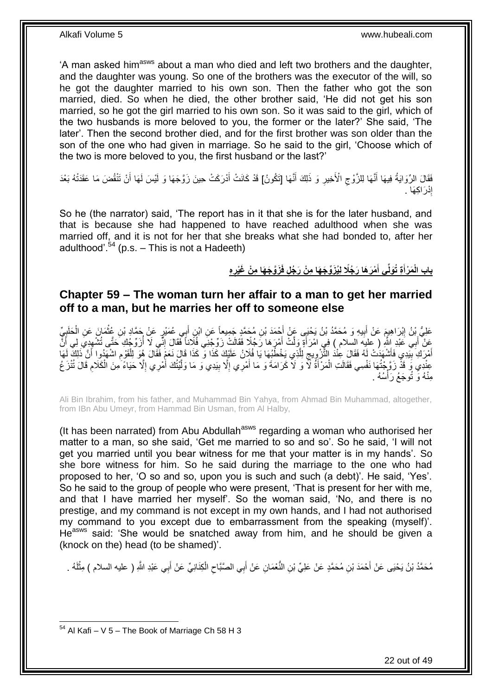'A man asked him<sup>asws</sup> about a man who died and left two brothers and the daughter, and the daughter was young. So one of the brothers was the executor of the will, so he got the daughter married to his own son. Then the father who got the son married, died. So when he died, the other brother said, 'He did not get his son married, so he got the girl married to his own son. So it was said to the girl, which of the two husbands is more beloved to you, the former or the later?' She said, 'The later'. Then the second brother died, and for the first brother was son older than the son of the one who had given in marriage. So he said to the girl, 'Choose which of the two is more beloved to you, the first husband or the last?'

فَقَالَ الرِّوَايَةُ فِيهَا أَنَّهَا لِلزَّوْجِ الْأَخِيرِ وَ ذَلِكَ أَنَّهَا [تَكُونُ] قَدْ كَانَتْ أَدْرَكَتْ حِينَ زَوَّجَهَا وَ لَيْسَ لَهَا أَنْ تَنْقُضَ مَا عَقَدَتْهُ بَعْدَ ِ  $\zeta$ َ َ َ َ إِدْرَاكِهَا . ِ

So he (the narrator) said, 'The report has in it that she is for the later husband, and that is because she had happened to have reached adulthood when she was married off, and it is not for her that she breaks what she had bonded to, after her adulthood'.<sup>54</sup> (p.s.  $-$  This is not a Hadeeth)

> باب الْمَرْأَةِ تُوَلِّى أَمْرَهَا رَجُلًا لِيُزَوِّجَهَا مِنْ رَجُلٍ فَزَوَّجَهَا مِنْ غَيْرِهِ **َ َ**

### <span id="page-21-0"></span>**Chapter 59 – The woman turn her affair to a man to get her married off to a man, but he marries her off to someone else**

عَلِيُّ بِنُ إِبْرَاهِيمَ عَنْ أَبِيهِ وَ مُحَمَّدُ بْنُ يَحْيَى عَنْ أَحْمَدَ بْنِ مُحَمَّدٍ جَمِيعاً عَنِ ابْرِ أَبِي عُمَيْرٍ عَنْ حَمَّادِ بْنِ عُثْمَانَ عَنِ الْحَلَيِيِّ َ َ **!** َ ِ ِ<br>پہ ْ ْ عَنْ أَبِي عَبْدِ اللَّهِ ( عليه السلام ) فِي امْرَأَةٍ وَلَّتْ أَمْرَ هَا رَجُلًا فَقَالَتْ زَوِّجْنِي فُلَاناً فَقَالَ إِنَّي لَا أُزَوِّجُكِ حَتَّى تُشْهِدِيَ لِي أَنَّ ِ َ َ َ ِ ُ أَمْرَكَ بِيَّدِي فَأَشْهَدُتْ لَهُ فَقَالَ عِنْدُ الثَّزْوِيجَ لَلَّذِي يَخْطُبُهَا يَا فُلَانُ عَلَيْكَ كَذَا وَّ كَذَا قَالٍ نَعَعُ فَقَالَ هُوَ لَلْقَوْمِ اشْهَدُوا أَنَّ ذَلِكَ لَمَا َ **!** َ ِ ْ َّ ِ ِ َ عِنْدِي وَ قَذْ زَوَّ جُتُهَا نَفْسِي فَقَالَتِ الْمَرْأَةُ لَّا وَ لَا كَرَامَةَ وَ مَا أَمْرِي إِلَّا بِيَدِي وَ مَا وَلَّيْتُكَ أَمْرِي إِلَّا حَيَاءً مِنَ الْكَلَامِ قَالَ تُنْزَعُ ِ َ ֺ<u>֓</u>֓֡֡֡֡֡֡֡֝ ْ ِ ْ ِ َ َّ ِ مِنْهُ وَ تُوجَعُ رَأْسُهُ . **ٔ** 

Ali Bin Ibrahim, from his father, and Muhammad Bin Yahya, from Ahmad Bin Muhammad, altogether, from IBn Abu Umeyr, from Hammad Bin Usman, from Al Halby,

(It has been narrated) from Abu Abdullah<sup>asws</sup> regarding a woman who authorised her matter to a man, so she said, 'Get me married to so and so'. So he said, 'I will not get you married until you bear witness for me that your matter is in my hands'. So she bore witness for him. So he said during the marriage to the one who had proposed to her, 'O so and so, upon you is such and such (a debt)'. He said, 'Yes'. So he said to the group of people who were present, 'That is present for her with me, and that I have married her myself'. So the woman said, 'No, and there is no prestige, and my command is not except in my own hands, and I had not authorised my command to you except due to embarrassment from the speaking (myself)'. He<sup>asws</sup> said: 'She would be snatched away from him, and he should be given a (knock on the) head (to be shamed)'.

مُحَمَّدُ بْنُ يَحْيَى عَنْ أَحْمَدَ بْنِ مُحَمَّدٍ عَنْ عَلِيِّ بْنِ النُّعْمَانِ عَنْ أَبِي الصَّبَّاحِ الْكِنَانِيِّ عَنْ أَبِي عَبْدِ اللَّهِ ( عليه السلام ) مِثْلَهُ . ْ ِ لَ **ٔ** َ

<sup>1</sup>  $54$  Al Kafi – V 5 – The Book of Marriage Ch 58 H 3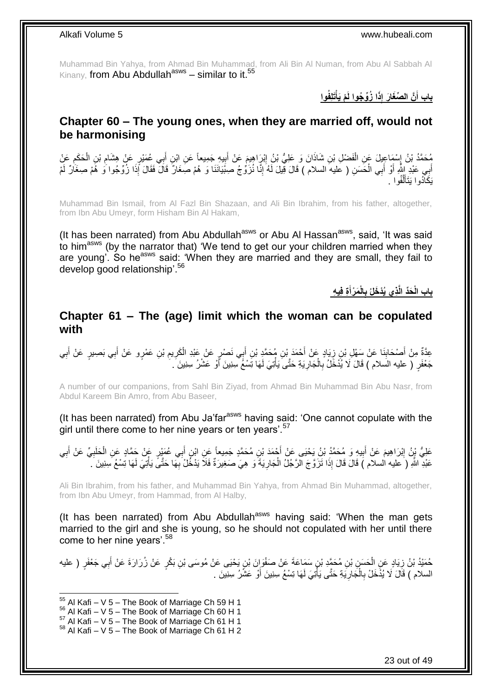Muhammad Bin Yahya, from Ahmad Bin Muhammad, from Ali Bin Al Numan, from Abu Al Sabbah Al Kinany, from Abu Abdullah<sup>asws</sup> – similar to it.<sup>55</sup>

> **َتل فُوا ْم َيأ ا ُزِّو ُجوا لَ ذَ َّن ال ِّصَغا َر إ باب أ ْ َ**

### <span id="page-22-0"></span>**Chapter 60 – The young ones, when they are married off, would not be harmonising**

ُحَمَّدُ بْنُ إِسْمَاعِيلَ عَنِ الْفَضْلِ بْنِ شَاذَانَ وَ عَلِيُّ بْنُ إِبْرَاهِيمَ عَنْ أَبِيهِ جَمِيعاً عَنِ ابْنِ أَبِي عُمَيْرٍ عَنْ هِشَامِ بْنِ الْحَكَمِ عَنْ َ **⊥** َ ِ ْ ِ ِ ْ ِ أَبِي عَبْدِ اللَّهِ أَوْ أَبِي الْحَسَنِ ( عَليه السلام ) قَالَ قِيلَ لَهُ إِنَّا نُزَوُّجُ صِبْيَانَنَا وَ هُمْ صِغَانٌ قَالَ فَقَالَ إِذَا زُوِّجُوا وَ هُمْ صِغَانٌ لَمْ ْ َ ِ لَ يَكَاْدُوا يَتَأَلَّفُوا . َّ َ

Muhammad Bin Ismail, from Al Fazl Bin Shazaan, and Ali Bin Ibrahim, from his father, altogether, from Ibn Abu Umeyr, form Hisham Bin Al Hakam,

(It has been narrated) from Abu Abdullah<sup>asws</sup> or Abu Al Hassan<sup>asws</sup>, said, 'It was said to him<sup>asws</sup> (by the narrator that) 'We tend to get our your children married when they are young'. So he<sup>asws</sup> said: 'When they are married and they are small, they fail to develop good relationship'.<sup>56</sup>

> باب الْحَدِّ الَّذِى يُدْخَلُ بِالْمَرْأَةِ فِيهِ **َ**

### <span id="page-22-1"></span>**Chapter 61 – The (age) limit which the woman can be copulated with**

عِدَّةٌ مِنْ أَصْحَابِنَا عَنْ سَهْلِ بْنِ زِيَادٍ عَنْ أَحْمَدَ بْنِ مُحَمَّدٍ بْنِ أَبِي نَصْرٍ عَنْ خَبْدِ الْكَرِيمِ بْنِ عَمْرٍو عَنْ أَبِي بَصِيرٍ عَنْ أَبِي َ ِ **∣** َ ِ َ َ ِ ِ ْ جَعْفَرٍ ( عليه السلام ) قَالَ لَا يُدْخَلُ بِالْجَارِيَةِ حَتَّىَ يَأْتِيَ لَهَا تِسْئُمْ سِنِينَ أَوْ عَشْرُ سِنِينَ َ َ ْ ِ ْ ِ

A number of our companions, from Sahl Bin Ziyad, from Ahmad Bin Muhammad Bin Abu Nasr, from Abdul Kareem Bin Amro, from Abu Baseer,

(It has been narrated) from Abu Ja'far $a<sup>asws</sup>$  having said: 'One cannot copulate with the girl until there come to her nine years or ten years'.<sup>57</sup>

عَلِيُّ بِنُ اِبْرَاهِيمَ عَنْ أَبِيهِ وَ مُحَمَّدُ بْنُ يَحْيَى عَنْ أَحْمَدَ بْنِ مُحَمَّدٍ جَمِيعاً عَنِ ابْنِ أَبِي عُمَيْرٍ عَٖنْ جَمَّادٍ عَنِ الْحَلَبِيِّ عَنْ أَبِي ِ َ **ֽו ∶** ْ َ ِ َ عَبْدِ اللَّهِ (َ عليه السلام ) قَالَ قَالَ إِذَا تَزَوَّجَ الرَّجُلُ الْجَارِيَةَ وَ هِيَ صَغِيرَةٌ فَلَا يَدْخُلْ بِهَا حَتَّىً يَأْتِيَ لَهَا تِسْعُ سِنِينَ َ ِ **∶** ْ ْ

Ali Bin Ibrahim, from his father, and Muhammad Bin Yahya, from Ahmad Bin Muhammad, altogether, from Ibn Abu Umeyr, from Hammad, from Al Halby,

(It has been narrated) from Abu Abdullah<sup>asws</sup> having said: 'When the man gets married to the girl and she is young, so he should not copulated with her until there come to her nine years'.<sup>58</sup>

حُمَيْدُ بْنُ زِيَادٍ عَنِ الْحَسَنِ بْنِ مُحَمَّدِ بْنِ سَمَاعَةَ عَنْ صَفْوَإِنَ بْنِ يَحْيَى عَنْ مُوسَى بْنِ بَكْرٍ عَنْ زُرَارَةَ عَنْ أَبِي جَعْفَرٍ ( عليه ْ ِ َ السلام ) قَالَ لَا يُذْخَلْ بِالْجَارِيَةِ حَتَّى يَأْتِيَ لَهَا تِسْعُ سِنِينَ أَوْ عَشْرُ سِنِينَ . اُ ا<br>ا ِ ْ ِ

- $56$  Al Kafi V 5 The Book of Marriage Ch 60 H 1
- $57$  Al Kafi V  $5$  The Book of Marriage Ch 61 H 1

 $55$  Al Kafi – V 5 – The Book of Marriage Ch 59 H 1

 $58$  Al Kafi – V 5 – The Book of Marriage Ch 61 H 2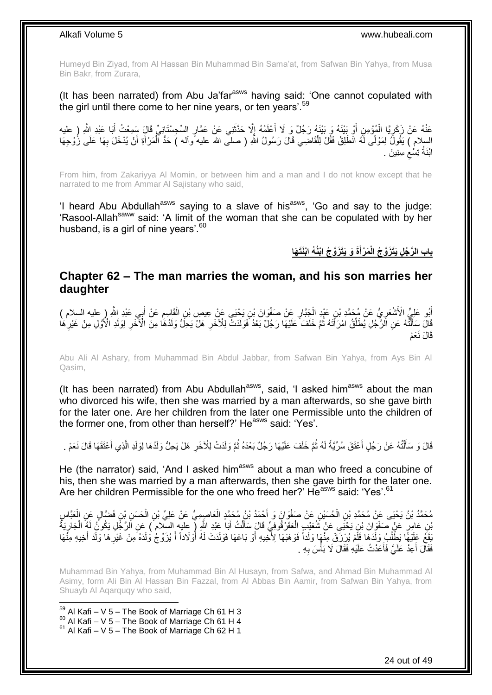Humeyd Bin Ziyad, from Al Hassan Bin Muhammad Bin Sama'at, from Safwan Bin Yahya, from Musa Bin Bakr, from Zurara,

(It has been narrated) from Abu Ja'far $a<sup>asws</sup>$  having said: 'One cannot copulated with the girl until there come to her nine years, or ten years'.<sup>59</sup>

عَذْهُ عَنْ زَكَرِيَّا الْمُؤْمِنِ أَوْ بَيْنَهُ وَ بَيْنَهُ رَجُلٌ وَ لَا أَعْلَمُهُ إِلَّا حَذَّثَنِي عَنْ عَمَّارِ السِّجِسْنَانِيِّ قَالَ سَمِعْتُ أَبَا عَبْدِ الثَّهِ (ِ عليه<br>. اً<br>ا ا َ ْ ¦ َ َ السِلام ) يَقُولُ لِمَوْلًى لَهُ انْطَلِقْ فَقُلْ لِلْقَاضِي قَالَ رَسُولُ اللَّهِ ( صلى الله عليه ًوأله ) حَدُّ الْمَرْأَةِ أَنْ يُدْخَلَ بِهَا عَلَى زُوْجِهَا َ ْ ْ ِ ابْنَةُ تِسْعْ سِنِينَ .  $\zeta$ 

From him, from Zakariyya Al Momin, or between him and a man and I do not know except that he narrated to me from Ammar Al Sajistany who said,

'I heard Abu Abdullah<sup>asws</sup> saying to a slave of his<sup>asws</sup>, 'Go and say to the judge: 'Rasool-Allah<sup>saww</sup> said: 'A limit of the woman that she can be copulated with by her husband, is a girl of nine years'.<sup>60</sup>

> **َة َو َيَت َزَّو ُج اْبُن ُه اْبَنَت َها َم ْرأ باب ال َّر ُج ل َيَت َزَّو ُج الْ َ**

### <span id="page-23-0"></span>**Chapter 62 – The man marries the woman, and his son marries her daughter**

أَبُو عَلِيٍّ الْأَشْعَرِيُّ عَنْ مُحَمَّدِ بْنِ عَبْدِ الْجَنَّارِ عَنْ صَفْوَانَ بْنِ يَحْيَى عَنْ عِيصِ بْنِ الْقَاسِمِ عَنْ أَبِي عَبْدِ اللَّهِ ( عليه السلام ) ِ ْ ِ ْ ¦ َ َ َالَ سَأَأَنَّهُ عَنِ الْرَّجُلِ يُطَلِّقُ امْرَأَتَهُ ثُمَّ خَلَفَ عَلَيْهَا رَجُلٌ بَعْدُ فَوَلَدَتَّ لِلْآخَرِ هَلْ وَذَهُ هَا مِنَ الْآخَرِ لِوَلَدِ الْأَوَّلِ مِنْ غَيْرِهَا ُ َ ِّ ْ َ ِ ِ ِ قَالَ نَعَمْ

Abu Ali Al Ashary, from Muhammad Bin Abdul Jabbar, from Safwan Bin Yahya, from Ays Bin Al Qasim,

(It has been narrated) from Abu Abdullah $a<sup>asws</sup>$ , said, 'I asked him $a<sup>asws</sup>$  about the man who divorced his wife, then she was married by a man afterwards, so she gave birth for the later one. Are her children from the later one Permissible unto the children of the former one, from other than herself?' He<sup>asws</sup> said: 'Yes'.

قَالَ وَ سَأَلْتُهُ عَنْ رَجُلٍ أَعْثَقَ سُرِّيَّةً لَهُ ثُمَّ خَلَفَ عَلَيْهَا رَجُلٌ بَعْدَهُ ثُمَّ وَلَدَتْ لِلْأَخَرِ هَلْ يَحِلُّ وَلَدُهَا لِوَلَدِ الَّذِي أَعْتَقَهَا قَالَ نَعَمْ . **∶** ُ ُ لَ َ ֺ֦֦֪֦֧֦֦֖֦֦֪֦֧֦֪֦֧֦֪֪֦֧֦֪֦֪֪֦֧֦֪֦֧֦֧֦֪֦֧֦֧֦֪֪֦֧֪֦֧֪֦֧֦֧֦֧֝֟֟֟֟֟֟֟֟֟֟֟֟֟֟֟֟֟֟֟֟֟֟֓֕֬֟֓֡֟֓֟֓֞֟֟֓֞֟֟֟֟֟֟֟֩֓֞֟֟֟֟֟֟ َ َ َّ

He (the narrator) said, 'And I asked him<sup>asws</sup> about a man who freed a concubine of his, then she was married by a man afterwards, then she gave birth for the later one. Are her children Permissible for the one who freed her?' He<sup>asws</sup> said: 'Yes'.<sup>61</sup>

مُحَمَّدُ بْنُ يَحْيَى عَنْ مُحَمَّدِ بْنِ الْحُسَيْنِ عَنْ صَفْوَانَ وَ أَحْمَدُ بْنُ مُحَمَّدٍ الْعَاصِمِيُّ عَنْ عَلِيِّ بْنِ الْحَسَنِ بْنِ فَضَّالٍ عَنِ الْعَبَّاسِ ْ ْ ْ ْ َبْنِ عَامِرٍ عَنْ صَفْوَانَ بْنِ يَحْيَى عَنْ شُعَيْبِ الْعَقَرْقُوفِيِّ قَالَ سَأَلْتُ أَبَا عَيْدِ اللَّهِ [ عليه السلام ) عَنِ اَلرَّجُلِ يَكُونُ لَهُ الْجَارِيَةُ َ ْ َ ْ ِ ْ لَ ِفَعَ عَلَيْهَا يَطْلُبُ وَلَدَهَا فَأَمْ يُرْزَقْ مِنْهَا وَلَداً فَوَهَبَهَا لِأَخْيهِ أَوْ بَاعَهَا فَوَلَدَتْ لَهُ أَوْلَاداً أَ يُزَوِّجُ وَلَدَهُ مِنْ خَيْرِهَا وَلَدَ أَخِيهِ مِنْهَا َ اُ ُ َ ِ َ فَقَالَ أَعِدْ عَلَيَّ فَأَعَدْتُ عَلَيْهِ فَقَالَ لَا بَأْسَ بِهِ . َ ا<br>ا ِ :<br>ا

Muhammad Bin Yahya, from Muhammad Bin Al Husayn, from Safwa, and Ahmad Bin Muhammad Al Asimy, form Ali Bin Al Hassan Bin Fazzal, from Al Abbas Bin Aamir, from Safwan Bin Yahya, from Shuayb Al Aqarquqy who said,

1  $59$  Al Kafi – V 5 – The Book of Marriage Ch 61 H 3  $^{60}$  Al Kafi – V 5 – The Book of Marriage Ch 61 H 4  $61$  Al Kafi – V 5 – The Book of Marriage Ch 62 H 1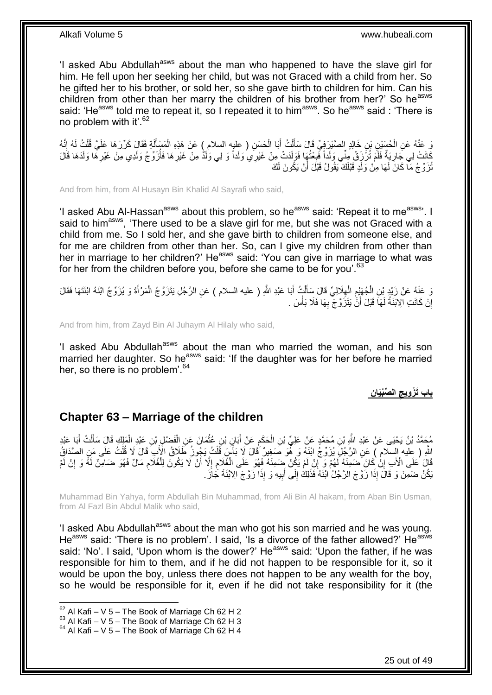'I asked Abu Abdullah<sup>asws</sup> about the man who happened to have the slave girl for him. He fell upon her seeking her child, but was not Graced with a child from her. So he gifted her to his brother, or sold her, so she gave birth to children for him. Can his children from other than her marry the children of his brother from her?' So he<sup>asws</sup> said: 'He<sup>asws</sup> told me to repeat it, so I repeated it to him<sup>asws</sup>. So he<sup>asws</sup> said : 'There is no problem with it'.<sup>62</sup>

يَ عَنْهُ عَنِ الْحُسَيْنِ بْنِ خَالِدٍ الصَّيْرِ فِيٍّ قَالَ سَأَلْتُ أَبَا الْحَسَنِ ( عِليهِ السلام ) عَنْ هَذِهِ الْمَسْأَلَةِ فَقَالٍ كَرِّرْهَا عَلَيَّ قُلْتُ لَهُ إِنَّهُ ْ َ ْ ِ ْ لَ َ ْ ْ َ كَانَتْ لِي جَارِيَةٌ فَلَمْ تُزَّزَقْ مِنِّي وَلَداً فَبِعْتُهَا فَوَلَدَتْ مِنْ غَيْرِي وَلَداً وَ لِي وَلَد<br>كُلفتْ لِي جَارِيَةٌ فَلَمْ تُزَّزَقْ مِنِّي وَلَداً فَبِعْتُهُو فَلَدَتْ مِنْ غَيْرِي وَلَداً وَ لِي وَلَدٌ م ِ **∶** ِ ُ ِ ُنْرَوِّجُ مَا كَانَ لَهَا مِنْ وَلَدٍ قَبْلَكَ يَقُولُ قَبْلَ أَنْ يَكُونَ لَكَ

And from him, from Al Husayn Bin Khalid Al Sayrafi who said,

'I asked Abu Al-Hassan<sup>asws</sup> about this problem, so he<sup>asws</sup> said: 'Repeat it to me<sup>asws</sup>'. I said to him<sup>asws</sup>, 'There used to be a slave girl for me, but she was not Graced with a child from me. So I sold her, and she gave birth to children from someone else, and for me are children from other than her. So, can I give my children from other than her in marriage to her children?' He<sup>asws</sup> said: 'You can give in marriage to what was for her from the children before you, before she came to be for you'.<sup>63</sup>

وَ عَنْهُ عَنْ زَيْدٍ بْنِ الْجُهَنْدِمِ الْهِلَالِيِّ قَالَ سِأَلْتٍ أَبَا عَبْدِ اللَّهِ ( عليه السلام ) عَنِ الرَّجُلِ يَتَزَوَّجُ الْمَرْأَةَ وَ يُزَوِّجُ ابْنَهُ ابْنَتَهَا فَقَالَ َ ْ َ ِ ْ ֺ֖֪֧֚֚֚֚֚֚֚֚֚֚֚֚֚֚֚֚֚֚֚֚֘֝֘֝֘֝֝֝ ْ َ ْ إِنْ كَانَتِ الِابْنَةُ لَهَا قَبْلَ أَنَّ يَتَزَوَّجَ بِهَا فَلَا بَأْسَ . ِ َ لَ ا

And from him, from Zayd Bin Al Juhaym Al Hilaly who said,

'I asked Abu Abdullah<sup>asws</sup> about the man who married the woman, and his son married her daughter. So he<sup>asws</sup> said: 'If the daughter was for her before he married her, so there is no problem<sup>'.64</sup>

> **ن** ا**لصِّبْيَا باب َت ْز ويج**

### <span id="page-24-0"></span>**Chapter 63 – Marriage of the children**

مُحَمَّدُ بْنُ يَحْيَى عَنْ عَبْدِ اللَّهِ بْنِ مُحَمَّدٍ عَنْ عَلِيٍّ بْنِ الْحَكَمِ عَنْ أَبَانٍ بْنِ عُثْمَانَ عَنِ الْفَضْلِ بْنِ عَبْدِ الْمَلِكِ قَالَ سَأَلْتُ أَبَا عَبْدِ ْ **ٔ** َ ِ ْ َ ْ َ ْ اللَّهِ ( عِلْيه إِلسَّلام ) عَنِ الرَّجُلِِّ يُزَوِّجُ ابْنَهُ وَ هُوَ صَغِيرٌ قَالَ لَا بَأْسَ قَلْتُ يَجُونُ طَلَاقُ الْأَبِ قَالَ لَا قُلْتُ عَلَى مَنِ الصَّدَاقُ :<br>أا ْ ْ قَالَ كُلِّي الْأَبِ إِنْٰ كَانَ ضَمِّنَهُ لَهُمْ وَ إِنْ لَمْ يَكُنْ ضَمِنَهُ فَهُوَ عَلَى الْغُلَامِ إِلَّا أَنْ لَا يَكُونَ لِلْغُلَامِ مَالٌ فَهُوَ ضَامِنٌ لَمَّ وَ إِنْ لَمْ َ ِ ِ ْ ِ ِ ِ ِ ْ يَكُنْ ضَمِنَ وَ قَالَ إِذَا زَوَّجَ الرَّجُلُ ٰابْنَهُ فَذَلِكَ إِلَى أَبِيهِ وَ إِذَا زَوَّجَ الِابْنَةَ جَازَ ِ َ ِ

Muhammad Bin Yahya, form Abdullah Bin Muhammad, from Ali Bin Al hakam, from Aban Bin Usman, from Al Fazl Bin Abdul Malik who said,

'I asked Abu Abdullah<sup>asws</sup> about the man who got his son married and he was young. He<sup>asws</sup> said: 'There is no problem'. I said, 'Is a divorce of the father allowed?' He<sup>asws</sup> said: 'No'. I said, 'Upon whom is the dower?' He<sup>asws</sup> said: 'Upon the father, if he was responsible for him to them, and if he did not happen to be responsible for it, so it would be upon the boy, unless there does not happen to be any wealth for the boy, so he would be responsible for it, even if he did not take responsibility for it (the

 $62$  Al Kafi – V 5 – The Book of Marriage Ch 62 H 2

 $^{63}$  Al Kafi – V 5 – The Book of Marriage Ch 62 H 3

 $64$  Al Kafi – V 5 – The Book of Marriage Ch 62 H 4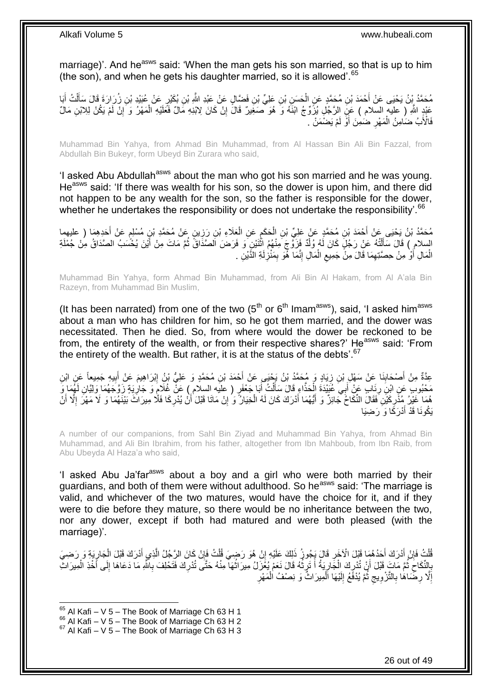marriage)'. And he<sup>asws</sup> said: 'When the man gets his son married, so that is up to him (the son), and when he gets his daughter married, so it is allowed<sup>'.65</sup>

مُحَمَّدُ بِنُ يَحْيَى عَنْ أَحْمَدَ بْنِ مُحَمَّدٍ عَنِ الْحَسَنِ بْنِ عَلِيٍّ بْنِ فَضَّالٍ عَنْ عَبْدِ اللَّهِ بْنِ بُكَيْرٍ عَنْ عُبَيْدِ بْنِ زُِرَارَةَ قَالَ سَأَلْتُ أَبَا ْ َ َ ْ َ عَبْدٍ اللّهِ ( عليه السلام ) عَنِّ الرَّجُلِ يُزَوِّجُ ابْنَهُ وَ هُوَ مُعَغِيرٌ قَالَ إِنْ كَانَ لِابْنِهِ مَالٌ فَعَلَيْهِ الْمَهْرُ وَ َإِنْ لَمْ يَكُنْ لِلِابْنِ مَالٌ ِ ِ ْ **∶** فَالْأَبُ ضَامِنُ الْمَهْرِ ضَمِنَ أَوَ لَمْ يَضْمَنْ . ْ

Muhammad Bin Yahya, from Ahmad Bin Muhammad, from Al Hassan Bin Ali Bin Fazzal, from Abdullah Bin Bukeyr, form Ubeyd Bin Zurara who said,

'I asked Abu Abdullah<sup>asws</sup> about the man who got his son married and he was young. He<sup>asws</sup> said: 'If there was wealth for his son, so the dower is upon him, and there did not happen to be any wealth for the son, so the father is responsible for the dower, whether he undertakes the responsibility or does not undertake the responsibility<sup>'66</sup>

مُحَمَّدُ بْنُ يَحْيَى عَنْ أَحْمَدَ بْنِ مُحَمَّدٍ عَنْ عَلِيٍّ بْنِ الْحَكَمِ عَنِ الْعَلَاءِ بْنِ رَزِينٍ عَنْ مُحَمَّدِ بْنِ مُسْلِمٍ عَنْ أَحَدِهِمَا ( عليهما<br>. ِ ْ ِ ْ َ َ ֧֖֧֖֖֖֖֧֧֖֧֧֧֦֧֧֚֚֚֚֚֚֚֝֝֟֓֝֓֝֓֟֓֓֝֬֟֓֟֓֟֓֟֓֝֬֝֓֝֓֟֓֡֬֬֝֓֝ السلام ِ) قَالَ سَأَلْتُهُ عَنْ رَجُلٍ كَانَ لَهُ وُلَّدٌ فَزَوَّجَ مِنْهُمُ اثْنَيْنٍ وَ فَرَضَ الصَّدَاقُ ثُمَّ مَاتَ مِنْ أَيْنَ يُحْسَبُ الصَّدَاقُ مِنْ جُمْلَةِ ا<br>: ْ ْ َ ُ الْمَالِ أَوَّ مِنْ حِصَّتِهِمَا قَالَ مِنْ جَمِيعِ الْمَالِ إِنَّمَا هُوَ بِمَنْزِلَةِ الدَّيْنِ . لَ ِ ِ ِ ْ ِ ِ َ ْ

Muhammad Bin Yahya, form Ahmad Bin Muhammad, from Ali Bin Al Hakam, from Al A'ala Bin Razeyn, from Muhammad Bin Muslim,

(It has been narrated) from one of the two  $(5<sup>th</sup>$  or  $6<sup>th</sup>$  Imam<sup>asws</sup>), said, 'I asked him<sup>asws</sup> about a man who has children for him, so he got them married, and the dower was necessitated. Then he died. So, from where would the dower be reckoned to be from, the entirety of the wealth, or from their respective shares?' He<sup>asws</sup> said: 'From the entirety of the wealth. But rather, it is at the status of the debts'. $67$ 

عِدَّةٌ مِنْ أَصْحَابِذَا عَنْ سَهْلِ بْنِ زِيَادٍ وَ مُحَمَّدُ بْنُ يَجْيَى عَنْ أَحْمَدَ بْنِ مُحَمَّدٍ وَ عَلِيُّ بْنُ إِبْرَاهِيمَ عَنْ أَبِيهِ جَمِيعاً عَنِ ابْنِ ِ َ ِ ِ َ ِ َ مَحْبُوبٍ عَنِ ابْنِ رِئَابٍ عَنْ أَبِيِّ عُيِّنْدَةَ الْحَذَّاءِ قَالَ سَأَلْتُ أَبَا جَعْفَرٍ ( عليه السلام ) عَنْ غُلَامٍ وَ جَارِيَةٍ زَوَّجَهُمَا وَلِيَّانِ لَهُمَا وَ ْ َ **∶** ِ ׇ֖֧֧֧֧֧֧֧֧ׅ֧֧֚֚֚֚֚֚֚֚֚֚֚֚֚֚֚֚֚֚֚֚֚֚֬֝֘֝֘֝֬֜֡֟֓֡֬֓֜֡֓֜֡֜֡֓֜֓֓ َ ْ َ هُمَا غَيْرُ مُذَّرِكَيْنَ فَقَالَ النِّكَاحُ جَائِزٌ وَ أَيُّهُمَا أَدْرَكَ كَانَ لَهُ الْخِيَارُ وَ إِنْ مَاتَا قَبْلَ أَنْ يُدْرِكَا فَلَّا مِيرَاثَ بَيْنَهُمَا وَ لَا مَهْرَ إِلَّا أ<br>مُسَيَّدُ بَيْنَهُمَا وَ لَا مَهْر َ ِ ْ َ َ ِ ِ َ ا<br>ا يَكُونَا قَدْ أَدْرَكَا وَ رَضِيَا َ

A number of our companions, from Sahl Bin Ziyad and Muhammad Bin Yahya, from Ahmad Bin Muhammad, and Ali Bin Ibrahim, from his father, altogether from Ibn Mahboub, from Ibn Raib, from Abu Ubeyda Al Haza'a who said,

'I asked Abu Ja'far<sup>asws</sup> about a boy and a girl who were both married by their guardians, and both of them were without adulthood. So he<sup>asws</sup> said: 'The marriage is valid, and whichever of the two matures, would have the choice for it, and if they were to die before they mature, so there would be no inheritance between the two, nor any dower, except if both had matured and were both pleased (with the marriage)'.

قُلْتُ فَإِنْ أَدْرَكَ أَحَدُهُمَا قَبْلَ الْآخَرِ قَالَ يَجُوزُ ذَلِكَ عَلَيْهِ إِنْ هُوَ رَضِيَ قُلْتُ فَإِنْ كَانَ الرَّجُلُ الَّذِي أَدْرَكَ قَبْلَ الْجارِيَةِ وَ رَضِيَ ِ ْ ِ ِ َ َ ِ ْ ₹, ْ َ َّ َ بِالنِّكَاحَ ثُمَّ مَاتَ قَبْلَ أَنْ تُدْرِكَ الْجَارِيَةُ أَ تَرِثُهُ قَالَ نَعَمْ يُغَزَلُ مِيرَاثُهَا مِنْهُ حَتَّى تُدْرِكَ فَتَحْلِفَ بِاللَّهِ مَا دَعَاهَا إِلَى أَخْذِ الْمِيرَاثِ ِ ْ ِ ا<br>ا ِ ِ ْ َ ِ ِ **∶** المعالج المعالج المعالج المعالج المعالج المعالج المعالج المعالج المعالج المعالج المعالج المعالج المعالج المعا<br>المعالج <u>្</u> ِ ِ إِلَّا رِضَمَاهَا بِالتَّزْوِيجِ ثُمَّ يُدْفَعُ إِلَيْهَا الْمِيرَاثُ وَ نِصْفُ الْمَهْرِ ْ ْ لَ  $\frac{1}{2}$ ُ ِ **∶ ∶** ِ ِ

 $65$  Al Kafi – V 5 – The Book of Marriage Ch 63 H 1

 $^{66}$  Al Kafi – V 5 – The Book of Marriage Ch 63 H 2

 $67$  Al Kafi – V 5 – The Book of Marriage Ch 63 H 3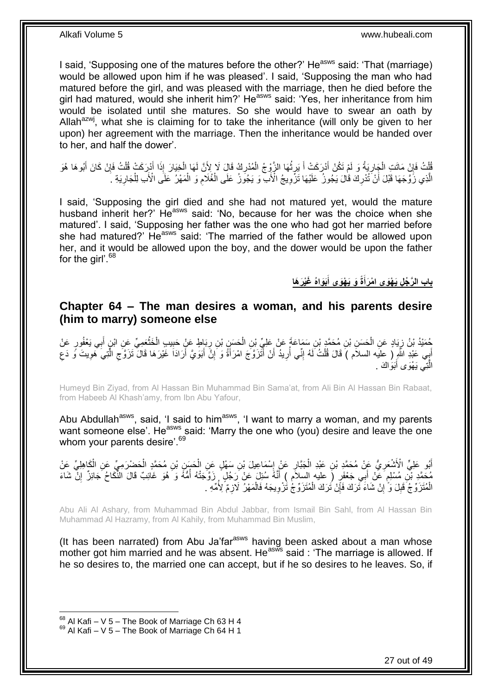I said, 'Supposing one of the matures before the other?' He<sup>asws</sup> said: 'That (marriage) would be allowed upon him if he was pleased'. I said, 'Supposing the man who had matured before the girl, and was pleased with the marriage, then he died before the girl had matured, would she inherit him?' He<sup>asws</sup> said: 'Yes, her inheritance from him would be isolated until she matures. So she would have to swear an oath by Allah<sup>azwj</sup>, what she is claiming for to take the inheritance (will only be given to her upon) her agreement with the marriage. Then the inheritance would be handed over to her, and half the dower'.

قُلْتُ فَإِنْ مَاتَتِ الْجَارِيَةُ وَ لَمْ تَكُنْ أَدْرَكَتْ أَ يَرِثُهَا الزَّوْجُ الْمُدْرِكُ قَالَ لَا لِأَنَّ لَهَا الْخِيَارَ إِذَا أَدْرِكَتْ قُلْتُ فَإِنْ كَانَ أَبُوهَا هُوَ ْ **ٍ** ْ ُ ِ َ **∶** ْ ِ ْ َ ∣ļ ْ َ الَّذِي زُوَّجَهَا قَبْلَ أَنْ تُذْرِكَ قَالَ يَجُوزُ ۖ عَلَيْهَا تَزَّوِيجُ الْأَبَ ۖ وَ يَجُوزُ عَلَى الْغُلَامِ وَ الْمَهْرُ عَلَى الْأَبِ لِلْجَارِيَةِ ۚ ۚ َّ ْ ْ  $\ddot{\phantom{a}}$ ْ ِ ِ ِ

I said, 'Supposing the girl died and she had not matured yet, would the mature husband inherit her?' Heasws said: 'No, because for her was the choice when she matured'. I said, 'Supposing her father was the one who had got her married before she had matured?' He<sup>asws</sup> said: 'The married of the father would be allowed upon her, and it would be allowed upon the boy, and the dower would be upon the father for the girl'.<sup>68</sup>

> **َغْي َر َها َبَواهُ ة َو َي ْهَوى أ باب ال َّر ُج ل َي ْهَوى ا ْم َرأ َ َ**

### <span id="page-26-0"></span>**Chapter 64 – The man desires a woman, and his parents desire (him to marry) someone else**

حُمَيْدُ بْنُ زِيَادٍ عَنِ الْحَسَنِ بْنِ مُحَمَّدٍ بْنِ سَمَاعَةَ عَنْ عَلِيِّ بْنِ الْحَسَنِ بْنِ رِبَاطٍ عَنْ حَبِيبٍ الْخَثْعَمِيِّ عَنِ ابْنٍ أَبِي يَعْفُورٍ عَنْ ْ ِ َ ْ ْ ِ **∶** ْ أَبِي عَبْدِ اللَّهِ ( عليه السلام ) قَالَ قُلْتُ لَهُ إِنِّي أُرِيدُ أَنْ أَثْزَوَّجَ امْرَأَةً وَ إِنَّ أَبَوَيَّ أَرَادَا غَيْرَهَا قَالَ تَزَوَّجِ الَّتِيَ هَوِيتَ وَ دَعِ َ َ ِ َ َ اُ **∶** ا<br>ا ِ ْ ِ ِ َّ  $\zeta$ الَّتِي يَهْوَى أَبَوَاكَ . َ َّ

Humeyd Bin Ziyad, from Al Hassan Bin Muhammad Bin Sama'at, from Ali Bin Al Hassan Bin Rabaat, from Habeeb Al Khash'amy, from Ibn Abu Yafour,

Abu Abdullah<sup>asws</sup>, said, 'I said to him<sup>asws</sup>, 'I want to marry a woman, and my parents want someone else'. He<sup>asws</sup> said: 'Marry the one who (you) desire and leave the one whom your parents desire'.<sup>69</sup>

أَبُو عَلِيٍّ الْأَشْعَرِ يُّ عَنْ مُحَمَّدٍ بْنِ عَبْدِ الْجَبَّارِ عَنْ إِسْمَاعِيلَ بْنِ سَهْلٍ عَنِ الْحَسِنِ بْنِ مُحَمَّدٍ الْحَضْرَمِيِّ عَنِ الْكَاهِلِيِّ عَنْ ِ ِ ْ **∶** ْ ْ ْ مُحَدَّدٍ بْنِ مُسْلِمٍ عَنْ أَبِي جَعْفَرٍ (ِ عليه السلاَمِ ) أَنَّهُ سُئِلَ عَنْ رَجُلٍ ۚ زَوَّجَتْهُ أَمُّهُ وَ هُوَ غَائِبٌ قَالَ النُّكَاحُ جَائِزٌ إِنَّ شَاءَ<br>وَجَهَدَتِ بِّنِ مُسْلِمٍ عَنْ أَبِي جَعْفَرٍ (ِ عليه وَج ا<br>ا َ ٍ ِ ِ الْمُتَزَوِّجَ ۖ قَبِلَ وَ ۚ إِنْ شَاءَ تَزَلفَ فَإِنْ تُزَكَ الْمُتَزَوِّجُ تُزْوِيجَهُ فَالْمَهْرُ ۖ لَازِمٌ لِأُمِّهِ ۖ **!** ْ ِ ْ ِ ْ ِ

Abu Ali Al Ashary, from Muhammad Bin Abdul Jabbar, from Ismail Bin Sahl, from Al Hassan Bin Muhammad Al Hazramy, from Al Kahily, from Muhammad Bin Muslim,

(It has been narrated) from Abu Ja'far<sup>asws</sup> having been asked about a man whose mother got him married and he was absent. He<sup>asws</sup> said : 'The marriage is allowed. If he so desires to, the married one can accept, but if he so desires to he leaves. So, if

 $68$  Al Kafi – V 5 – The Book of Marriage Ch 63 H 4

 $69$  Al Kafi – V 5 – The Book of Marriage Ch 64 H 1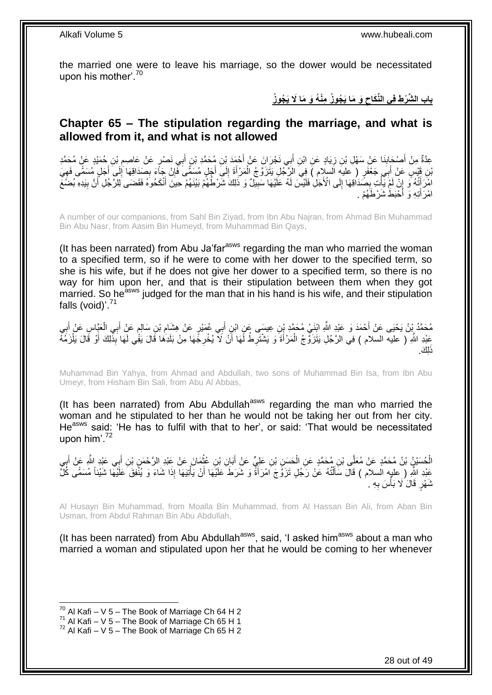the married one were to leave his marriage, so the dower would be necessitated upon his mother'.<sup>70</sup>

> **َو َما َي ُجو ُز مْن ُه َو َما ََل َي ُجو ُز باب ال َّش ْر ط ف ي الِّنَكاح**

### <span id="page-27-0"></span>**Chapter 65 – The stipulation regarding the marriage, and what is allowed from it, and what is not allowed**

ِعِدَّةٌ مِنْ أَصْحَابِنَا عَنْ سَهْلِ بْنِ زِيَادٍ عَنِ ابْنِ أَبِي نَجْرَانَ عَنْ أَجْمَدَ بْنِ مُحَمَّدٍ بْنِ أَبِي نَصْرٍ عَنْ عَاصِمِ بْنِ حُمَيْدٍ عَنْ مُحَمَّدٍ َ َ ِ **∣** َ ِ لَ ِ بْنِ قَيْسٍ عَنْ أَبِيَ جَعْفَرٍ ( عليهِ اَلسلام ) فِي الرَّجُلِ يَتَزَوَّجُ الْمَرْأَةَ إِلَي أَجَلٍ مُسَمَّى كَفَيِيَ<br>بَنِ قَيْسٍ عَنْ أَبَي جَعْفَرٍ ( عليهِ السلام ) فِي الرَّجُلِ يَتَزَوَّجُ الْمَرْأَةَ إِلَي أَجَلٍ مُ َ ْ َ ِ َ ِ ِ ِ َ امْرَ أَثْهُ وَّ إِنَّ لَمْ يَّأْتِ بِصَّدَافِهَا إِلَى الْأَجَلِ فَلَيْسَ لَهُ عَلَيْهَا سَبِيلٌ وَ ذَلِكَ شَرْطُهُمْ بَيْنَهُمْ حِينَ أَنْكَحُوهُ فَقَضَى لِلرَّجُلِ أَنَّ بِيَدِهِ بُضَمَ **!** ِ ِ ْ ِ ِ َ َ طَّ شَرْطَهُمْ . ْحَب َ ِت ِه َو أ َ امْرَأَ

A number of our companions, from Sahl Bin Ziyad, from Ibn Abu Najran, from Ahmad Bin Muhammad Bin Abu Nasr, from Aasim Bin Humeyd, from Muhammad Bin Qays,

(It has been narrated) from Abu Ja'far<sup>asws</sup> regarding the man who married the woman to a specified term, so if he were to come with her dower to the specified term, so she is his wife, but if he does not give her dower to a specified term, so there is no way for him upon her, and that is their stipulation between them when they got married. So he<sup>asws</sup> iudged for the man that in his hand is his wife, and their stipulation falls (void)'.<sup>71</sup>

مُحَمَّدُ بِْنُ يَحْيَى عَنْ أَحْمَدَ وَ عَبْدِ اللَّهِ ابْنَيْ مُحَمَّدِ بْنِ عِيسَى عَنِ ابْنِ أَبِي عُمَيْرِ عَنْ هِشَام بْنِ سَالِمٍ عَنْ أَبِي الْعَيَّاسِ عَنْ أَبِي ِ َ َ َ ْ َ ֧֖֖֚֚֚֓֝֬֝ عَبْدِ اللَّهِ ۖ ( عليه السلام ) فِي الرَّجُلِ يَتَزَوَّجُ الْمَرْأَةَ وَ يَشْتَرِطُ لَّهَا أَنْ لَأَ يُخْرِجُّهَا مِنْ بَلَدِهَا قَالَ يَفْي لَهَا بَذِّلِكَ أَوْ قَالَ يَلْزَمُهُ ِ َ ِ َ ْ ْ َ .<br>اِكَ.

Muhammad Bin Yahya, from Ahmad and Abdullah, two sons of Muhammad Bin Isa, from Ibn Abu Umeyr, from Hisham Bin Sali, from Abu Al Abbas,

(It has been narrated) from Abu Abdullah<sup>asws</sup> regarding the man who married the woman and he stipulated to her than he would not be taking her out from her city. He<sup>asws</sup> said: 'He has to fulfil with that to her', or said: 'That would be necessitated upon him'.<sup>72</sup>

الْحُسَيْنُ بْنُ مُحَمَّدٍ عَنْ مُعَلِّى بْنِ مُحَمَّدٍ عَنِ الْحَسِنِ بْنِ عَلِيٍّ عَنْ أَبَانِ بْنِ عُثْمَانَ عَنْ عَبْدِ الزَّحْمَنِ بْنِ أَبِي عَيْدِ الثَّهِ عَنْ أَبِي **ٔ** َ ْ ْ .<br>; َ َ عَبْدِ اللَّهِ ( عليه السلام ) قَالَ سَأَلْتُهُ عَنْ رَجُلٍ تَزَوَّجَ امْرَأَةً وَ شَرَطَ عَلَيْهَا أَنْ يَأْتِيَهَا إِذَا شَاءَ وَ يُنْفِقَ عَلَيْهَا شَيْئاً مُسَمًّى كُلَّ **ٔ** َ َ ْ َ ثَمَّوْ ٍ قَالَ لَا بَأْسَ بِهِ . **∶** ؚ<br>֦֧֡֩֟֓֟֓֟֘<u>֛</u>

Al Husayn Bin Muhammad, from Moalla Bin Muhammad, from Al Hassan Bin Ali, from Aban Bin Usman, from Abdul Rahman Bin Abu Abdullah,

(It has been narrated) from Abu Abdullah $a<sup>asws</sup>$ , said, 'I asked him $a<sup>asws</sup>$  about a man who married a woman and stipulated upon her that he would be coming to her whenever

 $70$  Al Kafi – V 5 – The Book of Marriage Ch 64 H 2

 $^{71}$  Al Kafi – V 5 – The Book of Marriage Ch 65 H 1

 $72$  Al Kafi – V 5 – The Book of Marriage Ch 65 H 2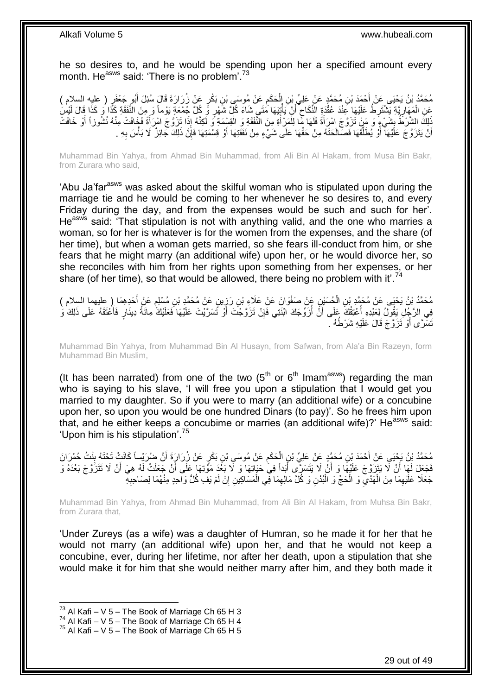he so desires to, and he would be spending upon her a specified amount every month. He<sup>asws</sup> said: 'There is no problem'.<sup>73</sup>

ٍر َع ْن ُز ِن َب ْك َع ْن ُمو َسى ْب َح َكم ِن ال ِن ُم َح َّمٍد َع ْن َعلِ ِّي ْب ْح َمَد ْب ٍر ُم َح َّمُد ْب ُن َي ْحَيى َع ْن أ ) عليه السالم ( ُبو َج ْعَف َرا َرَة َقا َل ُسِئ َل أ ِ ْ َ َ عَنِ الْمَهَارِ قَةِ يَشْتَرِ طُ عَلَيْهَا عِنْدَ عُقُدَةٍ الْأَكَاحِ ۖ أَنْ يَأْتِيَهَا مَتَي شَاءَ كُلِّ شَهْرٍ وِّ كُلِّ جُمْعَةٍ يَوْماً وَ مِنَ الْأَفْقَةِ كَذَّا وَالَ لَيْسِ<br>يَدَي مَنْ النَّفَقَةِ مِنْ مُنْ مَنْ ال **ٔ** َ ِ **∶** ِ ْ ِ ذَلِكَ الشَّرْطُ بِشَيْءٍ وَ مَنْ تَزَوَّجَ امْرَأَةً فَلَمَا مِّمَا لِلْمَرْأَةِ مِنَ الْنَّفَقَةِ وَ الْقِسْمَةِ وَ لَكِنَّهُ إِذَا تَزَوُّجَ امْرَأَةً فَهَافُتْ مِنْهُ نُشُوزاً أَوْ خَافَتْ<br>يَسْتَمَرْتُ الشَّرْطُ بِشَي َ ْ ْ َ أَنْ يَتَزَوَّجَ عَلَيْهَا أَوْ يُطَلِّقَهَا فَصَالَحَتْهُ مِنْ حَقِّهَا عَلَى شَيْءٍ مِنْ نَفَقَتِهَا أَوْ قِسْمَتِهَا فَإِنَّ ذَلِكَ جَائِزٌ لَا بَأْسَ بِهِ . ِّ ا<br>ا اً ِ **ٔ** ِ َ

Muhammad Bin Yahya, from Ahmad Bin Muhammad, from Ali Bin Al Hakam, from Musa Bin Bakr, from Zurara who said,

'Abu Ja'far<sup>asws</sup> was asked about the skilful woman who is stipulated upon during the marriage tie and he would be coming to her whenever he so desires to, and every Friday during the day, and from the expenses would be such and such for her'. He<sup>asws</sup> said: 'That stipulation is not with anything valid, and the one who marries a woman, so for her is whatever is for the women from the expenses, and the share (of her time), but when a woman gets married, so she fears ill-conduct from him, or she fears that he might marry (an additional wife) upon her, or he would divorce her, so she reconciles with him from her rights upon something from her expenses, or her share (of her time), so that would be allowed, there being no problem with it'.<sup>74</sup>

َوا ِن َع ْن َصفْ ُح َسْي ُم َح َّمُد ْب ُن َي ْحَيى َع ْن ُم َح َّمِد ْب َحِد ِه َما ) عليهما السالم ( َع ْن أ ٍن َع ْن ُم َح َّمِد ْب ي َن َع ْن َعَالِء ْب ْ نِ الْمُسَيْنِ عَنْ صَفْوَانَ عَنْ عَلَاءِ بْنِ رَزِينٍ عَنْ مُحَمَّدٍ بْنِ مُسْلِمٍ َ ֖֖֖֖֧֧֧֦֧֧ׅ֧֧֧֧֦֪֚֚֚֚֚֚֚֚֚֚֚֚֚֚֚֚֚֚֚֬֘֝֓֝֓֝֓֟֓֡֓֡֟֓֡֡֬֓֡֜֡֜֓֜֓֜֡֜֝֬֓֡֬֝֬ ¦ فِي الرَّجُلِ يَقُولُ لِعَبْدِهِ أَعْتِقُكَ عَلَى أَنَّ أَزَوِّجَكَ ابْنَتِي فَإِنْ تَزَوَّجْتَ أَوْ تَسَرَّيْتَ عَلَيْهَا فَعَلَيْكَ مِانَةُ دِينَارٍ فَأَعْتَقَهُ عَلَى ذَلِكَ وَ َ ∣lٍ ُ اُ ا<br>أ َ َنْسَّرَّى أَوْ َتَزَوَّجَ قَالَ عَلَيْهِ شَرْطُهُ ۚ َ

Muhammad Bin Yahya, from Muhammad Bin Al Husayn, from Safwan, from Ala'a Bin Razeyn, form Muhammad Bin Muslim,

(It has been narrated) from one of the two  $(5<sup>th</sup>$  or  $6<sup>th</sup>$  Imam<sup>asws</sup>) regarding the man who is saying to his slave, 'I will free you upon a stipulation that I would get you married to my daughter. So if you were to marry (an additional wife) or a concubine upon her, so upon you would be one hundred Dinars (to pay)'. So he frees him upon that, and he either keeps a concubime or marries (an additional wife)? He<sup>asws</sup> said: 'Upon him is his stipulation'.<sup>75</sup>

َّن ٍر َع ْن ُز َرا َرَة أ ِن َب ْك َع ْن ُمو َسى ْب َح َكم ِن ال ِن ُم َح َّمٍد َع ْن َعلِ ِّي ْب ْح َمَد ْب ُم َح َّمُد ْب ُن َي ْحَيى َع ْن أ نْ ُت ُض َرْيسا ُح ْم َرا َن ً َكاَن ْت َت ْحَت ُه ب اُ ِ ْ َ ِ فَجَعَلَ لَهَا أَنْ لَا يَتَزَوَّجَ عَلَيْهَا وَ أَنْ لَا يَتَسَرَّى أَبَداً فِيَ حَيَاتِهَا وَ لَا بَعْدَ مَوْتِهَا عَلَى أَنْ جَعَلَتْ لَهُ هِيَ أَنْ لَا تَتَزَوَّجَ بَعْدَهُ وَ َ َ اً َ جَعَلَا عَلَيْهِمَا مِنَ الْهَدْيِّ وَ الْحَجِّ وَ الْبُدْنِ وَ كُلَّ مَالِهِمَا فِي الْمَسَاكِينِ إِنْ لَمْ يَفِ كُلُّ وَاحِدٍ مِنْهُمَا لِصَاحِبِهِ ْ  $\ddot{\cdot}$ ْ ِ **∶** ِ ْ ِ ْ

Muhammad Bin Yahya, from Ahmad Bin Muhammad, from Ali Bin Al Hakam, from Muhsa Bin Bakr, from Zurara that,

'Under Zureys (as a wife) was a daughter of Humran, so he made it for her that he would not marry (an additional wife) upon her, and that he would not keep a concubine, ever, during her lifetime, nor after her death, upon a stipulation that she would make it for him that she would neither marry after him, and they both made it

 $^{73}$  Al Kafi – V 5 – The Book of Marriage Ch 65 H 3

 $74$  Al Kafi – V 5 – The Book of Marriage Ch 65 H 4

 $75$  Al Kafi – V 5 – The Book of Marriage Ch 65 H 5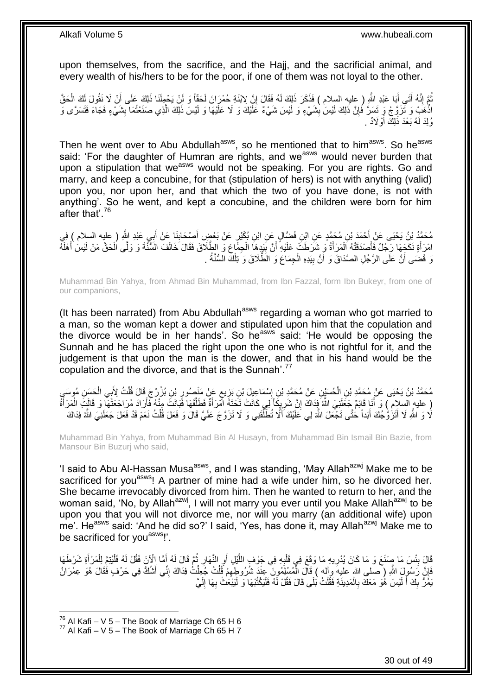upon themselves, from the sacrifice, and the Hajj, and the sacrificial animal, and every wealth of his/hers to be for the poor, if one of them was not loyal to the other.

ّهُمَّ إِنَّهُ أَتَى أَبَا عَبْدِ اللَّهِ ( عليهِ السلام ) فَذَكَرَ ذَلِكَ لَهُ فَقَالَ إِنَّ لِابْنَةِ حُمْرَانَ لَحَقَّاً وَ لَنْ يَحْمِلَنَا ذَلِكَ عَلَى أَنْ لَا نَقُولَ لَكَ الْحَقَّ َ َ ِ ُ ْ َ ِ اذْهَبْ وَ ثَزَوَّجْ وِ تَسَرَّ فُإِنَّ ذَلِكَ لَيْسَٰ بِثْنَيْءٍ وَ لَيْسَ شَيْءٌ عََلَيْكَ وَ لَا عَلَيْهَا وَ لَيْسَ ذَلِكَ الَّذِي صَنَعْتُمَا بِشَيْءٍ فَجَآءَ فَتَسَرَّى وَ **!** ِ ِ رُلِدَ لَهُ بَعْدَ ذَلِكَ أَوْلَادٌ . َ

Then he went over to Abu Abdullah<sup>asws</sup>, so he mentioned that to him<sup>asws</sup>. So he<sup>asws</sup> said: 'For the daughter of Humran are rights, and we<sup>asws</sup> would never burden that upon a stipulation that we<sup>asws</sup> would not be speaking. For you are rights. Go and marry, and keep a concubine, for that (stipulation of hers) is not with anything (valid) upon you, nor upon her, and that which the two of you have done, is not with anything'. So he went, and kept a concubine, and the children were born for him after that'.<sup>76</sup>

ِ مُحَمَّدُ بْنُ يَحْيَى عَنْ أَحْمَدَ بْنِ مُحَمَّدٍ عَنِ ابْنِ فَضَّالٍ عَنِ ابْنِ بُكَيْرٍ عَنْ بَعْضٍ أَصْحَابِنَا عَنْ أَبِي عَبْدِ اللَّهِ ( عليه السلام ) فِي<br>مِنْ يََّتَّ بَيْنَ مَا يَرْسَعُونَ فَي الْمَرْسَلِ وَاللَ َ ِ َ َ امْرَأَةٍ نَكَجِهَا رَجُلٌ فَأَصْدَقَتْهُ اَلْمَرْأَةُ وَ شَرَطَتْ عَلَيْهِ أَنَّ بَيَدِهَا الْجِمَّاعَ وَ الطَّلَاقَ فَقَالَ خَالَفَ السُّنَّةَ وَ وَلَّى اُلْحَقَّ مَنْ لَيْسَ أَهْلَهُ ْ **!** اُ َ ْ َ َ ْ نَ قَضَى أَنَّ عَلَى الرَّجُلِ الصَّدَاقَ وَ أَنَّ بِيَدِهِ الْجِمَاعَ وَ الطَّلَاقَ وَ تِلْكَ السُّنَّةُ . ِ ْ ْ

Muhammad Bin Yahya, from Ahmad Bin Muhammad, from Ibn Fazzal, form Ibn Bukeyr, from one of our companions,

(It has been narrated) from Abu Abdullah<sup>asws</sup> regarding a woman who got married to a man, so the woman kept a dower and stipulated upon him that the copulation and the divorce would be in her hands'. So he<sup>asws</sup> said: 'He would be opposing the Sunnah and he has placed the right upon the one who is not rightful for it, and the judgement is that upon the man is the dower, and that in his hand would be the copulation and the divorce, and that is the Sunnah'.<sup>77</sup>

مُحَمَّدُ بْنُ يَحْيَى عَنْ مُحَمَّدِ بْنِ الْحُسَيْنِ عَنْ مُحَمَّدِ بْنِ إِسْمَاعِيلَ بْنِ بَزِيعٍ عَنْ مَنْصُورٍ بْنِ بُزُرْجَ قَالَ قُلْتُ لِأَبِي الْحَسِنِ مُوسَبِي ِ ٍ ِ ِ ْ ْ ْ ( عليه السلام ) وَ أَنَا قَائِمٌ جَعَلَنِيَ اللَّهُ فِذاكَ إِنَّ شَرِيكَاً لِي كَانَتْ تَحْتَهُ أَمْرَأَةٌ فَطَلَّقَهَا فَبَانَتٌ مِنْهُ فَأَرَادَ مُرَاجَعَتَهَا وَ قَالَتِ الْمَرْأَةُ ِ ِ َ َ ْ َ َّ َ لَا وَ اللَّهِ لَا أَتَزَٰوُّجُكَ أَبَداً حَتَّى تَجْعَلَ اللَّهَ لِي عَلَّيْكَ أَلَّا تُطَلِّقَنِي وَ لَا تَزَوَّجَ عَلَيَّ قَالَ وَ فَعَلَ قُلْتُ نَعَمْ قَدْ فَعَلَ جَعَلَنِيَ اللَّهُ فِدَاكَ ِّ َ َ ْ

Muhammad Bin Yahya, from Muhammad Bin Al Husayn, from Muhammad Bin Ismail Bin Bazie, from Mansour Bin Buzurj who said,

'I said to Abu Al-Hassan Musa<sup>asws</sup>, and I was standing, 'May Allah<sup>azwj</sup> Make me to be sacrificed for you<sup>asws</sup>! A partner of mine had a wife under him, so he divorced her. She became irrevocably divorced from him. Then he wanted to return to her, and the woman said, 'No, by Allah<sup>azwj</sup>, I will not marry you ever until you Make Allah<sup>azwj</sup> to be upon you that you will not divorce me, nor will you marry (an additional wife) upon me'. He<sup>asws</sup> said: 'And he did so?' I said, 'Yes, has done it, may Allah<sup>azwj</sup> Make me to be sacrificed for you<sup>asws</sup>!'.

قَالَ بِئْسَ مَا صَنَعَ وَ مَا كَانَ يُدْرِيهِ مَا وَقَعَ فِي قَلْبِهِ فِي جَوْفٍ اللَّيْلِ أَوِ النَّهَارِ ثُمَّ قَالَ لَهُ أَمَّا إِلْإِنَ فَقُلْ لَهُ فَلْيُتِمَّ لِلْمَرْأَةِ شَرْطَهَا ُ ِ ِ َّ **∶** ْ ِ **∣** َ ْ ْ َ فَإِنَّ رَسُولَ اللَّهِ ( صلى الله عليه وآله ) قَالَ الْمُسْلِمُونَ عِنْدَ شُرُوطِهِمْ قُلْتُ جُعِلْتُ فِدَاكَ إِنِّي أَشْكُ فِي حَرْفٍ فَقَالَ هُوَ عِمْرَانُ ْ ِ َ ِ ْ ْ ِ يَمَرُّ بِكَ أَ لَيْسَ هُوَ مَعَكَ بِالْمَدِينَةِ فَقُلْتُ بَلَى قَالَ فَقُلْ لَهُ فَلْيَكْتُبْهَا وَ لْيَبْعَٰثْ بِهَا إِلَيَّ لَ ِ ِ ا<br>ا ْ ْ ْ **∶** لَ َ ِ

 $^{76}$  Al Kafi – V 5 – The Book of Marriage Ch 65 H 6

 $^{77}$  Al Kafi – V 5 – The Book of Marriage Ch 65 H 7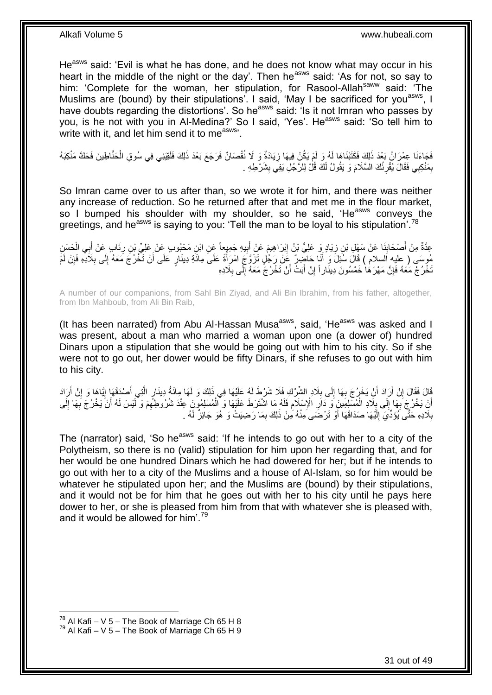He<sup>asws</sup> said: 'Evil is what he has done, and he does not know what may occur in his heart in the middle of the night or the day'. Then he<sup>asws</sup> said: 'As for not, so say to him: 'Complete for the woman, her stipulation, for Rasool-Allahsaww said: 'The Muslims are (bound) by their stipulations'. I said, 'May I be sacrificed for you<sup>asws</sup>, I have doubts regarding the distortions'. So he<sup>asws</sup> said: 'Is it not Imran who passes by you, is he not with you in Al-Medina?' So I said, 'Yes'. He<sup>asws</sup> said: 'So tell him to write with it, and let him send it to me<sup>asws</sup>.

فَجَاءَنَا عِمْرَانُ بَعْدَ ذَلِكَ فَكَتَبْنَاهَا لَهُ وَ لَمْ يَكُنْ فِيهَا زِيَادَةٌ وَ لَا نُقْصَانٌ فَرَجَعَ بَعْدَ ذَلِكَ فَلَقِيَنِي فِي سُوقِ الْحَنَّاطِينَ فَحَكَّ مَنْكِبَهُ **∶** ْ بِمَنْكِبِي فَقَالَ يُقْرِئُكَ السَّلَامَ وَ يَقُولُ لَكَ قُلْ لِلرَّجُلِ يَفِي بِشَرْطِهِ . **∶** ِ **ِ** 

So Imran came over to us after than, so we wrote it for him, and there was neither any increase of reduction. So he returned after that and met me in the flour market, so I bumped his shoulder with my shoulder, so he said, 'He<sup>asws</sup> conveys the greetings, and he<sup>asws</sup> is saying to you: 'Tell the man to be loyal to his stipulation'.<sup>78</sup>

عِدَّةٌ مِنْ أَصْحَابِنَا عَنْ سَهْلِ بْنِ زِيَادٍ وَ عَلِيُّ بْنُ إِبْرَاهِيمَ عَنْ أَبِيهِ جَمِيعاً عَنِ ابْنِ مَحْبُوبٍ عَنْ عَلِيِّ بْنِ رِئَابٍ عَنْ أَبِي الْحَسَنِ ِ َ ِ ِ ِ ْ َ ِ مُوسَى ( عِليهِ السلام ) قَالَ سُئِلَ وَ أَنَا حَاضِرٌ عَنْ رَجُلٍ تَزَوَّجَ امْرَأَةً عَلَى مِائَةِ دِينَارٍ عَلَى أَنْ تَخْرُجَ مَعَهُ إِلَى بِلَادِهِ فَإِنْ لَمْ َ  $\frac{1}{2}$ ِ ِ َ نَخْرُجْ مَعَهُ فَإِنَّ مَهْرَهَا خَمْسُونَ دِينَاراً إِنْ أَبَتْ أَنْ تَخْرُجَّ مَعَهُ إِلَى بِلَادِهِ ِ ِ اُ َ ِ ِ

A number of our companions, from Sahl Bin Ziyad, and Ali Bin Ibrahim, from his father, altogether, from Ibn Mahboub, from Ali Bin Raib,

(It has been narrated) from Abu Al-Hassan Musa<sup>asws</sup>, said, 'He<sup>asws</sup> was asked and I was present, about a man who married a woman upon one (a dower of) hundred Dinars upon a stipulation that she would be going out with him to his city. So if she were not to go out, her dower would be fifty Dinars, if she refuses to go out with him to his city.

َالَ فَقَالَ إِنْ أَرَادَ أَنْ يَخْرُجَ بِهَا إِلَى بِلَادِ الشِّرْكِ فَلَا شَرْطَ لَهُ عَلَيْهَا فِي ذَلِكَ وَ لَهَا مِائَةُ دِينَارٍ الّْتِي أَصْدَقَهَا إِيَّاهَا وَ إِنْ أَرَادَ َ اً ِ ِ َ َّ **∶**  $\frac{1}{2}$ **∶** َ ِ أَنِّ يَخْرُجَ بِّهَا إِلَى بِلَّادِ الْمُسْلِمِينَ وَ دَارِ الْإِسْلَامِ فَلَهُ مَا اشْتَرَطَ عَلَيْهَا وَ الْمُسْلِمُونَ عِنْدَ شُرُوطِهِمْ وَ لَّيْسَ لَهُ أَنْ يَخْرُجَ بِهَا إِلَى ِ ِ ْ **∶** י<br>י ¦ لَ ِ ِ َ ِ ْ بِلَادِهِ حَثَّى يُؤَدِّيَ إِلَيْهَا صَدَاقَهَا أَوْ تَرْضَى مِنْهُ مِنْ ذَلِكَ بِمَا رَضِيَتْ وَ هُوَ جَائِزٌ لَهُ . ِ اُ لَ ِ ِ

The (narrator) said, 'So he<sup>asws</sup> said: 'If he intends to go out with her to a city of the Polytheism, so there is no (valid) stipulation for him upon her regarding that, and for her would be one hundred Dinars which he had dowered for her; but if he intends to go out with her to a city of the Muslims and a house of Al-Islam, so for him would be whatever he stipulated upon her; and the Muslims are (bound) by their stipulations, and it would not be for him that he goes out with her to his city until he pays here dower to her, or she is pleased from him from that with whatever she is pleased with, and it would be allowed for him'.<sup>79</sup>

<sup>1</sup>  $^{78}$  Al Kafi – V 5 – The Book of Marriage Ch 65 H 8

 $^{79}$  Al Kafi – V 5 – The Book of Marriage Ch 65 H 9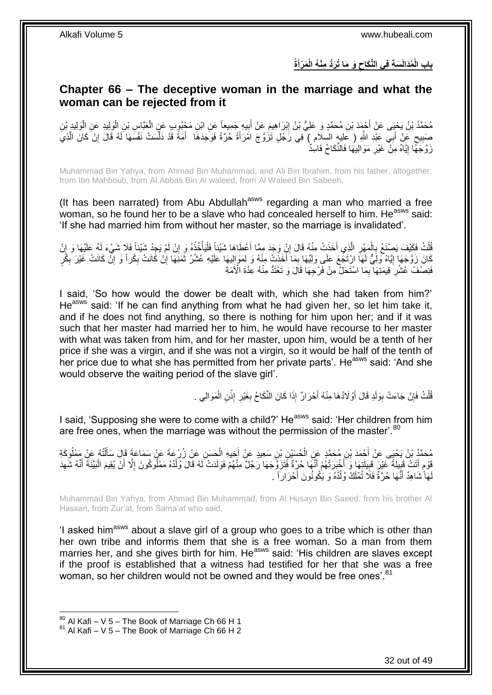**ةُ َم ْرأ َو َما ُت َرُّد مْن ُه الْ َس ة ف ي الِّنَكاح ُمَدالَ باب الْ َ** 

### <span id="page-31-0"></span>**Chapter 66 – The deceptive woman in the marriage and what the woman can be rejected from it**

مُحَمَّدُ بْنُ يَحْيَى عَنْ أَحْمَدَ بْنِ مُحَمَّدٍ وَ عَلِيُّ بْنُ إِبْرَاهِيمَ عَنْ أَبِيهِ جَمِيعاً عَنِ ابْنِ مَجْبُوبٍ عَنٍ الْعَبَّاسِ بْنِ الْوَلِيدِ عَنِ الْوَلِيدِ بْنِ ْ ْ ¦ ِ ْ صَبِيحٍ عَنْ أَبِي عَبْدِ اللَّهِ ( عَلِيهٍ السلام ) فِي رَجُلٍ تَزَوَّجَ امْرَأَةً حُرَّةً فَوَجَدَهَا ۖ أَمَةً قَدْ دَلَّسَتْ نَفْسَهَا لَهُ قَالَ إِنْ كَانَ الَّذِيَ َ َ ٍ **!** َّ ِ َّ َّ زَوَّجَهًّا إِيَّاهُ مِنْ ۖ غَيْرِ مَوَالِيهَا فَالنِّكَاحُ فَاسِدٌّ ِ <u>֖֚֚֚֓</u>֛֚֚֚

Muhammad Bin Yahya, from Ahmad Bin Muhammad, and Ali Bin Ibrahim, from his father, altogether, from Ibn Mahboub, from Al Abbas Bin Al waleed, from Al Waleed Bin Sabeeh,

(It has been narrated) from Abu Abdullah<sup>asws</sup> regarding a man who married a free woman, so he found her to be a slave who had concealed herself to him. He<sup>asws</sup> said: 'If she had married him from without her master, so the marriage is invalidated'.

قُلْتُ فَكَيْفَ يَصِنْعُ بِالْمَهْرِ الَّذِي أَخَذَتْ مِنْهُ قَالَ إِنْ وَجَدَ مِمَّا أَعْطَاهَا شَيْئاً فَلْيَأْخُذْهُ وَ إِنْ لَمْ يَجِدْ شَيْئاً فَلَا شَيْءَ لَهُ عَلَيْهَا وَ إِنْ َ ِ َ َّ ِ ْ ِ ْ ِ **ٔ** ْ ْ ֚֚֚֚֬׀֛ كَانَ زَوَّجَهَا إِيَّاهُ وَلِّيٌّ لَهَا ارْتَجْعَ عَلَى وَلِيِّهَا بِمَا أَخَذَتْ مِنْهُ وَ لِمَوَإِلِيهَا عَلَيْهِ عُشْرُ ثَمَنِهَا إِنْ كَانَتْ إِنَّ كَانَتْ غَيْرَ بِكْرٍ  $\ddot{\phantom{0}}$ َ ¦ <u>֖֖֚֚֚֚֚֚֓</u> ِ ِ ِ ِ َفَنِصْفٌ عُشْرِ ۚ قِيمَتِهَا ۖ بِمَا اسْتَحَلَّ مِنْ فَرْجِهَا قَالَ وَ تَعْتَدُّ مِنْهُ عِدَّةَ الْأُمَةِ ِ **∶** 

I said, 'So how would the dower be dealt with, which she had taken from him?' He<sup>asws</sup> said: 'If he can find anything from what he had given her, so let him take it, and if he does not find anything, so there is nothing for him upon her; and if it was such that her master had married her to him, he would have recourse to her master with what was taken from him, and for her master, upon him, would be a tenth of her price if she was a virgin, and if she was not a virgin, so it would be half of the tenth of her price due to what she has permitted from her private parts'. He<sup>asws</sup> said: 'And she would observe the waiting period of the slave girl'.

> قُلْتُ فَإِنْ جَاءَتْ بِوَلَدٍ قَالَ أَوْلَادُهَا مِنْهُ أَحْرَالٌ إِذَا كَانَ النِّكَاحُ بِغَيْرِ إِذْنِ الْمَوَالِي . ْ **ٔ** ِ **∶** َ َ **∣** ِ ْ

I said, 'Supposing she were to come with a child?' He<sup>asws</sup> said: 'Her children from him are free ones, when the marriage was without the permission of the master'.<sup>80</sup>

مُحَمَّدُ بْنُ يَحْيَى عَنْ أَحْمَدَ بْنِ مُحَمَّدٍ عَنِ الْحُسَيْنِ بْنِ سَعِيدٍ عَنْ أَخِيهِ الْحَسَنِ عَنْ زُرْعَةَ عَنْ سَمَاعَةَ قَالَ سَأَلْتُهُ عَنْ مَمْلُوكَةِ<br>سَيِّدَ وَيُّسْيَدُ مِنْ تَجْبَهَتِ مَنْ قَالَ سَنَّة ْ َ ْ ْ َ قَوْمِ أَتَتْ قَبِيلَةً غَيْرَ قَبِيلَتِهَا وَ أَخْبَرَتْهُمْ أَنَّهَا حُرِّةً فَتَزَوَّجَهَا رَجُلٌ مِنْهُمْ فَوَلَدَتْ لَهُ قَالَ وُلْدُهُ مَمْلُوكُونَ إِلَّا أَنْ يُقِيمَ الْبَيِّنَةَ أَنَّهُ شَهِدَ َ **!**  $\frac{1}{3}$ َ ڔ ِ َ ْ َ ِ ْ لَهَاً شَاهِدٌ أَنَّهَا حُرَّةٌ فَلَّا تُمْلَكُ وُلْدُهُ وَ يَكُونُونَ أَحْرَاراً . َ ۔<br>ا ْ

Muhammad Bin Yahya, from Ahmad Bin Muhammad, from Al Husayn Bin Saeed, from his brother Al Hassan, from Zur'at, from Sama'at who said,

'I asked him<sup>asws</sup> about a slave girl of a group who goes to a tribe which is other than her own tribe and informs them that she is a free woman. So a man from them marries her, and she gives birth for him. He<sup>asws</sup> said: 'His children are slaves except if the proof is established that a witness had testified for her that she was a free woman, so her children would not be owned and they would be free ones'.<sup>81</sup>

 $80$  Al Kafi – V 5 – The Book of Marriage Ch 66 H 1

 $81$  Al Kafi – V 5 – The Book of Marriage Ch 66 H 2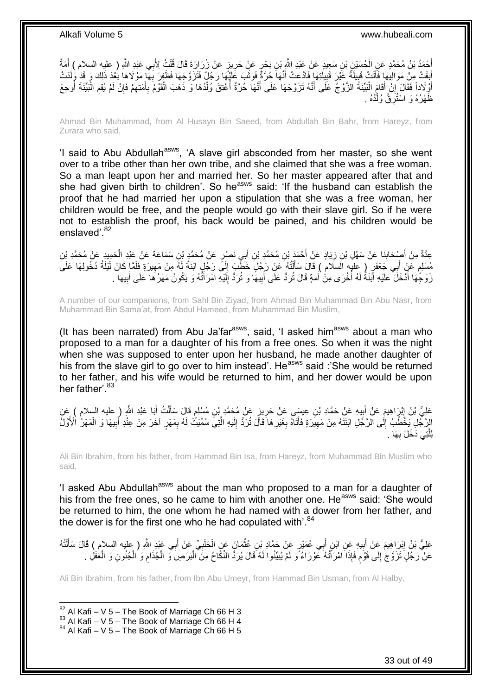أَحْمَدُ بْنُ مُحَمَّدٍ عَنِ الْحُسَيْنِ بْنِ سَعِيدٍ عَنْ عَيْدِ النَّهِ بْنِ بَحْرٍ عَنْ حَرِينٍ عَنْ زُرَارَةَ قَالَ قُلْتُ لِأَبِي عَبْدِ اللَّهِ ( عليه السلام ) أَمَةٌ ْ ِ ْ َ َ أَبَقَتْ مِنْ مَوَالِيُهَا فَأَتَتْ قَبِيلَةً غَيْرَ قَبِيلَتِهَا فَادَّعَتْ أَنَّهَا حُرَّةً فَوَثَبَ عَلَيْهَا رَجُلٌ فَتَزَوَّجَهَا فَظَفِرَ بِهَا مَوْلَاهَا بَعْدَ ذَلِكَ وَ قَدْ وَلَدَتْ َ َ ِ ِ ز<br>ا َ ِ أَوْلَاداً فَقَالَ إِنْ أَقَامَ الْبَيِّنَةَ الزَّوْجُ عَلَى أَنَّهُ تَزَوَّجَهَا عَلَى أَنَّهَا حُرَّةٌ أُعْتِقَ وُلْدُهَا وَ ذَهَبَ الْقَوْمُ بِأَمْتِهِمْ فَإِنْ لَمْ يُقِع الْبَيِّنَةَ أُوجِعَ :<br>ا َ ِ َ ْ ِ ارا<br>م ِ َ ِ ْ ْ َ ُ ظَهْرُهُ وَ اسْتُرِقَّ وُلْدُهُ <sub>ـ</sub> ْ **∶** 

Ahmad Bin Muhammad, from Al Husayn Bin Saeed, from Abdullah Bin Bahr, from Hareyz, from Zurara who said,

'I said to Abu Abdullah<sup>asws</sup>, 'A slave girl absconded from her master, so she went over to a tribe other than her own tribe, and she claimed that she was a free woman. So a man leapt upon her and married her. So her master appeared after that and she had given birth to children'. So he<sup>asws</sup> said: 'If the husband can establish the proof that he had married her upon a stipulation that she was a free woman, her children would be free, and the people would go with their slave girl. So if he were not to establish the proof, his back would be pained, and his children would be enslaved'.<sup>82</sup>

ِن َس َما َع ِي َن ْص ٍر َع ْن ُم َح َّمِد ْب ب ِن أ ِن ُم َح َّمِد ْب ْح َمَد ْب َياٍد َع ْن أ ِن ز َنا َع ْن َس ْه ِل ْب ْص َحاب ِم ْن أ ِن ِعَّدةٌ َح ِميِد َع ْن ُم َح َّمِد ْب َة َع ْن َعْبِد ال َ ِ **∣** َ ْ مُسْلِمٍ عَنْ أَبِي جَعْفَرٍ ( عِلْيَهِ الَسَلامُ ) قَالَ سَأَلْتُهُ عَنْ رَجُلٍ خَطْبَ إِلَى رَجُلٍ ابْنَةً لَهُ مِنْ مَهِيرَةٍ فَلَمَّا كَانَ لَيْلَةُ دُخُولِهَا عَلَىَ<br>رَيْنَاهُمْ عَنْ أَبِي جَعْفَرٍ ( يَعْنُهُ مَا السَ ْ َ ٍ ِ لَ ِ زَوْجُهَا أَدْخَلَ ۚ عَلَيْهِ اَبْنَةً لَهُ أُخْرَى مِنْٰ أَمَةٍ قَالَ تُرَدُّ عَلَى أَبِيهَا وَ تُرَدُّ إِلَيْهِ امْرَأَتُهُ وَ يَكُونُ مَهْرُهَا عَلَى أَبِيهَا . َ لَ ِ ِ َ َ :<br>ا لَ َ ِ َ

A number of our companions, from Sahl Bin Ziyad, from Ahmad Bin Muhammad Bin Abu Nasr, from Muhammad Bin Sama'at, from Abdul Hameed, from Muhammad Bin Muslim,

(It has been narrated) from Abu Ja'far $a<sup>asws</sup>$ , said, 'I asked him $a<sup>asws</sup>$  about a man who proposed to a man for a daughter of his from a free ones. So when it was the night when she was supposed to enter upon her husband, he made another daughter of his from the slave girl to go over to him instead'. He<sup>asws</sup> said :'She would be returned to her father, and his wife would be returned to him, and her dower would be upon her father'.<sup>83</sup>

عَلِيُّ بْنُ إِبْرَاهِيمَ عَنْ أَبِيهِ عَنْ حَمَّادِ بْنِ عِيسَى عَنْ حَرِيزٍ عَنْ مُحَمَّدٍ بْنِ مُسْلِمٍ قَالَ سَأَلْتُ أَبَا عَبْدِ اللَّهِ ( عليه السلام ) عَنِ َ ْ َ ٍ **∶**  $\ddot{\phantom{a}}$ َ ِ الرَّجُلِ يَخْطُبُ إِلَى الرَّجُلِ ابْنَتَهُ مِنْ مَهِيَرَةٍ فَأَتَاهُ بِغَيْرِهَا ۖ قَالَ تُرَدُّ إِلَيْهِ الَّتِيَ سُمِّيَتُ لَهُ بِمَهْرٍ آخَرَ مِنْ عِنْدِ أَبِيهَا وَ الْمَهْرُ الْأَوَّلُ ِ َّ لَ ِ ِ ِ َ ِ ∣l<br>∶ ْ ِ َ َها . **∶** ِّنِي دَخَلَ بِ َّ لِل

Ali Bin Ibrahim, from his father, from Hammad Bin Isa, from Hareyz, from Muhammad Bin Muslim who said,

'I asked Abu Abdullah<sup>asws</sup> about the man who proposed to a man for a daughter of his from the free ones, so he came to him with another one. He<sup>asws</sup> said: 'She would be returned to him, the one whom he had named with a dower from her father, and the dower is for the first one who he had copulated with'. $84$ 

ْ عَلِيُّ بْنُ إِبْرَاهِيمَ عَنْ أَبِيهِ عَنِ ابْنِ أَبِي عُمَيْرٍ عَنْ حَمَّادِ بْنِ عُثْمَانَ عَنِ الْحَلَبِيِّ عَنْ أَبِي عَبْدِ اللَّهِ ( عليه السلام ) قَالَ سَأَلْتُهُ ْ َ **!** َ ِ ْ َ َ ِ عَنْ رَجُلٍ تَزَوَّجَ إِلَى قَوْمٍ فَإِذَا امْرَأَتُهُ عَوْرَاءُ وَ لَمْ يُبَيِّنُوا لَهُ قَالَ يُرَدُّ النِّكَاحُ مِنَ الْبَرَصِ وَ الْجُذَامِ وَ الْجُنُونِ وَ الْعَفَلِ . ْ ֦֪֦֪֦֪֦֦֦֪֦֪֦֦֦֧֚֘֝֟֓֕֬֓֕֓֕֝֬֓֓֬֓֡֟֓֡֟֓֡֟֓֡֟֓֡֟֟֓֡֟֓֡֟֓֡֟֡֡֬֓֞֓֞֡֬֓֞֡֬֓֞֓֞֬֞֓֞֬֬֓֞֡֬֓֞֬ ٍ  $\frac{1}{2}$ ْ ْ ِ ْ

Ali Bin Ibrahim, from his father, from Ibn Abu Umeyr, from Hammad Bin Usman, from Al Halby,

 $82$  Al Kafi – V 5 – The Book of Marriage Ch 66 H 3

 $83$  Al Kafi – V 5 – The Book of Marriage Ch 66 H 4

 $84$  Al Kafi – V 5 – The Book of Marriage Ch 66 H 5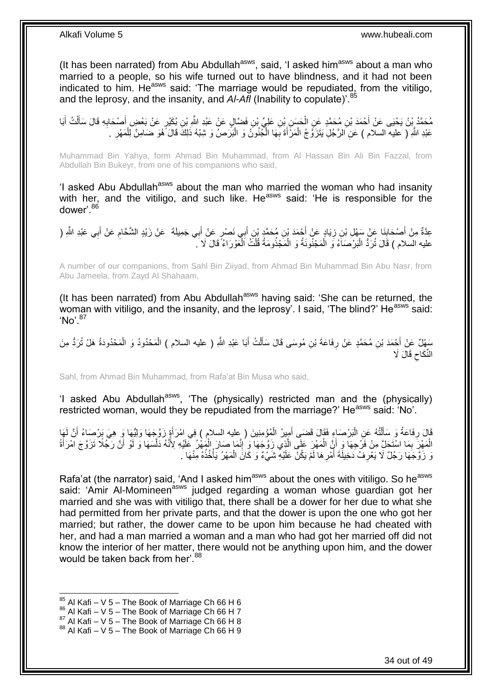(It has been narrated) from Abu Abdullah $a_{\text{sws}}$ , said, 'I asked him $a_{\text{sws}}$  about a man who married to a people, so his wife turned out to have blindness, and it had not been indicated to him. He $^{38W5}$  said: 'The marriage would be repudiated, from the vitiligo, and the leprosy, and the insanity, and *AI-Afl* (Inability to copulate)<sup>'.4</sup>

مُحَمَّدُ بِنُ يَحْيَى عَنْ أَحْمَدَ بْنِ مُحَمَّدٍ عَنِ الْحَسَنِ بْنِ عَلِيِّ بْنِ فَضَّالٍ عَنْ عَيْدِ اللَّهِ بْنِ بُكَيْرٍ عَنْ بَعْضٍ أَصْحَابِهِ قَالَ سَأَلْتُ أَبَا<br>. ْ َ ْ َ ِ َ عَبْدِ اللَّهِ ( عليه السلام ) عَنِ الرَّجُلِ يَتَزَوَّجُ الْمَرْأَةَ بِهَا الْجُنُونُ وَ الْبَرَصُ وَ شِبْهُ ذَلِكَ قَالَ َهُوَ ضَامِنٌ لِلْمَهْرِ . ْ ْ **∶** َ ْ ِ ْ

Muhammad Bin Yahya, form Ahmad Bin Muhammad, from Al Hassan Bin Ali Bin Fazzal, from Abdullah Bin Bukeyr, from one of his companions who said,

'I asked Abu Abdullah<sup>asws</sup> about the man who married the woman who had insanity with her, and the vitiligo, and such like. He<sup>asws</sup> said: 'He is responsible for the dower'.<sup>86</sup>

عِدَّةٌ مِنْ أَصْحَابِنَا عَنْ سَهْلِ بْنِ زِيَادٍ عَنْ أَحْمَدَ بْنِ مُحَمَّدٍ بْنِ أَبِي نَصْرٍ عَنْ أَبِي جَمِيلَةَ ۖ عَنْ زَيْدٍ الشَّحَامِ عَنْ أَبِي عَبْدِ الثَّهِ ( َ َ ِ **∣** َ َ ِ عليه السلام ) قَالَ تُزَدُّ الْبَرْصَاَءُ وَ الْمَجْنُونَةُ وَ الْمَجْذُومَةُ قُلْتُ اَلْعَوْرَاءُ ۗ قَالَ لَا ْ ْ ْ ْ

A number of our companions, from Sahl Bin Ziiyad, from Ahmad Bin Muhammad Bin Abu Nasr, from Abu Jameela, from Zayd Al Shahaam,

(It has been narrated) from Abu Abdullah<sup>asws</sup> having said: 'She can be returned, the woman with vitiligo, and the insanity, and the leprosy'. I said, 'The blind?' He<sup>asws</sup> said: 'No'.<sup>87</sup>

سَهْلٌ عَنْ أَحْمَدَ بْنِ مُحَمَّدٍ عَنْ رِفَاعَةَ بْنِ مُوسَى قَالَ سَأَلْتُ أَبَا عَبْدِ اللَّهِ ( عليه السلام ) الْمَحْدُودُ وَ الْمَحْدُودَةُ هَلْ تُرَدُّ مِنَ<br>يَعْبِدُ الْمَحْدُودَةُ هَلْ تُرَدُّ مِنَ ْ َ ْ َ ِ َ ْ  $\zeta$ النِّكَاح قَالَ لَا

Sahl, from Ahmad Bin Muhammad, from Rafa'at Bin Musa who said,

'I asked Abu Abdullah<sup>asws</sup>, 'The (physically) restricted man and the (physically) restricted woman, would they be repudiated from the marriage?' He<sup>asws</sup> said: 'No'.

قَالَ رِفَاعَةُ وَ سَأَلْتُهُ عَنِ الْبَرْصَاءِ فَقَالَ قَضَى أَمِيرُ الْمُؤْمِنِينَ ( عِليه السلامِ ) فِي امْرَأَةٍ زَوَّجَهَا وَلِيُّهَا وَ هِيَ بَرْصِبَاءُ أَنَّ لَهَا َ ْ َ ْ ْ َ **∶** اُ الْمَهْنِّ بِمَا اسْتَخِلَّ مِنْ فَرْجِهَا وَ أِنِّ الْمَهْرَ عَلَى الَّذِي زَوَّجَهَا وَ إِنَّمَا صَارَ الْمَهْرُ عَلَيْهِ لِأَنَّهُ دَلَّسَهَا وَ لَوْ أَنَّ رَجُّلًا تَزَوَّجَ امْرَأَةً َّ ْ اً ِ ْ َ َ َّ ْ ِ َ زَوَّجَهَا رَجُلٌ لَا يَعْرِفُ دَخِيلَةَ أَمْرِهَا لَمْ يَكُنَّ عَلَيْهِ شَيْءٌ وَ كَانَ الْمَهْرُ يَأْخُذُهُ مِنْهَا . ِ َ ِ ْ ْ

Rafa'at (the narrator) said, 'And I asked him<sup>asws</sup> about the ones with vitiligo. So he<sup>asws</sup> said: 'Amir Al-Momineen<sup>asws</sup> judged regarding a woman whose quardian got her married and she was with vitiligo that, there shall be a dower for her due to what she had permitted from her private parts, and that the dower is upon the one who got her married; but rather, the dower came to be upon him because he had cheated with her, and had a man married a woman and a man who had got her married off did not know the interior of her matter, there would not be anything upon him, and the dower would be taken back from her'.<sup>88</sup>

- $86$  Al Kafi V 5 The Book of Marriage Ch 66 H 7
- $87$  Al Kafi V 5 The Book of Marriage Ch 66 H 8

 $85$  Al Kafi – V 5 – The Book of Marriage Ch 66 H 6

 $88$  Al Kafi – V 5 – The Book of Marriage Ch 66 H 9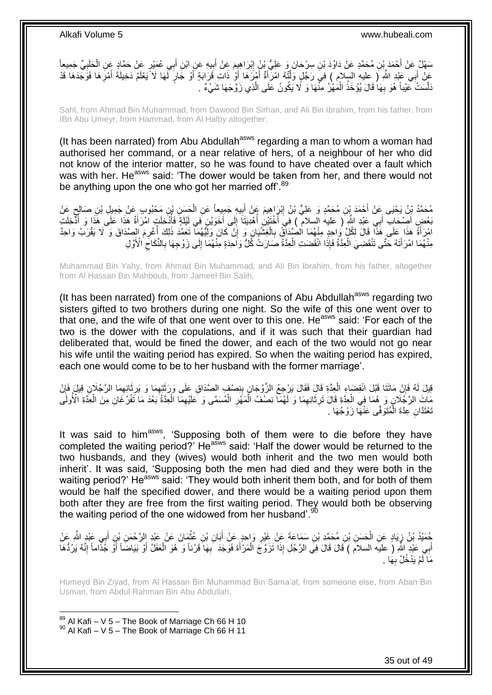سَهْلٌ عَنْ أَحْمَدَ بِنِ مُحَمَّدٍ عَنْ دَاوُدَ بْنِ سِرْحَانَ وَ عَلِيُّ بِنُ إِبْرَاهِيِمَ عَنْ أَبِيهِ عَنِ ابْنِ أَبِي عُمَيْرٍ عَنْ حَمَّادٍ عَنِ الْحَلَبِيِّ جَمِيعاً َ ِ َ ِ َ ِ ْ عَنْ أَبِي عَبْدِ اللَّهِ ( عِليه السلام ) فِيَ رَجُلٍ وَلَّنْهُ امْرَأَةٌ أَمْرَهَا أَوْ ذَاتِ قَرَابَةٍ أَوْ جَارٍ لَّهَا لَا يَعْلَمُ دَخِيلَةُ أَمْرَهَا فَوَجَدَهَا قَدْ َ َ َ َّ َ ِ َ َّ َنَّلَسَتْ عَيْباً هُوَ بِهَا ُقَالَ يُؤْخَذُ الْمُهْرُ مِنَّهَا وَ لَا يَكُونُ عَلَى الَّذِي زَوَّجَهَا شَيْءٌ . ْ **∶** 

Sahl, from Ahmad Bin Muhammad, from Dawood Bin Sirhan, and Ali Bin Ibrahim, from his father, from IBn Abu Umeyr, from Hammad, from Al Halby altogether,

(It has been narrated) from Abu Abdullah<sup>asws</sup> regarding a man to whom a woman had authorised her command, or a near relative of hers, of a neighbour of her who did not know of the interior matter, so he was found to have cheated over a fault which was with her. He<sup>asws</sup> said: 'The dower would be taken from her, and there would not be anything upon the one who got her married off'.<sup>89</sup>

مُحَمَّدُ بْنُ يَحْيَى عَنْ أَحْمَدَ بِنِ مُحَمَّدٍ وَ عَلِيُّ بْنُ إِبْرَاهِيمَ عَنْ أَبِيهِ جَمِيعِاً عَنِ الْحَسَنِ بْنِ مَحْبُوبِ عَنْ جَمِيلٍ بْنِ صَالِحٍ عَنْ ْ ِ َ ِ ٍ ُخَصِ أَصِحَابِ أَبِي عَيْدِ اللَّهِ ( عليه السلام ) فِي أُخْتَيْنِ أُهْدِيَتَا إِلَى أَخَوَيْنِ فِي لَيْلَةٍ فَأُذْخِلَتٍ امْرَأَةُ هَذَا عَلَى هَذَا وَ أَدْخِلَتِ َ ∣∣<br>∶ المناسب المناسب المناسب المناسب المناسب المناسب المناسب المناسب المناسب المناسب المناسب المناسب المناسب المناس<br>المناسب المناسب المناسب المناسب المناسب المناسب المناسب المناسب المناسب المناسب المناسب المناسب المناسب المناس ا<br>ا ا<br>ا َ ا<br>ا امْرَأَةُ هَذَا عَلَى هَذَا قَالَ لِكُلِّ وَاحِدٍ مِنْهُمَا الْصُدَاقُ بِالْعِشْيَانِ وَ إِنْ كَانَ وَلِيَّهُمَا تَعَمَّدَ ذَلِكَ أُغْرِمَ الصَّدَاقَ وَ لَا يَقْرَبُ وَاحِدٌ<br>وَإِن وَجَدِيَ مَنْ تَقْبَلُ الْمُؤْمِنَ وَلَيْ ِ ْ ِ ا<br>المسلمان<br>المسلمان مِنْهُمَا امْرَأَتَهُ حَتَّى تَنْقَضِيَ الْعِدَّةُ فَإِذَا انْقَضَتِ الْعِدَّةُ صَارَتْ كُلُّ وَاحِدَةٍ مِنْهُمَا إِلَى زَوْجِهَا بِالنِّكَاحِ الْأَوَّلِ ِ ِ ْ ْ َ ِ

Muhammad Bin Yahy, from Ahmad Bin Muhammad, and Ali Bin Ibrahim, from his father, altogether from Al Hassan Bin Mahboub, from Jameel Bin Salih,

(It has been narrated) from one of the companions of Abu Abdullah<sup>asws</sup> regarding two sisters gifted to two brothers during one night. So the wife of this one went over to that one, and the wife of that one went over to this one. He<sup>asws</sup> said: 'For each of the two is the dower with the copulations, and if it was such that their guardian had deliberated that, would be fined the dower, and each of the two would not go near his wife until the waiting period has expired. So when the waiting period has expired, each one would come to be to her husband with the former marriage'.

قِيلَ لَهُ فَإِنْ مَاتَتَا قَبْلَ انْقِضَاءٍ الْعِدَّةِ قَالَ فَقَالَ يَرْجِعُ الزَّوْجَانِ بِنِصْفٍ الصَّدَاقِ عَلَى وَرَثَبِّهِمَا وَ يَرِثَانِهِمَا الرَّجُلَانِ قِيلَ فَإِنْ َ ِ ْ ِ ِ َ ِ ِّبَاتَ الرَّجُلَانِ وَ هُمَا فِي الْعِدَّةِ قَالَ تَرِثَانِهِمَا وَ لَّهُمَا نِصْفُ الْمَهْرِ الْمُسَمَّى وَ كَلَيْهِمَا الْعِدَّةُ بَعْدَ مَا تَّفْرُغَانِ مِنَ الْعِدَّةِ الْأُولَى ْ ِ ْ **∶** ْ ِ َ ِ ْ ْ تُعْتَدَّانِ عِدَّةَ الْمُتَوَفَّى عَنْهَا زَوْجُهَا . ا<br>ا

It was said to him<sup>asws</sup>, 'Supposing both of them were to die before they have completed the waiting period?' Heasws said: 'Half the dower would be returned to the two husbands, and they (wives) would both inherit and the two men would both inherit'. It was said, 'Supposing both the men had died and they were both in the waiting period?' He<sup>asws</sup> said: 'They would both inherit them both, and for both of them would be half the specified dower, and there would be a waiting period upon them both after they are free from the first waiting period. They would both be observing the waiting period of the one widowed from her husband'. $90$ 

حُمَّئِدُ بْنُ زِيَادٍ عَنِ الْحَسَنِ بْنِ مُحَمَّدٍ بْنِ سَمَاعَةً عَنْ غَيْرِ وَاحِدٍ عَنْ أَبَانِ بْنِ عُثْمَانَ عَنْ عَيْدِ الرَّحْمَنِ بْنِ أَبِي عَيْدٍ الثَّهِ عَنْ<br>مُمَّئِذُ بْنُ زِيَادٍ عَنِ الْحَسَنِ بْنِ مُحَمَّد **ٔ** َ ِ ْ ્ َ ْ أَبِي عَبْدِ اللَّهِ ( عليه السلام ) قَالَ قَالَ فِي الرَّجُلِ إِذَا تَزَوَّجَ الْمَرْأَةَ فَوَجَدَ ۖ بِهَا قَرْناً وَ هُوَ الْعَفَلُ أَوْ بَيَاضَاً أَوْ جُذَاماً إِنَّهُ يَرُدُّهَا ِ َ ْ َ ِ َ َ مَا لَمْ يَدْخُلْ بِهَا . **∶** 

Humeyd Bin Ziyad, from Al Hassan Bin Muhammad Bin Sama'at, from someone else, from Aban Bin Usman, from Abdul Rahman Bin Abu Abdullah,

 $89$  Al Kafi – V 5 – The Book of Marriage Ch 66 H 10  $90$  Al Kafi – V 5 – The Book of Marriage Ch 66 H 11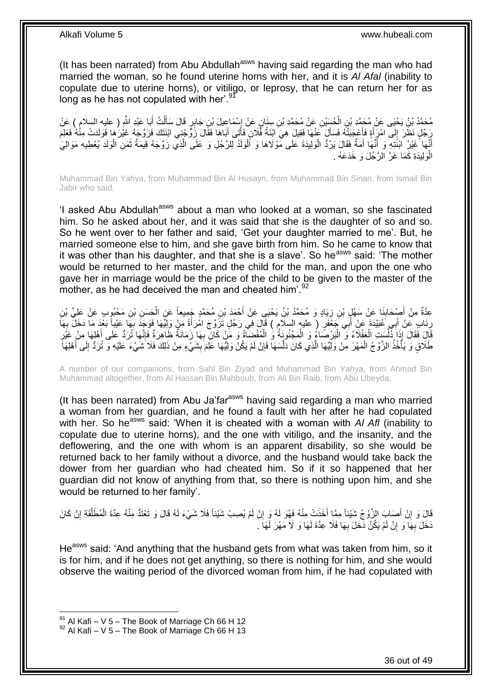(It has been narrated) from Abu Abdullah<sup>asws</sup> having said regarding the man who had married the woman, so he found uterine horns with her, and it is *Al Afal* (inability to copulate due to uterine horns), or vitiligo, or leprosy, that he can return her for as long as he has not copulated with her'.<sup>91</sup>

مُحَمَّدُ بْنُ يَحْيَى عَنْ مُحَمَّدِ بْنِ الْحُسَيْنِ عَنْ مُحَمَّدِ بْنِ سِنَانٍ عَنْ إِسْمَاعِيلَ بْنِ جَابِرٍ قَالَ سَأَلْتُ أَبَا عَبْدِ اللَّهِ ( عليه السلام ) عَنْ<br>مُحَمَّدُ بْنُ يَحْيَى عَنْ مُحَمَّدِ بْنِ الْحُسَي ْ َ ْ َ ।।<br>∕≉ يَجُلٍ نَظَرَ إِلَى امْرِأَةٍ فَأَعْجَبَتْهُ فَسَأَلَ عَنْهَا فَقِيلَ هِيَ ابْنَةُ فُلَانٍ فَأَتَى أَبَاهَا فَقَالَ زَوٍّ جُنِي ابْنَتَكَ فَزَوَّجَهُ غَيْرَ هَا فَوَلَدَتْ مِنْهُ فَعَلِمَ َ َ َ ا<br>استعمال َ ֖֦֧ׅ֧ׅ֧֦֧ׅ֧֧֦֧֚֚֚֚֚֚֚֚֚֚֚֚֚֚֚֚֚֬֡֡֘֝֜֝֟֓֡֝֩֡֜֟֓ أَنَّهَا خَيْرُ ابْنَتِهِ وَ أَنَّهَا أَمَةٌ فَقَالَ يَرُدُّ الْوَلِيدَةَ عَلَى مَّوْلَاهَا وَ اَلْوَلَدُ لِلرَّجُلِ وَ عَلَى الَّذِي زَوَّجَهُ قِيمَةُ ثَمَنِ الْوَلَدِ يُعْطِيهِ مَوَالِيَ ْ ْ َ َ ْ َ َّ الْوَلِيدَةِ كَمَا غَرَّ الرَّجُلَ وَ خَدَعَهُ . ر<br>ا

Muhammad Bin Yahya, from Muhammad Bin Al Husayn, from Muhammad Bin Sinan, from Ismail Bin Jabir who said,

'I asked Abu Abdullah<sup>asws</sup> about a man who looked at a woman, so she fascinated him. So he asked about her, and it was said that she is the daughter of so and so. So he went over to her father and said, 'Get your daughter married to me'. But, he married someone else to him, and she gave birth from him. So he came to know that it was other than his daughter, and that she is a slave'. So he<sup>asws</sup> said: 'The mother would be returned to her master, and the child for the man, and upon the one who gave her in marriage would be the price of the child to be given to the master of the mother, as he had deceived the man and cheated him'.<sup>92</sup>

عِدَّةٌ مِنْ أُصْحَابِذَا عَنْ سَهْلٍ بْنِ زِيَادٍ وَ مُحَمَّدُ بْنُ يَحْيَى عَنْ أَحْمَدَ بْنِ مُحَمَّدٍ جَمِيعاً عَنِ الْحَسَنِ بْنِ مَحْبُوبٍ عَنْ عَلِيٍّ بْنِ<br>-**∣** َ ْ ِ رِنَابِ عَنْ أَبِي عُبَيْدَة عَنْ أَبِي جَعْفَرٍ ( عليه السلام ) قَالَ فِي رَجُلٍ تَزَوَّجَ امْرَأَةً مِنْ وَلِيًّهَا فَوَجَدَ بِهَا عَيْباً بَعْدَ مَا دَخَلَ بِهَا َ َ َ ِ **∶** ِ َالَ فَقَالَ إِذَا ذُلِّسَتِ الْعَفْلَاءُ وَ الْبَرْصَاءُ وَ الْمَجْنُونَةُ وَ الْمُفْضِآةُ وَ مَنْ كَانَ بِهَا زَمَانَةٌ ظَاهِرَةٌ فَإِنَّهَا تُرَدُّ عَلَى أَهْلِهَا مِنْ غَيْرِ **∶** ْ ْ :<br>ا ْ ِّ ِ َ ا∣<br>ِ∘ِ طَلَاقٍ وَ يَأْخُذُ الزَّوْجُ الْمَهْرَ مِنْ وَلِّيِّهَا الَّذِي كَانَ دَلَّسَهَا فَإِنْ لَمْ يَكُنْ وَلِيِّهَا عَلِمَ بِشَيْءٍ مِنْ ذَلِكَ فَلَا ۚ شَيْءَ عَلَيْهِ وَ تُرَدُّ إِلَى أَهْلِهَا ْ ة<br>أ ِ ِ َّ َ َ ِ

A number of our companions, from Sahl Bin Ziyad and Muhammad Bin Yahya, from Ahmad Bin Muhammad altogether, from Al Hassan Bin Mahboub, from Ali Bin Raib, from Abu Ubeyda,

(It has been narrated) from Abu Ja'far<sup>asws</sup> having said regarding a man who married a woman from her guardian, and he found a fault with her after he had copulated with her. So he<sup>asws</sup> said: 'When it is cheated with a woman with *AI AfI* (inability to copulate due to uterine horns), and the one with vitiligo, and the insanity, and the deflowering, and the one with whom is an apparent disability, so she would be returned back to her family without a divorce, and the husband would take back the dower from her guardian who had cheated him. So if it so happened that her guardian did not know of anything from that, so there is nothing upon him, and she would be returned to her family'.

قَالَ وَ إِنْ أَصَابَ الزَّوْجُ شَيْئاً مِمَّا أَخَذَتْ مِنْهُ فَهُوَ لَهُ وَ إِنْ لَمْ يُصِبْ شَيْئاً فَلَا شَيْءَ لَهُ قَالَ وَ تَعْنَدُّ مِنْهُ عِدَّةَ الْمُطَلَّقَةِ إِنْ كَانَ ِ َ <u>֖֚֚֚֚֚֚֚֓</u> ِ َّ ْ دَخَلَ بِهَا وَ إِنْ لَمْ يَكُنْ دَخَلَ بِهَا فَلَا عِدَّةَ لَهَا وَ لَا مَهْرَ لَهَا َ **∶ ׀ ∶** 

He<sup>asws</sup> said: 'And anything that the husband gets from what was taken from him, so it is for him, and if he does not get anything, so there is nothing for him, and she would observe the waiting period of the divorced woman from him, if he had copulated with

 $91$  Al Kafi – V 5 – The Book of Marriage Ch 66 H 12

 $92$  Al Kafi – V 5 – The Book of Marriage Ch 66 H 13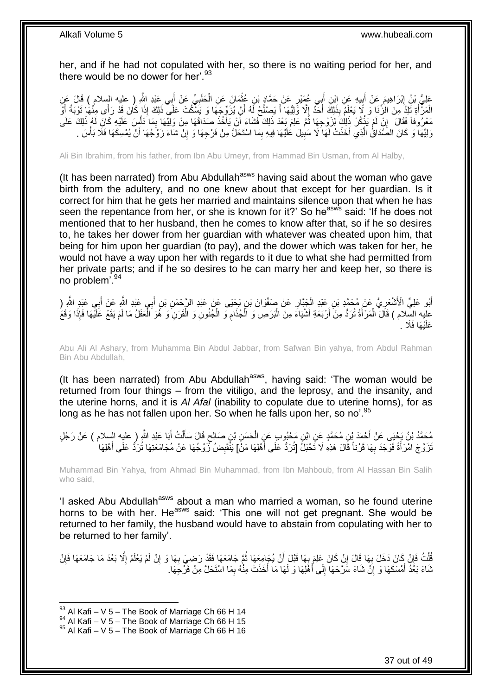her, and if he had not copulated with her, so there is no waiting period for her, and there would be no dower for her'. $93$ 

َ عَلِيُّ بْنُ إِبْرَاهِيمَ عَنْ أَبِيهِ عَنِ ابْنِ أَبِي عُمَيْرٍ عَنْ حَمَّادٍ بْنِ عُثْمَانَ عَنِ الْحَلَبِيِّ عَنْ أَبِي عَبْدِ اللَّهِ ( عليه السلام ) قَالَ عَنِ ِ ْ ْ َ **∣ ֽו** الْمَزَّأَةِ تَلِدُ مِنَ الزِّنَا وَ لَا يَعْلَمُ بِذَلِكَ أَخَذُ إِلَّا وَلِيُّهَا أَ يَصِنْكُ لَهُ أَنْ يُزَوِّجِهَا وَ يَسْكُتَ عَلَي ذَلِكَ إِذَا كُانَ قَدْ رَأَى مِنْهَا تَوْبَةً أَوَ َ ُ َ  $\overline{\phantom{a}}$ َ َ َ ِ مَعْرُوفاً فَقَالَ ۚ إِنْ لَمْ يَذْكُرْ ذَلِكَ لِزَوْجِهَا ثُمَّ عَلِمَ بَعْدَ ذَلِكَ فَشَاءَ أَنْ يَأْخُذَ صَدَاقَهَا مِنْ وَلِيِّهَا بِمَا دَلْسٍ عَلَيْهِ كَانَ لَهُ ذَلِكَ عَلَى َّ ِ ا<br>المسلمان<br>المسلمان اُ ا ماہ ماہ<br>ماہ ماہ ماہ ْ وَلِيِّهَا وَ كَانَ الصَّدَاقُ الَّذِي أَخَذَتْ لَهَا لَا سَبِيلَ عَلَيْهَا فِيهِ بِمَا اسْتَحَلَّ مِنْ فَرْجِهَا وَ إِنْ شَاءَ زَوْجُهَا أَنْ يُمْسِكَهَا فَلَا بَأْسَ ـ ِ ِ َ َّ ْ َ ِ

Ali Bin Ibrahim, from his father, from Ibn Abu Umeyr, from Hammad Bin Usman, from Al Halby,

(It has been narrated) from Abu Abdullah $a<sub>asws</sub>$  having said about the woman who gave birth from the adultery, and no one knew about that except for her guardian. Is it correct for him that he gets her married and maintains silence upon that when he has seen the repentance from her, or she is known for it?' So he<sup>asws</sup> said: 'If he does not mentioned that to her husband, then he comes to know after that, so if he so desires to, he takes her dower from her guardian with whatever was cheated upon him, that being for him upon her guardian (to pay), and the dower which was taken for her, he would not have a way upon her with regards to it due to what she had permitted from her private parts; and if he so desires to he can marry her and keep her, so there is no problem'.<sup>94</sup>

أَبُو عَلِيٍّ الْأَشْعَرِيُّ عَنْ مُحَمَّدِ بْنِ عَبْدِ الْجَبَّارِ عَنْ صَفْوَانَ بْنِ يَحْيَى عَنْ عَبْدِ الأَرْحْمَنِ بْنِ أَبِي عَبْدِ اللَّهِ عِنْ أَبِي عَبْدِ اللَّهِ ( ¦ ِ َ َ ِ ْ عليه السِّلام ) قَالَ الْمَرْأَةُ تُرَدُّ مِنْ أَرْبَعَةِ أَشْيَاءَ مِنَ الْبَرَصِ وَ الْجُذَامِ وَ الْجُنُونِ وَ الْقَرَنِ وَ هُوَ الْمَعَلْلُ مَا لَمْ يَقَعْ عَلَيْهَا فَإِذَا وَقَعَ ْ ْ ِ ْ ا<br>ا َ َ َ َ ِ ْ يُهَا فَلَا . َعلَ

Abu Ali Al Ashary, from Muhamma Bin Abdul Jabbar, from Safwan Bin yahya, from Abdul Rahman Bin Abu Abdullah,

(It has been narrated) from Abu Abdullah<sup>asws</sup>, having said: 'The woman would be returned from four things – from the vitiligo, and the leprosy, and the insanity, and the uterine horns, and it is *Al Afal* (inability to copulate due to uterine horns), for as long as he has not fallen upon her. So when he falls upon her, so no'.<sup>95</sup>

مُحَمَّدُ بْنُ يَجْنِي عَنْ أَحْمَدَ بْنِ مُحَمَّدٍ عَنِ ابْنِ مَجْبُوبٍ عَنِ الْحَسَنِ بْنِ صَالِحٍ قَالَ سَأَلْتُ أَبَا عَبْدِ اللَّهِ ( عليه السلام ) عَنْ رَجُلٍ<br>مُحَمَّدُ بْنُ يَجْنِي عَنْ أَحْمَدَ بْنِ مُحَمَّدٍ عَنِ َ ْ َ ٍ ْ َ نَرَوَّجَ امْرَأَةً فَوَجَدَ بِهَا قَرْناً قَالَ هَذِهِ لَا تَّحْبَلُ [تُرَدُّ عَلَى أَهْلِهَا مَنْ] يَنْقَبِضُ نَّرَوْجُهَا عَنْ مُجَامَعَتِهَا تُرَدُّ عَلَى أَهْلِهَا **∶** َ ِ َ

Muhammad Bin Yahya, from Ahmad Bin Muhammad, from Ibn Mahboub, from Al Hassan Bin Salih who said,

'I asked Abu Abdullah<sup>asws</sup> about a man who married a woman, so he found uterine horns to be with her. He<sup>asws</sup> said: 'This one will not get pregnant. She would be returned to her family, the husband would have to abstain from copulating with her to be returned to her family'.

قُلْتُ فَإِنْ كَانَ دَخَلَ بِهَا قَالَ إِنْ كَانَ عَلِمَ بِهَا قَبْلَ أَنْ يُجَامِعَهَا ثُمَّ جَامَعَهَا فَقَد رَضِيَ بِهَا وَ إِنْ لَمْ يَعْلَمْ إِلَّا بَعْدَ مَا جَامَعَهَا فَإِنْ ِ ِ ِ ْ ∣ٍ إ ِ ِ ِ ُ اً ِ ثَنَاءَ بَغُدُ أَمْسَكَهَا وَ إِنَّ شَاءَ سَرَّحَهَا إِلَى أَهْلِهَا وَ لَهَا مَا أَخَذَتْ مِنْهُ بِمَا اسْتَحَلَّ مِنْ فَرْجِهَا. ِ َ ِ ِ َ

 $93$  Al Kafi – V 5 – The Book of Marriage Ch 66 H 14

 $^{94}$  Al Kafi – V 5 – The Book of Marriage Ch 66 H 15

 $95$  Al Kafi – V 5 – The Book of Marriage Ch 66 H 16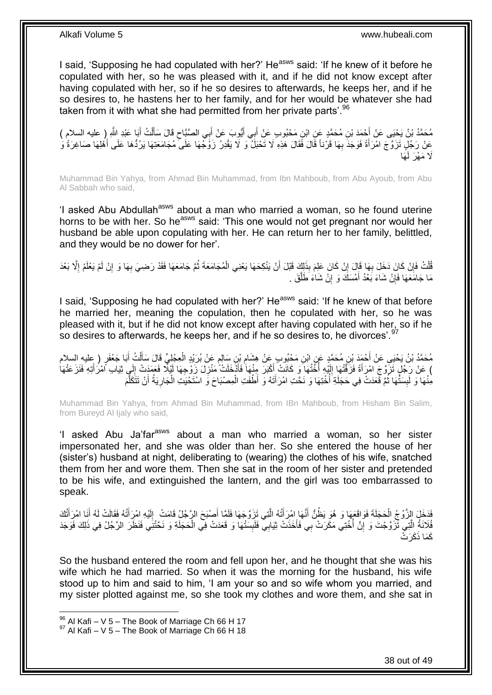I said, 'Supposing he had copulated with her?' He<sup>asws</sup> said: 'If he knew of it before he copulated with her, so he was pleased with it, and if he did not know except after having copulated with her, so if he so desires to afterwards, he keeps her, and if he so desires to, he hastens her to her family, and for her would be whatever she had taken from it with what she had permitted from her private parts'.<sup>96</sup>

َ مُحَمَّدُ بْنُ يَحْيَى عَنْ أَحْمَدَ بْنِ مُحَمَّدٍ عَنِ ابْنِ مَحْبُوبٍ عَنْ أَبِي أَيُّوبَ عَنْ أَبِي الصَّبَّاحِ قَالَ سَأَلْتُ أَبَا عَبْدِ اللَّهِ ( عليه السلام ) ِ َ َ َ َ ْ عَنْ رَجُلٍ تَزَوَّجَ امْرَأَةً فَوَجَدَ بِهَا قَرْناً قَالَ فَقَالَ هَذِهِ لَا تَحْبَلُ وَ لَا يَقْدِرُ زَوَّجُهَا عَلَى ۖ مُجَامَعَتِهَا يَرُدُّهَا عَلَى أَهْلِهَا صَاغِرَةً وَ ِ َ َ َها َلَا مَهْرَ لَ

Muhammad Bin Yahya, from Ahmad Bin Muhammad, from Ibn Mahboub, from Abu Ayoub, from Abu Al Sabbah who said,

'I asked Abu Abdullah<sup>asws</sup> about a man who married a woman, so he found uterine horns to be with her. So he<sup>asws</sup> said: 'This one would not get pregnant nor would her husband be able upon copulating with her. He can return her to her family, belittled, and they would be no dower for her'.

قُلْتُ فَإِنْ كَانَ دَخَلَ بِهَا قَالَ إِنْ كَانَ عَلِمَ بِذَلِكَ قَبْلَ أَنْ يَنْكِحَهَا يَعْنِي الْمُجَامَعَةَ ثُمَّ جَامَعَهَا فَقَدْ رَضِيَ بِهَا وَ إِنْ لَمْ يَعْلَمْ إِلَّا بَعْدَ ْ ُ ْ ِ **∶** ِ ا<br>ا ِ ِ مَا جَامَعَهَا فَإِنْ شَاءَ بَعْدُ أَمْسَكَ وَ إِنْ شَاءَ طَلَّقَ . مَّ<br>ا ِ َ ِ

I said, 'Supposing he had copulated with her?' He<sup>asws</sup> said: 'If he knew of that before he married her, meaning the copulation, then he copulated with her, so he was pleased with it, but if he did not know except after having copulated with her, so if he so desires to afterwards, he keeps her, and if he so desires to, he divorces'.<sup>97</sup>

مُحَمَّدُ بْنُ يَحْيَىِ عَنْ أَحْمَدَ بْنِ مُحَمَّدٍ عَنِ ابْنِ مَحْبُوبٍ عَنْ هِشَامِ بْنِ سَالِمٍ عَنْ بُرَيْدٍ الْعِجْلِيِّ قَالَ سَأَلْتُ أَبَا جَعْفَرٍ ( عليهِ السلام ْ ٍ ِ َ ْ ĺ ) عَنْ رَجُلٍ تَزَوَّجَ امْرَأَةً فَزَفَّتْهَا إِلَيْهِ أُخَّتُهَا وَ كَانَتْ أَكْبَرَ مِنْهَا فَأَذْخَلَتْ مَنْزِلَ زَوْجِهَا لَيْلًا فَعَمَدَتْ إِلَي ثِيَابِ اَمْرُأَتِهِ فَنَزَعَتْهَا ِ َ َ ا<br>ا لَ  $\frac{1}{2}$ َ َ ِ مِنْٰهَا وَ لَٰٓبِسَتُّهَا ثُمَّ قَعَدَتْ فِي حَجَلَةِ َأُخْتِهَا وَ نَحَّتِ امْرَأَتَهُ وَ أَطْفَتِ الْمِصْبَاحَ وَ اسْتَحْيَتِ الْجَارِيَةُ أَنْ تَتَكَلَّمَ َ ِ<br>ا .<br>• • • • **∣** َّ َ ِ ْ ْ

Muhammad Bin Yahya, from Ahmad Bin Muhammad, from IBn Mahboub, from Hisham Bin Salim, from Bureyd Al Ijaly who said,

'I asked Abu Ja'far<sup>asws</sup> about a man who married a woman, so her sister impersonated her, and she was older than her. So she entered the house of her (sister's) husband at night, deliberating to (wearing) the clothes of his wife, snatched them from her and wore them. Then she sat in the room of her sister and pretended to be his wife, and extinguished the lantern, and the girl was too embarrassed to speak.

فَدَخَلَ الِزَّوْجُ الْحَجَلَةَ فَوَاقَعَهَا وَ هُوَ يَظُنُّ أَنَّهَا اِمْرِ أَتُهُ الَّتِي تَزَوَّجَهَا فَلَمَّا أَصْبَحَ الرَّجُلُ قَامَتْ ۚ إِلَيْهِ امْرِأَتُهُ فَقَالَتْ لَهُ أَنَا امْرَأَتُكَ َ َّ َ َ ْ َ َ َ لَ ِ فُلَانَةُ اِلَّتِي ثَّزَوَّجْتَ وَ إِنَّ أُخْتِي مَكَرَتْ بِي فَأَخَذَتْ ثِيَابِي فَلَبِسَنْهَا وَ قَعَدَتْ فِي الْحَجَلَةِ وَ نَخَّتْنِي فَنَظَرَ الرَّجُلُ فِي ذَلِكَ فَوَجَدَ ْ **∣** َ ا<br>ا ِ َّ كَمَا ذَكَرَتْ

So the husband entered the room and fell upon her, and he thought that she was his wife which he had married. So when it was the morning for the husband, his wife stood up to him and said to him, 'I am your so and so wife whom you married, and my sister plotted against me, so she took my clothes and wore them, and she sat in

 $96$  Al Kafi – V 5 – The Book of Marriage Ch 66 H 17

 $97$  Al Kafi – V 5 – The Book of Marriage Ch 66 H 18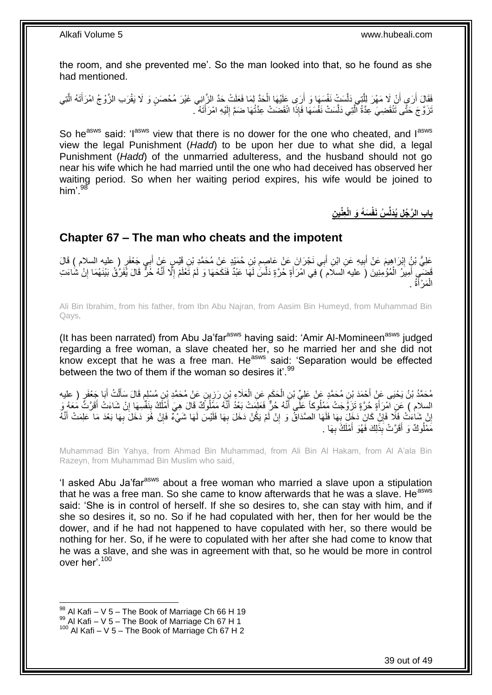the room, and she prevented me'. So the man looked into that, so he found as she had mentioned.

فَقَالَ أَرَى أَنْ لَا مَهْرَ لِلَّذِي دَلَّسَتْ نَفْسَهَا وَ أَرَى عَلَيْهَا الْحَدَّ لِمَا فَعَلَتْ حَدَّ الزَّانِي غَيْرَ مُحْصَنٍ وَ لَا يَقْرَب الزَّوْجُ امْرَأَتَهُ الَّتِي ْ اُ َّ َّ َ َّ َ َتَرَوَّجَ حَتَّى تَنْقَضِيَ عِدَّةُ الَّتِي دَلَّسَتْ نَفْسَهَا فَإِذَا انْقَضَتْ عِدَّتُهَا ضَمَّ إِلَيْهِ امْرَأَتَهُ ۖ. َ لَ ∣∣<br>∶ َّ َّ

So he<sup>asws</sup> said: 'I<sup>asws</sup> view that there is no dower for the one who cheated, and I<sup>asws</sup> view the legal Punishment (*Hadd*) to be upon her due to what she did, a legal Punishment (*Hadd*) of the unmarried adulteress, and the husband should not go near his wife which he had married until the one who had deceived has observed her waiting period. So when her waiting period expires, his wife would be joined to him'.<sup>98</sup>

 **ن عِّني َس ُه َو الْ ُس َنفْ باب ال َّر ُج ل ُيَدلِّ**

### <span id="page-38-0"></span>**Chapter 67 – The man who cheats and the impotent**

عَلِيُّ بْنُ إِبْرَاهِيمَ عَنْ أَبِيهِ عَنِ ابْنِ أَبِي نَجْرَانَ عَنْ عَاصٍمِ بْنِ حُمَيْدٍ عَنْ مُحَمَّدٍ بْنِ قَيْسٍ عَنْ أَبِي جَعْفَرٍ ( عليه السلام ) قَالَ **!** َ َ ِ َ َ فَضَى أَمِيزُ الْمُؤْمِنِينَ (َ عليه السلام َ) فِي امْرَأَةٍ حُرَّةٍ دَلَّسَ لَهَا عَبْدٌ فَنَكَحَهَا وَ لَمْ تَعْلَمْ إِلَّا أَنَّهُ خُرٍّ قَالَ يُفَرَّقُ بَيْنَهُمَا إِنْ شَاءَتِ ا<br>ا َّ َ ْ َ ِ الْمَرْأَةُ . َ ْ

Ali Bin Ibrahim, from his father, from Ibn Abu Najran, from Aasim Bin Humeyd, from Muhammad Bin Qays,

(It has been narrated) from Abu Ja'far<sup>asws</sup> having said: 'Amir Al-Momineen<sup>asws</sup> judged regarding a free woman, a slave cheated her, so he married her and she did not know except that he was a free man. He<sup>asws</sup> said: 'Separation would be effected between the two of them if the woman so desires it'.<sup>99</sup>

مُحَمَّدُ بْنُ يَحْيَى عَنْ أَحْمَدَ بْنِ مُحَمَّدٍ عَنْ عَلِيِّ بْنِ الْحَكَمِ عَنِ الْعَلَاءِ بْنِ رَزِينٍ عَنْ مُحَمَّدٍ بْنِ مُسْلِمٍ قَالَ سَأَلْتُ أَبَا جَعْفَرٍ ( عليه<br>. َ ْ َ ֧֧֖֧֖֧֖֧֧֧֧֧֧֧֧֧֧֧֧֚֚֚֓֝֝֝֝֝֟֓֝֓֬֝֓֝֬֟֓֟֓֝֬֟֓֟֓֝֬֝֬֝֓֟֓֝֬֜֝֬֝֓֝֬֝֓ <u>ุ</u> ْ ِ ْ السلام ) عَنِ امْرَأَةٍ حُرَّةٍ تَزَوَّجَتْ مَعْلُوكاً عَلَّى أَنَّهُ حُرٌّ فَعَلَمَتْ بَعْدُ أَنَّهُ مَفَلُوكٌ قَالَ هِيَ أَمْلَكُ بِنَفْسِهَا إِنْ شَاءَتْ أَقَرَّتَ مَعَهُ وَ َ َ َ َ ِ ِ َ إِنْ شَاءَتْ فَلَا فَإِنْ كَانَ دَخَلَ بِهَا فَلَهَا الصَّدَاقُ وَ إِنْ لَمْ يَكُنْ دَخَلَ بِهَا فَلَيْسَ لَهَا شَيْءٌ فَإِنْ هُوَ دَخَلَ بِهَا بَعْدَ مَا عَلِمَتْ أَنَّهُ **∶** ِ **∶** ِ اٍ َ ِ ∣ļ مَمْلُوكٌ وَ أَقَرَّتْ بِذَلِكَ فَهُوَ أَمْلَكُ بِهَا . َ **∶** َ

Muhammad Bin Yahya, from Ahmad Bin Muhammad, from Ali Bin Al Hakam, from Al A'ala Bin Razeyn, from Muhammad Bin Muslim who said,

'I asked Abu Ja'far<sup>asws</sup> about a free woman who married a slave upon a stipulation that he was a free man. So she came to know afterwards that he was a slave. He<sup>asws</sup> said: 'She is in control of herself. If she so desires to, she can stay with him, and if she so desires it, so no. So if he had copulated with her, then for her would be the dower, and if he had not happened to have copulated with her, so there would be nothing for her. So, if he were to copulated with her after she had come to know that he was a slave, and she was in agreement with that, so he would be more in control over her'.<sup>100</sup>

1

 $^{99}$  Al Kafi – V 5 – The Book of Marriage Ch 67 H 1

 $98$  Al Kafi – V 5 – The Book of Marriage Ch 66 H 19

 $100$  Al Kafi – V 5 – The Book of Marriage Ch 67 H 2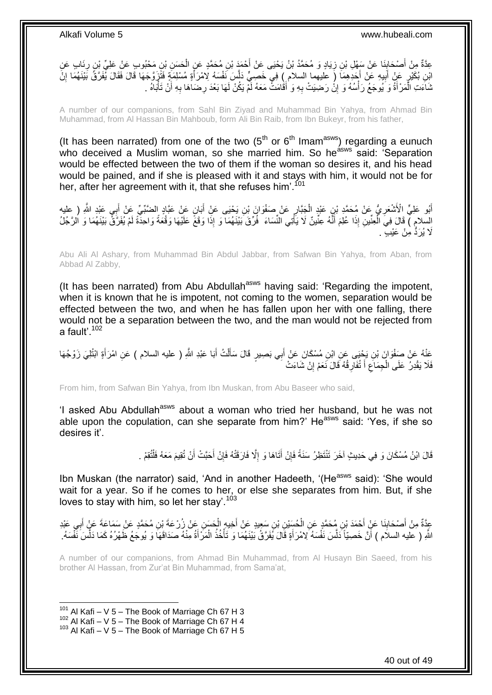### عِدَّةٌ مِنْ أَصْحَابِنَا عَنْ سَفْلِ بْنِ زِيَادٍ وَ مُحَمَّدُ بْنُ يَحْيَى عَنْ أَحْمَدَ بْنِ مُحَمَّدٍ عَنِ الْحَسَنِ بْنِ مَحْبُوبٍ عَنْ عَلِيِّ بِنِ رِئَابٍ عَنِ<br>حَدَّةٌ مِنْ أَصْحَابِنَا عَنْ سَفِلْ بْنِ زِيَادٍ وَ م ْ َ ِ ِ َ ِ ائِنِ بُكَيْرٍ عَنْ أَبِيهِ عَنْ أَجَدِهِمَا (ِ عليهما السلام ِ) فِي خَصِبٍّ دَلَّسَ نَفْسَهُ لِامْرَأَةٍ مُسْلِمَةٍ فَتَزَوَّجَهَا قَالَ فَقَالَ يُفَرَّقُ بَيْنَهُمَا إِنَّ َّ **!** َ ِ َ ثَنَاءَتِ الْمَرْأَةُ وَ يُوجَعُ رَأْسُهُ وَ إِنْْ رَضِيَتْ بِهِ وَ أَقَامَتْ مَعَهُ لَمْ يَكُنْ لَهَا بَعْدَ رِضَاهَا بِهِ أَنْ تَأْبَاهُ . اُ ِ ِ َ ِ <u>֖֚֚֚֚֚֚֚֓</u> **ٔ** ْ ْ

A number of our companions, from Sahl Bin Ziyad and Muhammad Bin Yahya, from Ahmad Bin Muhammad, from Al Hassan Bin Mahboub, form Ali Bin Raib, from Ibn Bukeyr, from his father,

(It has been narrated) from one of the two  $(5<sup>th</sup>$  or  $6<sup>th</sup>$  Imam<sup>asws</sup>) regarding a eunuch who deceived a Muslim woman, so she married him. So he<sup>asws</sup> said: 'Separation' would be effected between the two of them if the woman so desires it, and his head would be pained, and if she is pleased with it and stays with him, it would not be for her, after her agreement with it, that she refuses him<sup>'.101</sup>

أَبُو عَلِيٍّ الْأَشْعَرِ يُّ عَنْ مُحَمَّدٍ بْنِ عَبْدٍ الْجَبَّارِ عَنْ صَفْوَانَ بْنِ يَحْيَى عَنْ أَبَانٍ عَنْ عَبَّادٍ الضَّبِّيِّ عَنْ أَبِي عَبْدِ اللَّهِ ( عليه َ ِ ْ **∶** َ السلامِ ) قَالَ فِيَ الْعِنْينِ إِذَا عُلِمَ أَنَّهُ عِنْينٌ لَا يَأْتِي النِّسَاءَ ۖ فُرِّقَ بَيْنَهُمَا وَ إِذَا وَقَعَ عَلَيْهَا وَقْعَةً وَاحِدَّةً لَمْ يُفَرَّقٌ بَيْنَهُمَا وَ الرَّجُلُ َ ْ َلَا يُرَدُّ مِنْ عَيْبٍ ۚ .

Abu Ali Al Ashary, from Muhammad Bin Abdul Jabbar, from Safwan Bin Yahya, from Aban, from Abbad Al Zabby,

(It has been narrated) from Abu Abdullah<sup>asws</sup> having said: 'Regarding the impotent, when it is known that he is impotent, not coming to the women, separation would be effected between the two, and when he has fallen upon her with one falling, there would not be a separation between the two, and the man would not be rejected from a fault' $102$ 

عَنْهُ عَنْ صَفْوَانَ بْنِ يَجْيَى عَنِ ابْنِ مُسْكَانَ عَنْ أَبِي بَصِيرٍ قَالَ سَأَلْتُ أَبَا عَبْدِ اللَّهِ ( عليه السلام ) عَنِ امْرَأَةٍ ابْتُلِيَ زَوْجُهَا َ ْ َ َ فَلَا يَقْدِرُ عَلَى الْجِمَاعِ أَ تُفَارِقُهُ قَالَ نَعَمْ إِنْ شَاءَتْ ِ ِ َ ِ ْ

From him, from Safwan Bin Yahya, from Ibn Muskan, from Abu Baseer who said,

'I asked Abu Abdullah<sup>asws</sup> about a woman who tried her husband, but he was not able upon the copulation, can she separate from him?' He<sup>asws</sup> said: 'Yes, if she so desires it'.

> قَالَ ابْنُ مُسْكَانَ وَ فِي حَدِيثٍ آخَرَ تَنْتَظِرُ سَنَةً فَإِنْ أَتَاهَا وَ إِلَّا فَارَقَتْهُ فَإِنْ أَحَبَّتْ أَنْ تُقِيمَ مَعَهُ فَلْتُقِمْ . َ َ ِ ِ ِ ْ

Ibn Muskan (the narrator) said, 'And in another Hadeeth, '(He<sup>asws</sup> said): 'She would wait for a year. So if he comes to her, or else she separates from him. But, if she loves to stay with him, so let her stay'.<sup>103</sup>

عِدَّةٌ مِنْ أَصْحَابِنَا عَنْ أَحْمَدَ بْنِ مُحَمَّدٍ عَنِ الْحُسَيْنِ بْنِ سَعِيدٍ عَنْ أَخِيهِ الْحَسَنِ عَنْ زُرْعَةَ بْنِ مُحَمَّدٍ عَنْ سَمَاعَةَ عَنْ أَبِي عَبْدِ ْ َ **∣ ∶** َ ْ َ اللَّهِ ( عليه السلاَم ) أَنَّ خَصِيّاً دَلَّسَ نَفْسَهُ لِامْرَأَةٍ قَالَ يُفَرَّقُ بَيْنَهُمَا وَ تَأْخُذُ الْمَرْأَةُ مِنْهُ صَدَاقَهَا وَ يُوجَعُ ظَهْرُهُ كَمَا دَلَّسَ نَفْسَهُ. َ ْ ْ َ َّ َ َّ

A number of our companions, from Ahmad Bin Muhammad, from Al Husayn Bin Saeed, from his brother Al Hassan, from Zur'at Bin Muhammad, from Sama'at,

 $101$  Al Kafi – V 5 – The Book of Marriage Ch 67 H 3

 $102$  Al Kafi – V 5 – The Book of Marriage Ch 67 H 4

 $103$  Al Kafi – V 5 – The Book of Marriage Ch 67 H 5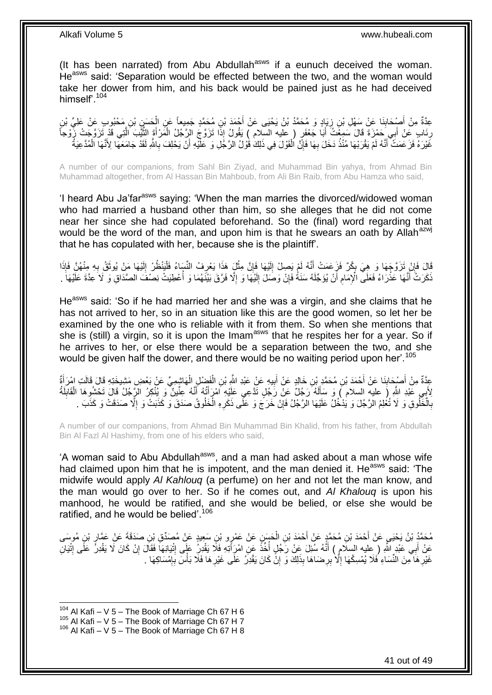(It has been narrated) from Abu Abdullah<sup>asws</sup> if a eunuch deceived the woman. He<sup>asws</sup> said: 'Separation would be effected between the two, and the woman would take her dower from him, and his back would be pained just as he had deceived himself'.<sup>104</sup>

عِدَّةٌ مِنْ أُصْحَابِذَا عَنْ سَهْلِ بْنِ زِيَادٍ وَ مُحَمَّدُ بْنُ يَحْيَى عَنْ أَحْمَدَ بْنِ مُحَمَّدٍ جَمِيعاً عَنِ الْحَسَنِ بْنِ مَحْبُوبِ عَنْ عَلِيٍّ بْنِ<br>حَدَّةٌ مِنْ أُصْحَابِذَا وَعَرِ عَنْهُمْ الْعَلَيِّ الْمَس ْ ِ ِ َ ِنَابٍ عَنْ أَبِي َحَمْزَةَ قَالَ سَمِعْتُ أَبَا جَعْفَرٍ ( عليه السلام ) يَقُولُ إِذَا تَزَوَّجَ الرَّجُلُ الْمَرْأَةَ الثَّيْبَ اَلَّتِي قَدْ تَزَوَّجَتْ زُوْجاً َ ِ َّ َّ َ ْ َ غَيْرَهُ فَزَ عَمَتْ ۖ أَنَّهُ لَمْ يَقْرَبْهَا مُنْذُ دَخَلَ بِهَا فَإِنَّ الْقَوْلَ فِي ذَلِكَ قَوْلُ الرَّجُلِ وَ عَلَيْهِ أَنْ يَحْلِفَ بِاللَّهِ لَقَدْ جَامَعَهَا لِأَنَّهَا الْمُدَّعِيَةُ ْ ِ ِ َ ْ **∶** 

A number of our companions, from Sahl Bin Ziyad, and Muhammad Bin yahya, from Ahmad Bin Muhammad altogether, from Al Hassan Bin Mahboub, from Ali Bin Raib, from Abu Hamza who said,

'I heard Abu Ja'far<sup>asws</sup> saying: 'When the man marries the divorced/widowed woman who had married a husband other than him, so she alleges that he did not come near her since she had copulated beforehand. So the (final) word regarding that would be the word of the man, and upon him is that he swears an oath by Allah<sup>azwj</sup> that he has copulated with her, because she is the plaintiff'.

قَالَ فَإِنْ تَزَوَّجَهَا وَ هِيَ بِكْرٌ فَزَعَمَتْ أَنَّهُ لَمْ يَصِلْ إِلَيْهَا فَإِنَّ مِثْلَ هَذَا يَعْرِفُ النِّسَاءُ فَلْيَنْظُرْ إِلَيْهَا مَنْ يُوثَقُ بِهِ مِنْهُنَّ فَإِذَا ِ ْ ِ لَ  $\frac{1}{2}$ َ ; ِ **∶** َ لَ ِ ْ َنَكَرَتْ أَنَّهَا عَذْرَاءُ فَعَلَى الْإِمَامِ أَنْ يُؤَجِّلَهُ سَنَةٌ فَإِنْ وَصَلَ إِلَيْهَا وَ إِلَّا فَرَّقَ بَيْنَهُمَا وَ أُعْطِيَتْ نِصْفَ الصَّدَاقِ وَ لَا َعِدَّةَ عَلَيْهَا َ َ ُ ِ لَ ِ ِ َ ِ ْ

He<sup>asws</sup> said: 'So if he had married her and she was a virgin, and she claims that he has not arrived to her, so in an situation like this are the good women, so let her be examined by the one who is reliable with it from them. So when she mentions that she is (still) a virgin, so it is upon the Imam<sup>asws</sup> that he respites her for a year. So if he arrives to her, or else there would be a separation between the two, and she would be given half the dower, and there would be no waiting period upon her'.<sup>105</sup>

عِدَّةٌ مِنْ أَصْدَابِنَا عَنْ أَحْمَدَ بْنِ مُحَمَّدٍ بْنِ خَالِدٍ عَنْ الْبِيهِ عَنْ عَبْدِ اللَّهِ بْنِ الْفَضْلِ الْهَاشِمِيِّ عَنْ بَعْضِ مَشِيخَتِهِ قَالَ قَالَتِ امْرَ أَةٌ ْ ْ **!** َ **∣** َ َ لِأَبِي عَبْدِ اللَّهِ (َ عليهِ السلام ) وَ سَأَلَهُ رَجُلٌ عَنْ رَجُلٍ تَذَّعِي عَلَيْهِ أَمْرَأَتُهُ أَنَّهُ عِنِّينٌ وَ بِنُكِرُ الْرَّجُلُ قَالَ تَحْتُبُوهَا الْقَابِلَةُ لَ َ ِ ْ َ َ بِالْخَلُوقِ وَ لَا تُغْلِمُ الرَّجُلَ وَ يَذْخُلُ عَلَيْهَا الرَّجُلُ فَإِنْ خَرَجَ وَ عَلَى ذَكَرِهِ الْخَلُوقُ صَدَقَ وَ كَذَبَتْ وَ إِلَّا صَدَقَتْ وَ كَذَبَ . ْ ِ ِ ا<br>ا **∶** ا<br>ا

A number of our companions, from Ahmad Bin Muhammad Bin Khalid, from his father, from Abdullah Bin Al Fazl Al Hashimy, from one of his elders who said,

'A woman said to Abu Abdullah<sup>asws</sup>, and a man had asked about a man whose wife had claimed upon him that he is impotent, and the man denied it. He<sup>asws</sup> said: 'The midwife would apply *Al Kahlouq* (a perfume) on her and not let the man know, and the man would go over to her. So if he comes out, and *Al Khalouq* is upon his manhood, he would be ratified, and she would be belied, or else she would be ratified, and he would be belied'.<sup>106</sup>

مُحَمَّدُ بْنُ يَحْيَى عَنْ أَحْمَدَ بْنِ مُحَمَّدٍ عَنْ أَحْمَدَ بْنِ الْحَسَنِ عَنْ عَمْرٍو بْنِ سَعِيدٍ عَنْ مُصَدِّقِ بْنِ صَدَقَةَ عَنْ عَمَّارٍ بْنِ مُوسَى ْ َ ِ عَنْ أَبِي عَبْدٍ اللَّهِ ( ِعليه السلام ) أَنَّهُ سُئِلَ عَنْ رَجُلٍ أُخِّذَ عَنِ امْرَِأَتِهِ فَلَا يَقْدِرُ عَلَى اللَّهُ عَنْ رَجُلٍ أُخِّذَ عَنِ امْرَِأَتِهِ فَلَا يَقْدِرُ عَلَى اللَّهُ سُئِلَ عَنْ رَجُلٍ أُخِّذَ عَن َ ِ ِ َ :<br>ا **ٔ** ِ ْ غَيْرِ هَا مِنَ النِّسَاءِ فَلَا يُمْسِكُهَا إِلَّا بِرِضَاهَا بِذَلِكَ وَ إِنَّ كَانَ يَقْدِرُ عَلَى غَيْرِهَا فَلَا بَأْسَ بِإِمْسَاكِهَا . **∶** ِ **∶** ِ ِ ן<br>יִ **∶** ْ

 $104$  Al Kafi – V 5 – The Book of Marriage Ch 67 H 6

 $105$  Al Kafi – V 5 – The Book of Marriage Ch 67 H 7

<sup>106</sup> Al Kafi – V 5 – The Book of Marriage Ch 67 H 8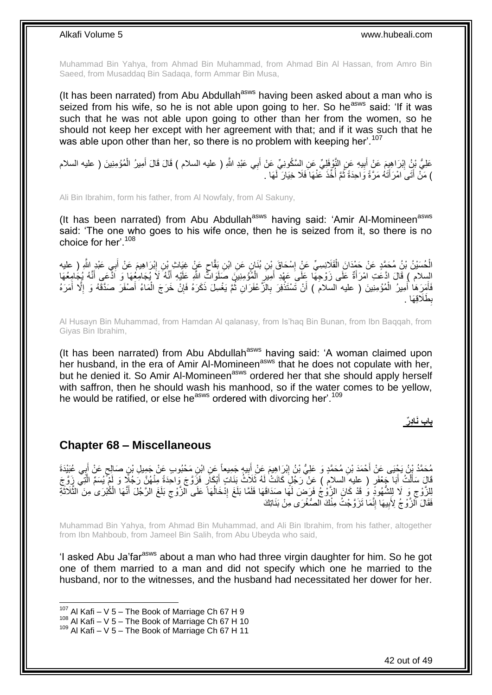Muhammad Bin Yahya, from Ahmad Bin Muhammad, from Ahmad Bin Al Hassan, from Amro Bin Saeed, from Musaddaq Bin Sadaqa, form Ammar Bin Musa,

(It has been narrated) from Abu Abdullah<sup>asws</sup> having been asked about a man who is seized from his wife, so he is not able upon going to her. So he<sup>asws</sup> said: 'If it was such that he was not able upon going to other than her from the women, so he should not keep her except with her agreement with that; and if it was such that he was able upon other than her, so there is no problem with keeping her'.<sup>107</sup>

عَلِيُّ بْنُِ اِبْرَاهِيِمَ عَنْ أَبِيهِ عَنِ النَّوْفِلِيِّ عَنِ اِلسَّكُونِيِّ عَنْ أَبِي عَبْدِ اللَّهِ ( عليه السلام ) قَالَ قَالَ أَمِيرُ الْمُؤْمِنِينَ ( عليه السلام َ **!** َ ِ ْ ) مَنْ أَتَى امْرَأَتَهُ مَرَّةً وَاحِدَةً ثُمَّ أُخِّذَ عَنْهَا فَلَا خِيَارَ لَهَا . ا<br>ا ٔ.<br>ـ َ َ

Ali Bin Ibrahim, form his father, from Al Nowfaly, from Al Sakuny,

(It has been narrated) from Abu Abdullah<sup>asws</sup> having said: 'Amir Al-Momineen<sup>asws</sup> said: 'The one who goes to his wife once, then he is seized from it, so there is no choice for her'.<sup>108</sup>

ِ الْحُسَيْنُ بْنُ مُحَمَّدٍ عَنْ حَمْدَانَ الْقَلَانِسِيِّ عَنْ إِسْحَاقَ بْنِ بُنَانٍ عَنِ ابْنِ بَقَّاحٍ عَنْ غِيَاثِ بْنِ إِبْرَاهِيمَ عَنْ أَبِي عَبْدٍ اللَّهِ ( عليه ٍ ِ ْ ْ َ الِسِلام ﴾ قَالَ ادَّعَتِ امْرَأَةٌ عَلَى زَوْجِهَّا عَِلَى عَهْدِ أُمِيرِ الْمُؤْمِنِينَ صَلَوَاثٌّ اللَّهِ عَلَيْهِ أَنَّهُ ۖ لَكُمْ يَجَامِعُهَا وَ اَدَّعَى أَنَّهُ يُجَامِعُهَا َ ْ ِ َ َ فَأَمِرَ هَا أَمِيرُ الْمُؤْمِنِينَ ( عليه السلامُ ) أَنْ تَسْتَذْفِرَ بِالزَّعْفَرَانِ ثُمَّ يَغْسِلَ ذَكَرَهُ فَإِنْ خَرَجَ الْمَاءُ أَصْفَرَ صَدَّقَهُ وَ إِلَّا أَمَرَهُ َ ْ َ َ َ ِ َ ْ ارا<br>م ُ ِ **ٔ** بِطَلَاقِهَا . 

Al Husayn Bin Muhammad, from Hamdan Al qalanasy, from Is'haq Bin Bunan, from Ibn Baqqah, from Giyas Bin Ibrahim,

(It has been narrated) from Abu Abdullah<sup>asws</sup> having said: 'A woman claimed upon her husband, in the era of Amir Al-Momineen<sup>asws</sup> that he does not copulate with her, but he denied it. So Amir Al-Momineen<sup>asws</sup> ordered her that she should apply herself with saffron, then he should wash his manhood, so if the water comes to be yellow, he would be ratified, or else he<sup>asws</sup> ordered with divorcing her'.<sup>109</sup>

**باب َنا د ر**

### <span id="page-41-0"></span>**Chapter 68 – Miscellaneous**

مُحَمَّدُ بْنُ يَحْيَى عَنْ أَحْمَدَ بْنِ مُحَمَّدٍ وَ عَلِيُّ بْنُ إِبْرَاهِيمَ عَنْ أُبِيهِ جَمِيعاً عَنِ ابْنِ مَحْبُوبِ عَنْ جَمِيلِ بْنِ صَالِحٍ عَنْ أُبِي عُبَيْدَةَ<br>ِ **!** ِ َ ِ َ ٍ قَالَ سَأَلْتُ أَبَا جَعْفَرٍ ( عِليهِ السلامِ ) عَنْ رَجُلٍ كَانَتْ لَهُ ثَلَاثُ بَنَاتٍ أَبْكَارٍ فَزَوَّجَ وَاحِدَةً مِنْهُنَّ رَجُلًا وَ لَمْ يُسَمِّ الَّتِي زِوَّجَ َ ْ َ َّ َ لِلزَّوْجِ وَ لَا لِلِشُّهُودِّ وَ قَدْ كَانَ الزَّوْجُ فَرَضَ لَمَهَا صَدَاقَهَا فَلَمَّا بَلَغَ إِذْخَالُهَا عَلَى الزَّوْجِ بَلَغَ الزَّجُلَ أَنَّهَا الْكُبْرَىٰ مِنَ الثَّلَاثَةِ  $\zeta$ ُ ِ ِ َّ َ ֪֪֪֪֦֧֪֪֦֧֪֪֦֧֝֟֟֟֟֟֟֟֟֟֟֟֟֟֟֟֟֟֟֟֟֟֟֟֟֟֟֟֟֟֟֟֟֟ فَقَالَ ٱلْزَّوْجُ لِأَبِيهَا إِنَّمَا تَزَوَّجْتُ مِنْكَ الْصُّغْرَى مِنْ بَنَاتِكَ ِ **!** 

Muhammad Bin Yahya, from Ahmad Bin Muhammad, and Ali Bin Ibrahim, from his father, altogether from Ibn Mahboub, from Jameel Bin Salih, from Abu Ubeyda who said,

'I asked Abu Ja'far<sup>asws</sup> about a man who had three virgin daughter for him. So he got one of them married to a man and did not specify which one he married to the husband, nor to the witnesses, and the husband had necessitated her dower for her.

 $107$  Al Kafi – V 5 – The Book of Marriage Ch 67 H 9

 $^{108}$  Al Kafi – V 5 – The Book of Marriage Ch 67 H 10

<sup>109</sup> Al Kafi – V 5 – The Book of Marriage Ch 67 H 11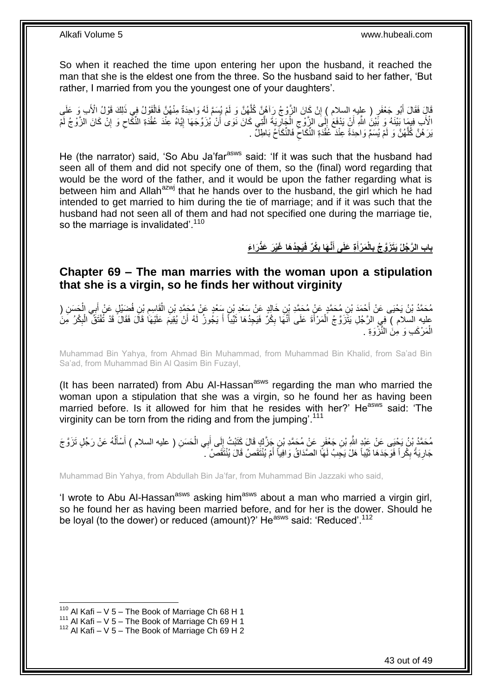So when it reached the time upon entering her upon the husband, it reached the man that she is the eldest one from the three. So the husband said to her father, 'But rather, I married from you the youngest one of your daughters'.

ٍر ) عليه السال ُبو َج ْعَف ِب َو َقا َل َفَقا َل أ ِْلَ لِ َك َقْو ُل ا َقْو ُل ِفي ذَ ُه َّن َفال ِمنْ ُه َوا ِحَدةٌ ْم ُي َسَّم لَ ُه َّن َو لَ ْن َكا َن ال َّزْو ُج َرآ ُه َّن ُكل م ( إ َعلَىَ ْ َّ יֲ<br>י الْأَبِ فِيمَا بَيْنَهُ وَ بَّيْنَ اللَّهِ أَنْ يَذْفَعَ إِلَى الزَّوْجِ الْجَارِيَةَ الَّتِي كَانَ نَوَىٰ أَنْ يُزَوِّجَهَا إِيَّاهُ عِنْدَ عُقْدَةِ النِّفَّاحِ وَ إِنْ كَانَ الزَّوْجُ لَمْ َ َّ ِ ْ ِ ┆ اً ِ  $\zeta$ ון<br>≀ َبَرَ هُنَّ كُلُّهُنَّ وَ لَمْ يُسَمٍّ وَاحِدَةً عِنْدَ عُقْدَةِ النُّكَاحِ فَالنُّكَاحُ بَاطِلٌّ .  $\zeta$ َّ

He (the narrator) said, 'So Abu Ja'far<sup>asws</sup> said: 'If it was such that the husband had seen all of them and did not specify one of them, so the (final) word regarding that would be the word of the father, and it would be upon the father regarding what is between him and Allah<sup>azwj</sup> that he hands over to the husband, the girl which he had intended to get married to him during the tie of marriage; and if it was such that the husband had not seen all of them and had not specified one during the marriage tie, so the marriage is invalidated'.<sup>110</sup>

> بِابِ الرَّجُلُ يَتَزَوَّجُ بِالْمَرْأَةِ عَلَى أَنَّهَا بِكْرٌ فَيَجِدُهَا غَيْرَ عَذْرَاءَ  **َ َ**

### <span id="page-42-0"></span>**Chapter 69 – The man marries with the woman upon a stipulation that she is a virgin, so he finds her without virginity**

ِن َس ْعٍد َع ْن ِن َخالِ ٍد َع ْن َس ْعِد ْب ِن ُم َح َّمٍد َع ْن ُم َح َّمِد ْب ْح َمَد ْب َح َس ِن ُم َح َّمُد ْب ُن َي ْحَيى َع ْن أ ) ِي ال ب َضْي ٍل َع ْن أ ِن فُ ْب َقا ِسم ِن ال ُم َح َّمِد ْب َ ْ َ ِ ْ عليه السلام ) فِي الرَّجُلِ يَتَزَوَّجُ الْمَرْأَةَ عَلَى أَنَّهَا بِكُرٌ فَيَجِدُهَا ثَيِّباً أَ يَجُوزُ لَهُ أَنْ يُقِيمَ عَلَيْهَا قَالَ فَقَالَ قَدْ تُفْتَقُّ الْبِكْرُ مِنَ َ َ َ ِ َ َ ْ ِ ْ الْمَرْكَبِ وَ مِنَ النَّزْوَةِ . ْ

Muhammad Bin Yahya, from Ahmad Bin Muhammad, from Muhammad Bin Khalid, from Sa'ad Bin Sa'ad, from Muhammad Bin Al Qasim Bin Fuzayl,

(It has been narrated) from Abu Al-Hassan<sup>asws</sup> regarding the man who married the woman upon a stipulation that she was a virgin, so he found her as having been married before. Is it allowed for him that he resides with her?' He<sup>asws</sup> said: 'The virginity can be torn from the riding and from the jumping'.<sup>111</sup>

مُحَمَّدُ بْنُ يَحْيَى عَنْ عَبْدٍ اللَّهِ بْنِ جَعْفَرٍ عَنْ مُحَمَّدِ بْنِ جَزَّكٍ قَالَ كَتَبْتُ إِلَى أَبِي الْحَسَنِ ( عليه السلام ) أَسْأَلُهُ عَنْ رَجُلٍ تَزَوَّجَ ْ َ ِ ا<br>ا أا َ جَارِيَةً بِكُراً فَوَجَدَهَا ثَيِّباً هَلْ يَجِبُ لَهَا الصَّدَاقُ وَافِياً أَمْ يُنْتَقَصُ قَالَ يُنْتَقَصُ ۚ َ ِ ِ

Muhammad Bin Yahya, from Abdullah Bin Ja'far, from Muhammad Bin Jazzaki who said,

'I wrote to Abu Al-Hassan<sup>asws</sup> asking him<sup>asws</sup> about a man who married a virgin girl, so he found her as having been married before, and for her is the dower. Should he be loyal (to the dower) or reduced (amount)?' He<sup>asws</sup> said: 'Reduced'.<sup>112</sup>

 $110$  Al Kafi – V 5 – The Book of Marriage Ch 68 H 1

 $111$  Al Kafi – V 5 – The Book of Marriage Ch 69 H 1

 $112$  Al Kafi – V 5 – The Book of Marriage Ch 69 H 2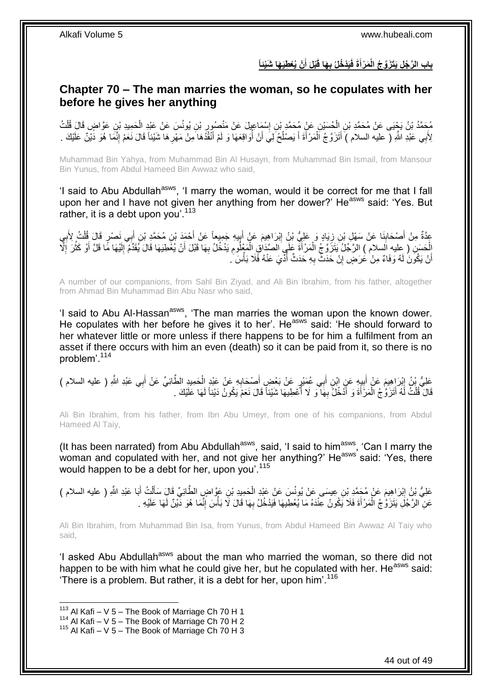### بابِ الرَّجُلِ يَتَزَوَّجُ الْمَرْأَةَ فَيَدْخُلُ بِهَا قَبْلَ أَنْ يُعْطِيَهَا شَيْئاً **َ َ**

### <span id="page-43-0"></span>**Chapter 70 – The man marries the woman, so he copulates with her before he gives her anything**

مُحَمَّدُ بْنُ يَجْيَى عَنْ مُحَمَّدِ بْنِ الْحُسَيْنِ عَنْ مُحَمَّدِ بْنِ إِسْمَاعِيلَ عَنْ مَنْصُورٍ بْنِ يُونُسَ عَنْ عَبْدِ الْحَمِيدِ بْنِ عَوَّاضٍ قَالَ قُلْتُ<br>-ِ ِ ْ ْ ْ َ لِأَبِي عَبْدِ اللَّهِ ( عليه السلام ) أَتَزَوَّجُ اَلْمَرْأَةَ أَ يَصْلُحُ لِيَ أَنْ أُوَاقِعَهَا وَ لَمْ أَنْقُذَهَا مَنْ مَهْرِهَا شَيْئاً قَالَ نَعَمْ إِنَّمَا هُوَ دَيْنٌ عَلَيْكَ . ْ َ َ ِ ِ ا<br>ا َ ا<br>ا َ

Muhammad Bin Yahya, from Muhammad Bin Al Husayn, from Muhammad Bin Ismail, from Mansour Bin Yunus, from Abdul Hameed Bin Awwaz who said,

'I said to Abu Abdullah<sup>asws</sup>, 'I marry the woman, would it be correct for me that I fall upon her and I have not given her anything from her dower?' He<sup>asws</sup> said: 'Yes. But rather, it is a debt upon vou'.<sup>113</sup>

عِدَّةٌ مِنْ أَصْحَابِذَا عَنْ سَهْلِ بْنِ زِيَادٍ وَ عَلِيُّ بْنُ إِبْرَاهِيمَ عَنْ أَبِيهِ جَمِيعاً عَنْ أَحْمَدَ بْنِ مُحَمَّدِ بْنِ أَبِي نَصْرٍ قَالَ قُلْتُ لِأَبِي **∣** َ ِ ْ َ َ ׇ֧֦֧֦֧֦֧֦֧֦֦֦֧֦֧֦֧֦֧֦֧֝֝֝֝֡֡֡֬֝֘֝֝֝֝֬֝֝֝ َ ِ ِ الْحَسَنِ ( عليه السلام ) الرَّجُلُ يَتَزَرَّ جُ الْمَرْ أَةَ عَلَيَ الصَّدَاقِ الْمَعْلُومِ يَدْخُلُ بِهَا قَبْلَ أَنْ يُغَطِيَهَا قَالَ يُقَدِّمُ إِلَيْهَا مَّا قَلَّ أَوْ كَثُرَ إِلَ<br>يَسْمِئُ الْجَهَامَ السلام ) الرَّج َ ِ ِ ْ َ ْ ْ ا<br>ا ُ َ لَ ِ أَنْ يَكُونَ لَهُ وَفَاءٌ مِنْ عَرَضٍ إِنْ حَدَثٌ بِهِ حَدَثٌ أُدِّيَ عَنْهُ فَلَا بَأْسَ َ ا<br>أا ا<br>ا **∶** ِ اً

A number of our companions, from Sahl Bin Ziyad, and Ali Bin Ibrahim, from his father, altogether from Ahmad Bin Muhammad Bin Abu Nasr who said,

'I said to Abu Al-Hassan<sup>asws</sup>, 'The man marries the woman upon the known dower. He copulates with her before he gives it to her'. He<sup>asws</sup> said: 'He should forward to her whatever little or more unless if there happens to be for him a fulfilment from an asset if there occurs with him an even (death) so it can be paid from it, so there is no problem'.<sup>114</sup>

عَلِيُّ بْنُ إِبْرَاهِيمَ عَنْ أَبِيهِ عَنِ ابْنِ أَبِي عُمَيْرٍ عَنْ بَعْضٍ أَصْحَابِهِ عَنْ عَبْدِ الضَّوَيِّ عَنْ أَبِي عَبْدِ اللَّهِ ( عليه السلام )<br>حَفَّ الْمُسْلِمِينَ عَنْ أَبِيهِ عَنِّ ابْنِ أَبِي عُمَيْرٍ عَنْ ب ِ ِ َ ْ ِ َ َ قَالَ قُلْتُ لَهُ أَتَزَوَّجُ الْمَرْأَةَ وَ أَدْخُلُ بِهَا وَ لَا أَعْطِيهَا شَيْئاً قَالَ نَعَمْ يَكُونُ دَيْناً لَهَا عَلَيْكَ . لَ ا<br>ا ِ َ َ ْ َ ْ

Ali Bin Ibrahim, from his father, from Ibn Abu Umeyr, from one of his companions, from Abdul Hameed Al Taiy,

(It has been narrated) from Abu Abdullah<sup>asws</sup>, said, 'I said to him<sup>asws</sup>, 'Can I marry the woman and copulated with her, and not give her anything?' He<sup>asws'</sup> said: 'Yes, there would happen to be a debt for her, upon you'.<sup>115</sup>

َ عَلِيُّ بْنُ إِبْرَاهِيمَ عَنْ مُحَمَّدِ بْنِ عِيسَى عَنْ يُونُسَ عَنْ عَبْدِ الْحَمِيدِ بْنِ عَوَّاضٍ الطَّائِيِّ قَالَ سَأَلْتُ أَبَا عَبْدِ اللَّهِ ( عليه السلام ) ْ ِ َ ْ عَنِّ الرَّجُلِ يَتَزَوَّجُ الْمَرْأَةَ فَلَا يَكُونُ عِنْدَهُ مَا يُعْطِيهَا فَيَدْخُلُ بِهَا قَالَ لَا بَأْسَ إِنَّمَا هُوَ دَّيْنٌ لَهَا عَلَيْهِ . ِ ْ **∶** َ ْ لَ

Ali Bin Ibrahim, from Muhammad Bin Isa, from Yunus, from Abdul Hameed Bin Awwaz Al Taiy who said,

'I asked Abu Abdullah<sup>asws</sup> about the man who married the woman, so there did not happen to be with him what he could give her, but he copulated with her. He<sup>asws</sup> said: 'There is a problem. But rather, it is a debt for her, upon him'.<sup>116</sup>

 $113$  Al Kafi – V 5 – The Book of Marriage Ch 70 H 1

 $114$  Al Kafi – V 5 – The Book of Marriage Ch 70 H 2

 $115$  Al Kafi – V 5 – The Book of Marriage Ch 70 H 3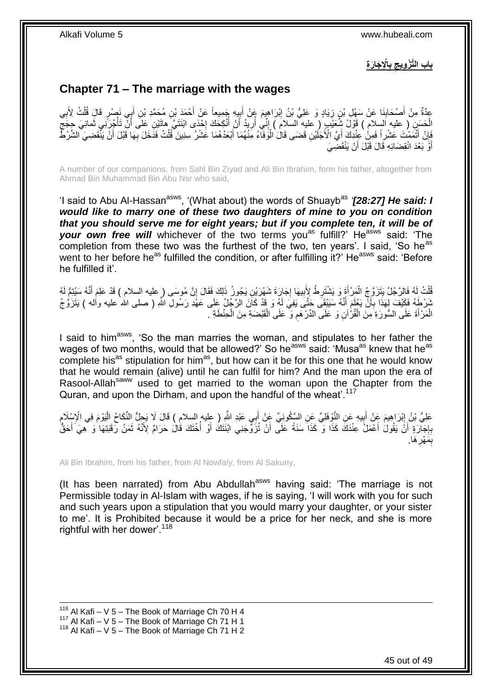باب التَّ<u>زُّويجِ بِالْإِجَارَةِ</u> 

## <span id="page-44-0"></span>**Chapter 71 – The marriage with the wages**

عِدَّةٌ مِنْ أَصْحَابِنَا عَنْ سَهْلِ بْنِ زِيَادٍ وَ عَلِيُّ بْنُ إِبْرَاهِيمَ عَنْ أَبِيدٍ جَمِيعاً عَنْ أَحْمَدَ بْنِ مُحَمَّدِ بْنِ أَبِي نَصْرٍ قَالَ قُلْتُ لِأَبِي َ ¦<br>≀ َ ِ **∶** ِ َ ِ ْ َ الْحَسَنِ ( عِليه اَلسِلام ) فَوْلُ شُعَيْبٍ ( عليه السلام ) إِنِّي أُرِيدُ أَنْ أَنْكِحَكَ إِحْدَى ابْنَتَيَّ هاتَيْنِ عَلَى أَنْ تَأْجُرَنِي ثَمانِيَ جِجَجٍّ ْ ٍ ْ َ ·<br>∶ ا<br>أ َ **ٍ** ُ ِ َفَإِنْ أَتْمَمْتَ عَشْرِاً فَمِنْ عِنْدِكَ أَيَّ الْأَجَلَيْنِ قَضَى قَالَ الْوَفَآءُ مِّنْهُمَا أَبْعَدُهُمَا عَشْرُ سِنِينَ ۖ قُلْتُ فَذَخَلَ بِهَا قَبْلَ أَنْ يَنْفَضِيَ الشَّرْطُّ َ ْ َ َ ِ **∶** ْ َ أَوَّ بَعْدَ انْقِضَائِهِ قَالَ قَبْلَ أَنْ يَنْقَضِيَ اً َ

A number of our companions, from Sahl Bin Ziyad and Ali Bin Ibrahim, form his father, altogether from Ahmad Bin Muhammad Bin Abu Nsr who said,

'I said to Abu Al-Hassan<sup>asws</sup>, '(What about) the words of Shuayb<sup>as</sup> '*[28:27] He said: I would like to marry one of these two daughters of mine to you on condition that you should serve me for eight years; but if you complete ten, it will be of*  your own free will whichever of the two terms you<sup>as</sup> fulfill?' He<sup>asws</sup> said: 'The completion from these two was the furthest of the two, ten years'. I said, 'So he<sup>as</sup> went to her before he<sup>as</sup> fulfilled the condition, or after fulfilling it?' He<sup>asws</sup> said: 'Before he fulfilled it'.

قُلْتُ لَهُ فَالرَّجُلُ يَتَزَوَّجُ الْمَرْأَةَ وَ يَشْتَرِطُ لِأَبِيهَا إِجَارَةَ شَهْرَيْنِ يَجُونُ ذَلِكَ فَقَالَ إِنَّ مُوسَى ( عليه السلام ) قَدْ عَلِمَ أَنَّهُ سَيُنِتُمُ لَهُ<br>يَهُدَ يَهُمْ يَرْتُمْ يَتَزَوَّجُ الْم ْ ِ **∶** ِ ِ َ ْ َ نُبَرْطَهُ فَكَيْفَ لِهَذَا بِأَنَّ يَعْلَمَ أَنَّهُ سَيَيْقَى حَتَّى يَفِيَ لَمُه وَ قَدْ كَانَ الرَّجُلُ عَلَى عَهْدِ رَسُولِ اللَّهِ ( صلى الله عليه وأله ) يَتَزَوُّ جُ َ ر<br>ا **∶** الْمَرْأَةَ عَلَى السُّورَةِ مِنَ الْقُرْآنِ وَ عَلَى الدِّرْهَمِ وَ عَلَى الْقَبْضَةِ مِنَ الْحِنْطَةِ . ْ ْ ِ ْ َ ْ

I said to him<sup>asws</sup>, 'So the man marries the woman, and stipulates to her father the wages of two months, would that be allowed?' So he<sup>asws</sup> said: 'Musa<sup>as</sup> knew that he<sup>as</sup> complete his<sup>as</sup> stipulation for him<sup>as</sup>, but how can it be for this one that he would know that he would remain (alive) until he can fulfil for him? And the man upon the era of Rasool-Allah<sup>saww</sup> used to get married to the woman upon the Chapter from the Quran, and upon the Dirham, and upon the handful of the wheat'.<sup>117</sup>

عَلِيُّ بْنُ إِبْرَاهِيمَ عَنْ أَبِيهِ عَنِ النَّوْفِلِيِّ عَنِ السَّكُونِيِّ عَنْ أَبِي عَبْدِ النَّهِ ( عليه السلام ) قَالَ لَا يَحِلُّ النَّكَاحُ الْيَوْمَ فِي الْإِسْلَامِ<br>عَلِيُّ بَنْ إِبْرَاهِيمَ عَنْ أَبِيهِ عَنِ ا **!** َ **֓**ׇ֖֖֦֧֦֖֖֖֖֧ׅׅׅ֖֖֧ׅ֧֚֚֚֚֚֚֚֚֚֚֚֚֚֚֚֚֚֚֚֚֓֝֘֝֘֝֝֘֝֘֡֘֝֘֡֘֡֘֩֞֝֡֡֡֡֬ ِ ْ َ بِإِجَاّرَةٍ ۖ أَنَّ يَقُولُ أَعْمَلُ عِنْدَكَ كَذَا مَنَ قَلَ أَنْ تُزَوِّجَنِي ابْنَتَكَ أَوْ أُخْتَكَ قَالَ حَرَامٌ لِأَنَّهُ ثَمَنُ رَقَبَتِهَا وَ هِيَ أَحَقُّ ا<br>أ َ َ اً יֲ<br>י ِ َ َ بِمَهْرِ هَا. **∶** ِ

Ali Bin Ibrahim, from his father, from Al Nowfaly, from Al Sakuny,

(It has been narrated) from Abu Abdullah<sup>asws</sup> having said: 'The marriage is not Permissible today in Al-Islam with wages, if he is saying, 'I will work with you for such and such years upon a stipulation that you would marry your daughter, or your sister to me'. It is Prohibited because it would be a price for her neck, and she is more rightful with her dower'.<sup>118</sup>

1  $116$  Al Kafi – V 5 – The Book of Marriage Ch 70 H 4 117 Al Kafi – V  $5$  – The Book of Marriage Ch 71 H 1  $118$  Al Kafi – V 5 – The Book of Marriage Ch 71 H 2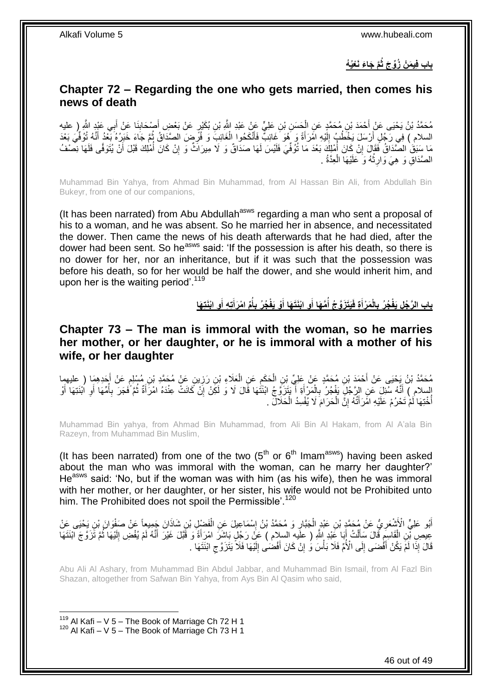**َّم َجا َء َنْعُي ُه باب ف ي َم ْن ُزِّو َج ثُ**

### <span id="page-45-0"></span>**Chapter 72 – Regarding the one who gets married, then comes his news of death**

مُحَمَّدُ بْنُ يَحْيَى عَنْ أَحْمَدَ بْنِ مُحَمَّدٍ عَنِ الْحَسَنِ بْنِ عَلِيٍّ عَنْ عَبْدِ اللَّهِ بْنِ بُكَيْرٍ عَنْ بَعْضِ أَصْحَابِنَا عَنْ أَبِي عَيْدٍ اللَّهِ رِ عليه ْ َ ِ َ ا<br>ا السلام ) فِي رَجُلٍ أَرْسَلَ يَخْطُبُ إِلَيْهِ امْرَأَةً وَ هُوَ غَائِبٌّ فَأَنْكَحُوا الْغَائِبَ وَ فُرَّضٍ الصَّدَاقُ ثُمَّ جَاءَ خَبَرُهُ بَعْدُ أَنَّهُ تُوُفِّيَ بَعْدَ ِ ْ َ َ لَ  $\frac{1}{2}$ َ َ مَا سَبَقَ الصَّدَاقُ فَقَالَ إِنْ كَانَ أُمْلِكَ بَعْدَ مَا تُوُفِّيَ فَلَيْسَ لَهَا صَدَاقٌ وَ لَا مِيرَاثٌ وَ إِنْ كَانَ أُمْلِكَ قَبْلَ أَنْ يُتَوَفِّى فَلَهَا نِصْفُ ا<br>ا ِ َ ا<br>ا ِ الصَّدَاقِ وَ هِيَ وَارِثُهُ وَ عَلَيْهَا الْعِدَّةُ <sub>.</sub> ْ ؚ<br>ٵ ِ

Muhammad Bin Yahya, from Ahmad Bin Muhammad, from Al Hassan Bin Ali, from Abdullah Bin Bukeyr, from one of our companions,

(It has been narrated) from Abu Abdullah<sup>asws</sup> regarding a man who sent a proposal of his to a woman, and he was absent. So he married her in absence, and necessitated the dower. Then came the news of his death afterwards that he had died, after the dower had been sent. So he<sup>asws</sup> said: 'If the possession is after his death, so there is no dower for her, nor an inheritance, but if it was such that the possession was before his death, so for her would be half the dower, and she would inherit him, and upon her is the waiting period'.<sup>119</sup>

> بِابِ الرَّجُلِ يَفْجُرُ بِالْمَرْأَةِ فَيَتَزَوَّجُ أَمَّهَا أَوِ ابْنَتَهَا أَوْ يَفْجُرُ بِأَمِّ امْرَأَتِهِ أَوِ ابْنَتِهَا **َ َ ُ َ َ ُ َ**

<span id="page-45-1"></span>**Chapter 73 – The man is immoral with the woman, so he marries her mother, or her daughter, or he is immoral with a mother of his wife, or her daughter**

مُحَمَّدُ بْنُ يَحْيَى عَنْ أَحْمَدَ بْنِ مُحَمَّدٍ عَنْ عَلِيٍّ بْنِ الْحَكَمِ عَنِ الْعَلَاءِ بْنِ رَزِينٍ عَنْ مُحَمَّدٍ بْنِ مُسْلِمٍ عَنْ أَحَدِهِمَا ( عليهما<br>. **∶** ْ ِ ْ َ َ ֧֖֧֖֖֖֖֖֧֧֖֧֧֧֧ׅ֧֧֧֚֚֚֚֚֚֚֝֝֟֓֝֓֝֓֟֓֝֬֟֓֟֓֟֓֟֓֝֬֜֝֓֝֬֜֓֝֬֜֓֝֬ إِنسلام ِ) أَنَّهُ سُّئِلَ عَنِ الرَّجُلِّ يَفْجُرُ بِالْمَرْأَةِ أَ يَتَزَوَّجُ ابْنَتُهَا قَالَ لَا وَ لَكِنْ إِنْ كَانَتْ عِنْدَهُ امْرَأَةٌ ثُمَّ فَجَرَ بِأُمِّهَا أَوِ اُبْنَتِهَا أَوْ ِ َ َ ْ ِ َ ِ َ ُ **∶** ُ َ أُخْتِهَا لَمْ تَحْرُمْ عَلَيْهِ امَّرَأَتُهُ إِنَّ الْحَرَامَ لَا يُفْسِدُ الْحَلَالِّ . ْ ِ َ ا<br>ا ْ

Muhammad Bin yahya, from Ahmad Bin Muhammad, from Ali Bin Al Hakam, from Al A'ala Bin Razeyn, from Muhammad Bin Muslim,

(It has been narrated) from one of the two  $(5<sup>th</sup>$  or  $6<sup>th</sup>$  Imam<sup>asws</sup>) having been asked about the man who was immoral with the woman, can he marry her daughter?' He<sup>asws</sup> said: 'No, but if the woman was with him (as his wife), then he was immoral with her mother, or her daughter, or her sister, his wife would not be Prohibited unto him. The Prohibited does not spoil the Permissible'.<sup>120</sup>

اَبُو عَلِيٍّ الْأَشْعَرِيُّ عَنْ مُحَمَّدٍ بْنِ عَبْدٍ الْجَبَّارِ وَ مُحَمَّدُ بْنُ إِسْمَاعِيلَ عَنِ الْفَضْلِ بْنِ شَاذَانَ جَمِيعاً عَنْ صَفْوَانَ بْنِ يَحْيَى عَنْ ْ ׀֧<br>֝֝֝֝֝֝֝֝֝֝֝ ِ ْ **∶** عِيصِ بْمِنِ الْقَاسِمِ قَالَ سَأَلْتُ أَبَا عَنْدِ إِللَّهِ ( علَيه السلام ) عَنْ رَجُلٍ بَاشِرَ امْرَأَةً وَ قَبَلَ غَيْرَ أَنَّهُ لَمْ يُفْضِ إِلَيْهَا ثُمَّ تَزَوَّجَ الْنَتَهَا َ ْ َ ِ ْ ا<br>المقام لَ ِ َ َ قَالَ إِذَا لَمَّ يَكُنْ أَفْضَى إِلَى الْأُمِّ فَلَا بَأْسَ وُ إِنْ كَانَ أَفْضَىٰ إِلَيْهَا فَلَا يَتَٰزَوَّج ابْنَتَهَا ۖ ِ لَ ِ َ ِ ْ  $\frac{1}{2}$ َ

Abu Ali Al Ashary, from Muhammad Bin Abdul Jabbar, and Muhammad Bin Ismail, from Al Fazl Bin Shazan, altogether from Safwan Bin Yahya, from Ays Bin Al Qasim who said,

 $119$  Al Kafi – V 5 – The Book of Marriage Ch 72 H 1  $120$  Al Kafi – V 5 – The Book of Marriage Ch 73 H 1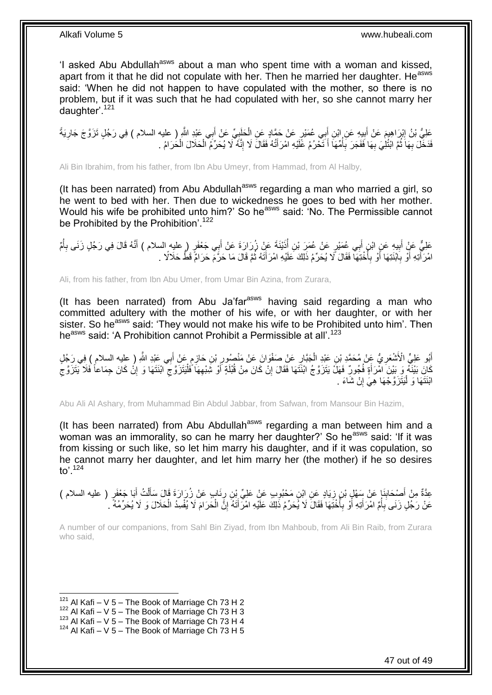'I asked Abu Abdullah<sup>asws</sup> about a man who spent time with a woman and kissed, apart from it that he did not copulate with her. Then he married her daughter. He<sup>asws</sup> said: 'When he did not happen to have copulated with the mother, so there is no problem, but if it was such that he had copulated with her, so she cannot marry her daughter'.<sup>121</sup>

عَلِيُّ بْنُ إِبْرَاهِيمَ عَنْ أَبِيهِ عَنِ إِبْنِ أَبِي عُمَيْرٍ عَنْ حَمَّادٍ عَنِ الْحَلَيِيِّ عَنْ أَبِي عَبْدِ اللَّهِ ( عليه السلام ) فِي رَجُلٍ تَزَوَّجَ جَارِيَةً َ **∶** ْ َ ِ َ ِ فَدَخَّلَ بِهَا ثُمَّ ابْتُلِيَ بِهَا فَفَجَرَ بِأُمِّهَا أَ تَحْرُمُ عََّلَيْهِ امْرَ أَتُهُ فَقَالَ لَا إِنَّهُ لَا يُحَرِّمُ الْحَلَالَ الْحَرَامُ . ِ َ َ :<br>ا **∶ ∶** ُ **∶** ْ ْ

Ali Bin Ibrahim, from his father, from Ibn Abu Umeyr, from Hammad, from Al Halby,

(It has been narrated) from Abu Abdullah<sup>asws</sup> regarding a man who married a girl, so he went to bed with her. Then due to wickedness he goes to bed with her mother. Would his wife be prohibited unto him?' So he<sup>asws</sup> said: 'No. The Permissible cannot be Prohibited by the Prohibition'.<sup>122</sup>

عَلِيٌّ عَنْ أَبِيهِ عَنِ ابْنٍ أَبِي عُمَيْرٍ عَنْ عُمَرَ بْنِ أُذَيْنَةَ عَنْ زُرَارَةَ عَنْ أَبِي جَعْفَرٍ ( عليه السلام ) أَنَّهُ قَالَ فِي رَجُلٍ زَنَى بِأُمَّ َ ُ َ **!** ُ **∶** َ امْرَ أَنِهِ أَوْ بِاَبْنَتِهَا أَوْ بِأُخْتِهَا فَقَالَ ۚ لَا يُحَرِّمُ ذَلِّكَ عَلَيْهِ امْرَ أَثَهُ ثُمَّ قَالَ مَا حَرَّمَ حَرَامٌ قَطُّ حَلَالًا . ُ َ ا<br>ا **∶** ِ ا<br>ا َ

Ali, from his father, from Ibn Abu Umer, from Umar Bin Azina, from Zurara,

(It has been narrated) from Abu Ja'far<sup>asws</sup> having said regarding a man who committed adultery with the mother of his wife, or with her daughter, or with her sister. So he<sup>asws</sup> said: 'They would not make his wife to be Prohibited unto him'. Then he<sup>asws</sup> said: 'A Prohibition cannot Prohibit a Permissible at all'.<sup>123</sup>

أَبُو عَلِيٍّ الْأَشْعَرِيُّ عَنْ مُحَمَّدٍ بْنِ عَبْدِ الْجَبَّارِ عَنْ صَفْوَانَ عَنْ مَنْصُورٍ بْنِ حَازِمٍ عَنْ أَبِي عَبْدِ اللَّهِ ( عِليه السلام ) فِي رَجُلٍ<br>أَبُو عَلِيٍّ الْأَشْعَرِيُّ عَنْ مُحَمَّدٍ بْنِ عَبْدِ ا َ م ِ ِ ِ ْ ِ َ كَانَ بَيْنَهُ وَ بَيْنَ امْرَأَةٍ فُجُورٌ فَهَلْ يَتَزَوَّجُ ابْنَتَهَا فَقَالَ إِنْ كَانَ مِنْ قُبْلَةٍ أَوْ شَنْبُهِهَا فَلْيَتَزَوَّجَ الْنَتَهَا وَ إِنْ كَانَ حِمَاعاً فَلَا يَتَزَوَّجَ ْ ِ َ ِ َ ِ ِ  $\zeta$ ابْنَتَهَا وَ لْيَتَزَوَّجْهَا هِيَ إِنْ شَاءَ . ِ :<br>ا

Abu Ali Al Ashary, from Muhammad Bin Abdul Jabbar, from Safwan, from Mansour Bin Hazim,

(It has been narrated) from Abu Abdullah<sup>asws</sup> regarding a man between him and a woman was an immorality, so can he marry her daughter?' So he<sup>asws</sup> said: 'If it was from kissing or such like, so let him marry his daughter, and if it was copulation, so he cannot marry her daughter, and let him marry her (the mother) if he so desires to'.<sup>124</sup>

عِدَّةٌ مِنْ أَصِبْحَابِنَإٍ عَنْ سَهْلٍ بْنِ زِيَادٍ عَنِ ابْنِ مَحْبُوبٍ عَنْ عَلِيٍّ بِْنِ رِنَابٍ عَنْ زُرَارَةَ قَالَ سَأَلْتُ أَبَا جَعْفَرٍ ( عليه السلام )<br>-ِ **∶** ِ َ ْ اً<br>أ عَنْ رَجُلٍ زَنَى بِأُمِّ امْرَأَتِهِ أَوْ بِأَخْتِهَا فَقَالَ لَا يُحَرِّمُ ذَلِكَ عَلَيْهِ امْرَأَتَهُ إِنَّ الْحَرَامَ لَا يُفْسِدُ الْحَلَالَ وَ لَا يُحَرِّمُهُ ۚ ـ ْ ِ َ ا<br>ا **∶** َ َ ا<br>ا ِ ْ

A number of our companions, from Sahl Bin Ziyad, from Ibn Mahboub, from Ali Bin Raib, from Zurara who said,

<sup>1</sup>  $121$  Al Kafi – V 5 – The Book of Marriage Ch 73 H 2

 $122$  Al Kafi – V 5 – The Book of Marriage Ch 73 H 3

 $123$  Al Kafi – V 5 – The Book of Marriage Ch 73 H 4

 $124$  Al Kafi – V 5 – The Book of Marriage Ch 73 H 5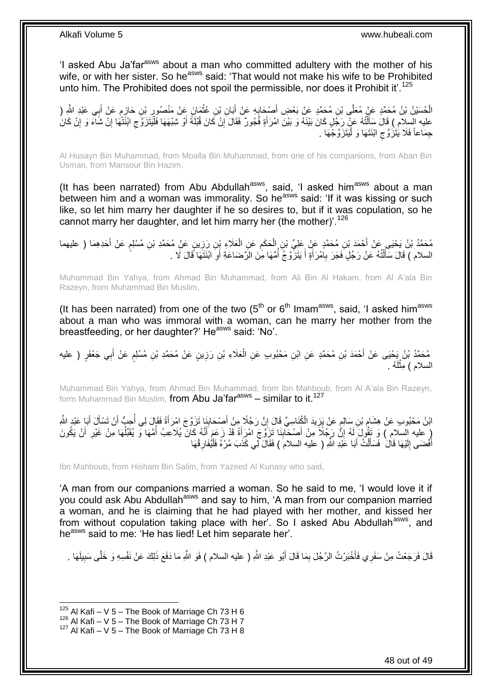'I asked Abu Ja'far<sup>asws</sup> about a man who committed adultery with the mother of his wife, or with her sister. So he<sup>asws</sup> said: 'That would not make his wife to be Prohibited unto him. The Prohibited does not spoil the permissible, nor does it Prohibit it'.<sup>125</sup>

الْحُسَيْنُ بْنُ مُحَمَّدٍ عَنْ مُعَلَّى بْنِ مُحَمَّدٍ عَنْ بَعْضِ أَصْحَابِهِ عَنْ أَبَانِ بْنِ عُلْمَانَ عَنْ مَنْصُورٍ بْنِ حَازِمٍ عَنْ أَبِي عَبْدِ اللَّهِ ( ِ **ٔ** َ ِ َ ِ َ ֧֖֧֖֧֧֧֧֧֧֧֧֧֧֧ׅ֧֧֛֛֛֚֚֓֝֝֝֝֝֟֓֝֬֝֓֟֓֟֓֬֝֓֟֓֟֓֝֬֟֓֟֓֟֓֝֬֝֓֝֓֟֓֝֬֟֓֝֬֝֬֝֓֝֬֜֓֜ ِ عليه السلام ) قَالَ سَأَلْتُهُ عَنْ رَجُلٍ كَانَ بَيْنَهُ وَ بَيْنَ امْرَأَةٍ فَُجُورٌ فَقَالَ إِنْ كَانَ قُبْلَةً أَوْ شِبْهَهَا فَلْيَتَزَوَّ جِ ابْنَتَّهَا إِنْ شَآءَ وَ إِنْ كَانَ<br>عَذِي أَيَنَهُمَ وَاسْتَدَيْهِ عَلَى َ ِ َ ֺ֦֧֦֦֦֦֦֦֦֦֪ׅ֧֦֪ׅ֧֦֪ׅ֧֦֪֪ׅ֦֪֪֦֪֦֧֦֧֦֧֦֧֧֝֟֟֓֕֓֕֓֕֓֕֓֡֓֓֡֟֓֡֓֓֡֟֓֓֞֓֡֟֓֓֞֓֡֓֓֡֟֓֡֓֓֞֓֡֟֓֡֟֓֟֓֟֓֟֟֟֝֬<br>֧֪֪֧֪֪֧֪֪֪֪֪֪֦֧֝֝֝ ِ ِ ْ جِمَاعاً فَلَا يَتَزَوَّجِ ابْنَتَهَا وَ لْيَتَزَوَّجُهَا . ْ ِ

Al Husayn Bin Muhammad, from Moalla Bin Muhammad, from one of his companions, from Aban Bin Usman, from Mansour Bin Hazim,

(It has been narrated) from Abu Abdullah<sup>asws</sup>, said, 'I asked him<sup>asws</sup> about a man between him and a woman was immorality. So he<sup>asws</sup> said: 'If it was kissing or such like, so let him marry her daughter if he so desires to, but if it was copulation, so he cannot marry her daughter, and let him marry her (the mother)<sup>'.126</sup>

مُحَمَّدُ بْنُ يَحْيَى عَنْ أَحْمَدَ بْنِ مُحَمَّدٍ عَنٍْ عَلِيٍّ بْنِ الْحَكَمِ عَنِ الْعَلَاءِ بْنِ رَزِينٍ عَنْ مُحَمَّدِ بْنِ مُسْلِمٍ عَنْ أَحَدِهِمَا ( عليهما<br>. َ ֧֖֧֖֖֖֖֖֧֖֖֖֖֧֧֧֧֧֧֧֧֧֧֧֧֧֧֧֧֧֚֚֚֚֚֚֚֚֚֚֚֝֝֟֓֝֓֝֓֝֬֟֓֝֬֟֓֝֬֝֓֝֓֝֬֝֓֝֬֝֬֝֓֝֬֝֬֓֝֬֝֬֝֬ ِ ْ ِ ْ السلام ) قَالَ سَأَلْتُهُ عَنْ رَجُلٍ فَجَرَ بِامْرَأَةٍ أَ يَتَزَّوَّجُ أُمَّهَا مِّنَ الزَّضَاعَةِ أَوِ ابْنَتَهَا قَالَ لَا . ِ َ ا<br>ا َ َ ِ ֺ֦֧֦֧֦֧֦֧֦֧֦֦֦֦֦֦֦֦֦֧֦֧֦֪֪֦֪֦֪֪֦֝֟֟֓֕֟֓֓֟֓֓֞֟֓֟֓֓֞֟֓֞֓֞֓֞֓֞֟֓֡֟֓֡֟֓֡֟֓֡֟֓֡֟֓֞֓֞֓֞֓֓֞֟֓֟֓֟֓֞֟֟֟ َ

Muhammad Bin Yahya, from Ahmad Bin Muhammad, from Ali Bin Al Hakam, from Al A'ala Bin Razeyn, from Muhammad Bin Muslim,

(It has been narrated) from one of the two  $(5<sup>th</sup>$  or  $6<sup>th</sup>$  Imam<sup>asws</sup>, said, 'I asked him<sup>asws</sup> about a man who was immoral with a woman, can he marry her mother from the breastfeeding, or her daughter?' He<sup>asws</sup> said: 'No'.

مُحَمَّدُ بْنُ يَحْيَى عَنْ أَحْمَدَ بْنِ مُحَمَّدٍ عَنِ ابْنِ مَحْبُوبٍ عَنِ الْعَلَاءِ بْنِ رَزِينٍ عَنْ مُحَمَّدِ بْنِ مُسْلِمٍ عَنْ أَبِي جَعْفَرٍ ( عليه ِ ْ َ ֧֖֧֦֖֖֖֧֧֧֧֧֧֧֧֧֧֧֧֧֧֚֚֚֝֝֝֓֟֓֝֓֝֓֝֓֟֓֝֬֝֬֝֬֝֓֬֝֬֝֓֟֓֟֓֬֓֝֓֝֬֝֬֝֓֝֬֝֬֓֝֬֝֓֝֬֝֬ السلام ) مِثْلُهُ . لَ ْ

Muhammad Bin Yahya, from Ahmad Bin Muhammad, from Ibn Mahboub, from Al A'ala Bin Razeyn, form Muhammad Bin Muslim, from Abu Ja'far<sup>asws</sup> – similar to it.<sup>127</sup>

ائِنُ مَحْبُوبِ عَنْ هِشَامٍ بْنِ سَالِمٍ عَنْ يَزِيدَ الْكُنَاسِيِّ قَالَ إِنَّ رَجُلًا مِنْ أَصْحَابِنَا تَزَوَّجَ امْرَأَةً فَقَالَ لِي أُحِبُّ أَنْ تَسْأَلَ أَبَا عَبْدِ اللَّهِ ِ َ ِ ِ ٍ ֺ֦֦֪֚֚֚֚֚֚֚֚֚֚֚֚֚֚֚֡֓֡֓֡֓֡֡֓֡֓֡֓֡֡֡֬֝֬֓֡֡֡֡֝ َ َ َ ُ َ ( عليه السلام ) وَ تَقُولَ لَهُ إِنَّ رَجُلًا مِنْ أَصْحَابِنَا تَزَوَّجَ امْرَأَةً قَدْ زَعَمَ أَنَّهُ كَانٌ يُلاعِبُ أُمَّهَا وَ يُقَبِّلُهَا مِنْ غَيْرِ أَنْ يَكُونَ ُ َ َ **∣** َ ِ َ ِ ُ أَفْضَى إِلَيْهَا قَالَ ۚ فَسَأَلْتُ أَبَا عَبْدِ اللَّهِ ( عليه السلامَ ) فَقَالَ لِي كَذَبَ مُرْهُ فَلْيُفَارِ قْهَا لَ ِ َ ِ ْ َ ْ َ

Ibn Mahboub, from Hisham Bin Salim, from Yazeed Al Kunasy who said,

'A man from our companions married a woman. So he said to me, 'I would love it if you could ask Abu Abdullah<sup>asws</sup> and say to him, 'A man from our companion married a woman, and he is claiming that he had played with her mother, and kissed her from without copulation taking place with her'. So I asked Abu Abdullah<sup>asws</sup>, and he<sup>asws</sup> said to me: 'He has lied! Let him separate her'.

قَالَ فَرَجَعْتُ مِنْ سَفَرِي فَأَخْبَرْتُ الرَّجُلَ بِمَا قَالَ أَبُو عَبْدِ اللَّهِ ( عليه السلام ) فَوَ اللَّهِ مَا دَفَعَ ذَلِكَ عَنْ نَفْسِهِ وَ خَلَّى سَبِيلَهَا . َ ِ َ ِ

 $125$  Al Kafi – V 5 – The Book of Marriage Ch 73 H 6

 $^{126}$  Al Kafi – V 5 – The Book of Marriage Ch 73 H 7

<sup>127</sup> Al Kafi – V 5 – The Book of Marriage Ch 73 H 8